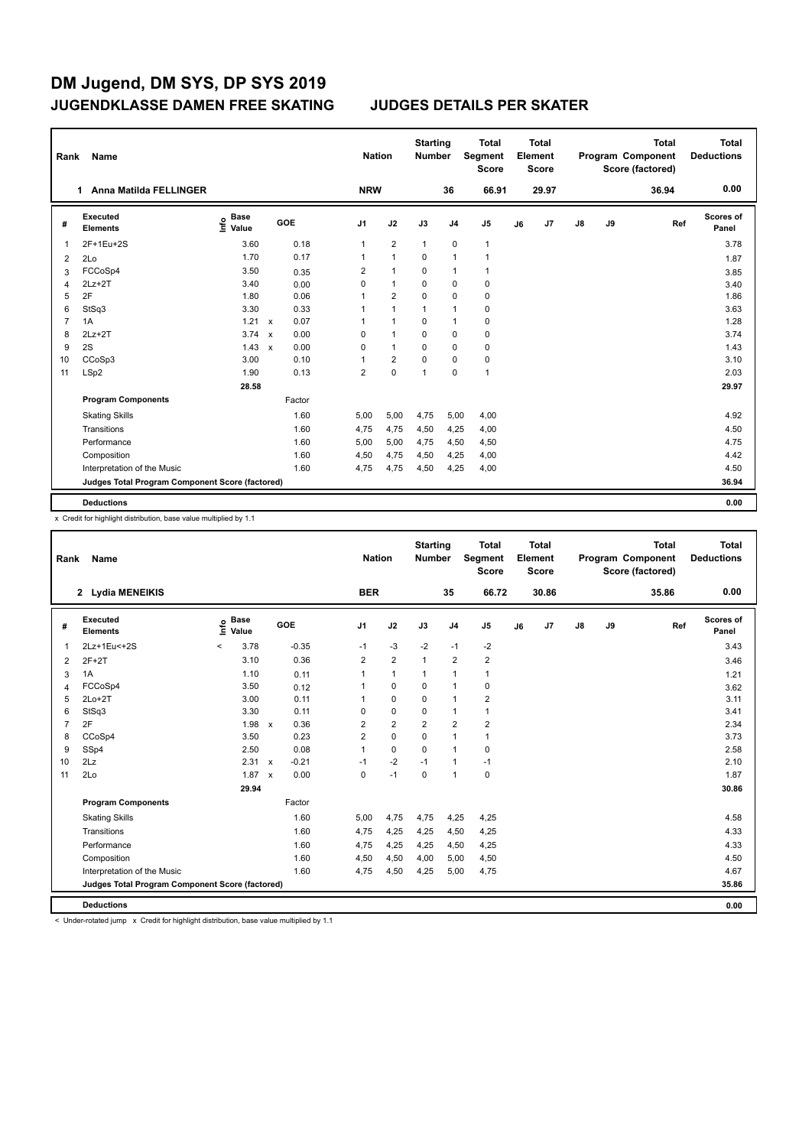| Rank           | Name                                            |                           |                           |            |                | <b>Nation</b>  | <b>Starting</b><br><b>Number</b> |                | <b>Total</b><br>Segment<br><b>Score</b> |    | Total<br>Element<br><b>Score</b> |               |    | <b>Total</b><br>Program Component<br>Score (factored) | Total<br><b>Deductions</b> |
|----------------|-------------------------------------------------|---------------------------|---------------------------|------------|----------------|----------------|----------------------------------|----------------|-----------------------------------------|----|----------------------------------|---------------|----|-------------------------------------------------------|----------------------------|
|                | Anna Matilda FELLINGER<br>1.                    |                           |                           |            | <b>NRW</b>     |                |                                  | 36             | 66.91                                   |    | 29.97                            |               |    | 36.94                                                 | 0.00                       |
| #              | <b>Executed</b><br><b>Elements</b>              | <b>Base</b><br>۴<br>Value |                           | <b>GOE</b> | J <sub>1</sub> | J2             | J3                               | J <sub>4</sub> | J <sub>5</sub>                          | J6 | J <sub>7</sub>                   | $\mathsf{J}8$ | J9 | Ref                                                   | Scores of<br>Panel         |
| 1              | 2F+1Eu+2S                                       | 3.60                      |                           | 0.18       | $\mathbf{1}$   | $\overline{2}$ | $\mathbf{1}$                     | $\mathbf 0$    | $\mathbf{1}$                            |    |                                  |               |    |                                                       | 3.78                       |
| 2              | 2Lo                                             | 1.70                      |                           | 0.17       | $\overline{1}$ | $\overline{1}$ | $\Omega$                         | $\mathbf{1}$   | $\mathbf{1}$                            |    |                                  |               |    |                                                       | 1.87                       |
| 3              | FCCoSp4                                         | 3.50                      |                           | 0.35       | 2              | $\overline{1}$ | $\mathbf 0$                      | $\mathbf{1}$   | $\mathbf{1}$                            |    |                                  |               |    |                                                       | 3.85                       |
| 4              | $2Lz+2T$                                        | 3.40                      |                           | 0.00       | 0              | $\mathbf{1}$   | $\mathbf 0$                      | $\mathbf 0$    | $\mathbf 0$                             |    |                                  |               |    |                                                       | 3.40                       |
| 5              | 2F                                              | 1.80                      |                           | 0.06       | 1              | $\overline{2}$ | $\Omega$                         | $\mathbf 0$    | 0                                       |    |                                  |               |    |                                                       | 1.86                       |
| 6              | StSq3                                           | 3.30                      |                           | 0.33       | 1              | $\overline{1}$ | $\mathbf{1}$                     | $\overline{1}$ | $\mathbf 0$                             |    |                                  |               |    |                                                       | 3.63                       |
| $\overline{7}$ | 1A                                              | 1.21                      | $\mathsf{x}$              | 0.07       | 1              | $\overline{1}$ | 0                                | $\mathbf{1}$   | $\pmb{0}$                               |    |                                  |               |    |                                                       | 1.28                       |
| 8              | $2Lz+2T$                                        | 3.74                      | $\mathbf{x}$              | 0.00       | $\Omega$       | $\overline{1}$ | $\Omega$                         | $\mathbf 0$    | $\pmb{0}$                               |    |                                  |               |    |                                                       | 3.74                       |
| 9              | 2S                                              | 1.43                      | $\boldsymbol{\mathsf{x}}$ | 0.00       | 0              | $\mathbf{1}$   | $\Omega$                         | $\mathbf 0$    | $\pmb{0}$                               |    |                                  |               |    |                                                       | 1.43                       |
| 10             | CCoSp3                                          | 3.00                      |                           | 0.10       | 1              | $\overline{2}$ | $\Omega$                         | $\mathbf 0$    | $\pmb{0}$                               |    |                                  |               |    |                                                       | 3.10                       |
| 11             | LSp2                                            | 1.90                      |                           | 0.13       | $\overline{2}$ | $\mathbf 0$    | $\overline{1}$                   | $\mathbf 0$    | $\mathbf{1}$                            |    |                                  |               |    |                                                       | 2.03                       |
|                |                                                 | 28.58                     |                           |            |                |                |                                  |                |                                         |    |                                  |               |    |                                                       | 29.97                      |
|                | <b>Program Components</b>                       |                           |                           | Factor     |                |                |                                  |                |                                         |    |                                  |               |    |                                                       |                            |
|                | <b>Skating Skills</b>                           |                           |                           | 1.60       | 5.00           | 5,00           | 4,75                             | 5,00           | 4,00                                    |    |                                  |               |    |                                                       | 4.92                       |
|                | Transitions                                     |                           |                           | 1.60       | 4,75           | 4,75           | 4,50                             | 4,25           | 4,00                                    |    |                                  |               |    |                                                       | 4.50                       |
|                | Performance                                     |                           |                           | 1.60       | 5,00           | 5,00           | 4,75                             | 4,50           | 4,50                                    |    |                                  |               |    |                                                       | 4.75                       |
|                | Composition                                     |                           |                           | 1.60       | 4,50           | 4,75           | 4,50                             | 4,25           | 4,00                                    |    |                                  |               |    |                                                       | 4.42                       |
|                | Interpretation of the Music                     |                           |                           | 1.60       | 4,75           | 4,75           | 4,50                             | 4,25           | 4,00                                    |    |                                  |               |    |                                                       | 4.50                       |
|                | Judges Total Program Component Score (factored) |                           |                           |            |                |                |                                  |                |                                         |    |                                  |               |    |                                                       | 36.94                      |
|                | <b>Deductions</b>                               |                           |                           |            |                |                |                                  |                |                                         |    |                                  |               |    |                                                       | 0.00                       |

x Credit for highlight distribution, base value multiplied by 1.1

| Rank        | <b>Name</b>                                     |       |                      |                           |         | <b>Nation</b>  |                         | <b>Starting</b><br><b>Number</b> |                | <b>Total</b><br>Segment<br><b>Score</b> |    | <b>Total</b><br>Element<br><b>Score</b> |               |    | <b>Total</b><br><b>Program Component</b><br>Score (factored) | <b>Total</b><br><b>Deductions</b> |
|-------------|-------------------------------------------------|-------|----------------------|---------------------------|---------|----------------|-------------------------|----------------------------------|----------------|-----------------------------------------|----|-----------------------------------------|---------------|----|--------------------------------------------------------------|-----------------------------------|
|             | 2 Lydia MENEIKIS                                |       |                      |                           |         | <b>BER</b>     |                         |                                  | 35             | 66.72                                   |    | 30.86                                   |               |    | 35.86                                                        | 0.00                              |
| #           | Executed<br><b>Elements</b>                     | ١nf٥  | <b>Base</b><br>Value |                           | GOE     | J <sub>1</sub> | J2                      | J3                               | J <sub>4</sub> | J5                                      | J6 | J7                                      | $\mathsf{J}8$ | J9 | Ref                                                          | Scores of<br>Panel                |
| $\mathbf 1$ | 2Lz+1Eu<+2S                                     | $\,<$ | 3.78                 |                           | $-0.35$ | $-1$           | $-3$                    | $-2$                             | $-1$           | $-2$                                    |    |                                         |               |    |                                                              | 3.43                              |
| 2           | $2F+2T$                                         |       | 3.10                 |                           | 0.36    | $\overline{2}$ | $\overline{2}$          | $\mathbf{1}$                     | $\overline{2}$ | $\overline{\mathbf{c}}$                 |    |                                         |               |    |                                                              | 3.46                              |
| 3           | 1A                                              |       | 1.10                 |                           | 0.11    | 1              | $\mathbf{1}$            | $\mathbf{1}$                     | 1              | 1                                       |    |                                         |               |    |                                                              | 1.21                              |
| 4           | FCCoSp4                                         |       | 3.50                 |                           | 0.12    | 1              | $\mathbf 0$             | 0                                | $\mathbf{1}$   | 0                                       |    |                                         |               |    |                                                              | 3.62                              |
| 5           | $2Lo+2T$                                        |       | 3.00                 |                           | 0.11    | 1              | $\mathbf 0$             | 0                                | $\mathbf{1}$   | $\overline{\mathbf{c}}$                 |    |                                         |               |    |                                                              | 3.11                              |
| 6           | StSq3                                           |       | 3.30                 |                           | 0.11    | 0              | 0                       | 0                                | 1              | 1                                       |    |                                         |               |    |                                                              | 3.41                              |
| 7           | 2F                                              |       | 1.98                 | $\mathsf{x}$              | 0.36    | $\overline{2}$ | $\overline{\mathbf{c}}$ | $\overline{2}$                   | $\overline{2}$ | $\overline{2}$                          |    |                                         |               |    |                                                              | 2.34                              |
| 8           | CCoSp4                                          |       | 3.50                 |                           | 0.23    | 2              | $\mathbf 0$             | 0                                | $\mathbf{1}$   | 1                                       |    |                                         |               |    |                                                              | 3.73                              |
| 9           | SSp4                                            |       | 2.50                 |                           | 0.08    | $\mathbf{1}$   | $\mathbf 0$             | $\Omega$                         | $\mathbf{1}$   | 0                                       |    |                                         |               |    |                                                              | 2.58                              |
| 10          | 2Lz                                             |       | 2.31                 | $\boldsymbol{\mathsf{x}}$ | $-0.21$ | $-1$           | $-2$                    | $-1$                             | $\mathbf{1}$   | $-1$                                    |    |                                         |               |    |                                                              | 2.10                              |
| 11          | 2Lo                                             |       | 1.87                 | $\mathsf{x}$              | 0.00    | 0              | $-1$                    | $\mathbf 0$                      | $\mathbf{1}$   | 0                                       |    |                                         |               |    |                                                              | 1.87                              |
|             |                                                 |       | 29.94                |                           |         |                |                         |                                  |                |                                         |    |                                         |               |    |                                                              | 30.86                             |
|             | <b>Program Components</b>                       |       |                      |                           | Factor  |                |                         |                                  |                |                                         |    |                                         |               |    |                                                              |                                   |
|             | <b>Skating Skills</b>                           |       |                      |                           | 1.60    | 5,00           | 4,75                    | 4,75                             | 4,25           | 4,25                                    |    |                                         |               |    |                                                              | 4.58                              |
|             | Transitions                                     |       |                      |                           | 1.60    | 4,75           | 4,25                    | 4,25                             | 4,50           | 4,25                                    |    |                                         |               |    |                                                              | 4.33                              |
|             | Performance                                     |       |                      |                           | 1.60    | 4,75           | 4,25                    | 4,25                             | 4,50           | 4,25                                    |    |                                         |               |    |                                                              | 4.33                              |
|             | Composition                                     |       |                      |                           | 1.60    | 4,50           | 4,50                    | 4,00                             | 5,00           | 4,50                                    |    |                                         |               |    |                                                              | 4.50                              |
|             | Interpretation of the Music                     |       |                      |                           | 1.60    | 4,75           | 4,50                    | 4,25                             | 5,00           | 4,75                                    |    |                                         |               |    |                                                              | 4.67                              |
|             | Judges Total Program Component Score (factored) |       |                      |                           |         |                |                         |                                  |                |                                         |    |                                         |               |    |                                                              | 35.86                             |
|             | <b>Deductions</b>                               |       |                      |                           |         |                |                         |                                  |                |                                         |    |                                         |               |    |                                                              | 0.00                              |

< Under-rotated jump x Credit for highlight distribution, base value multiplied by 1.1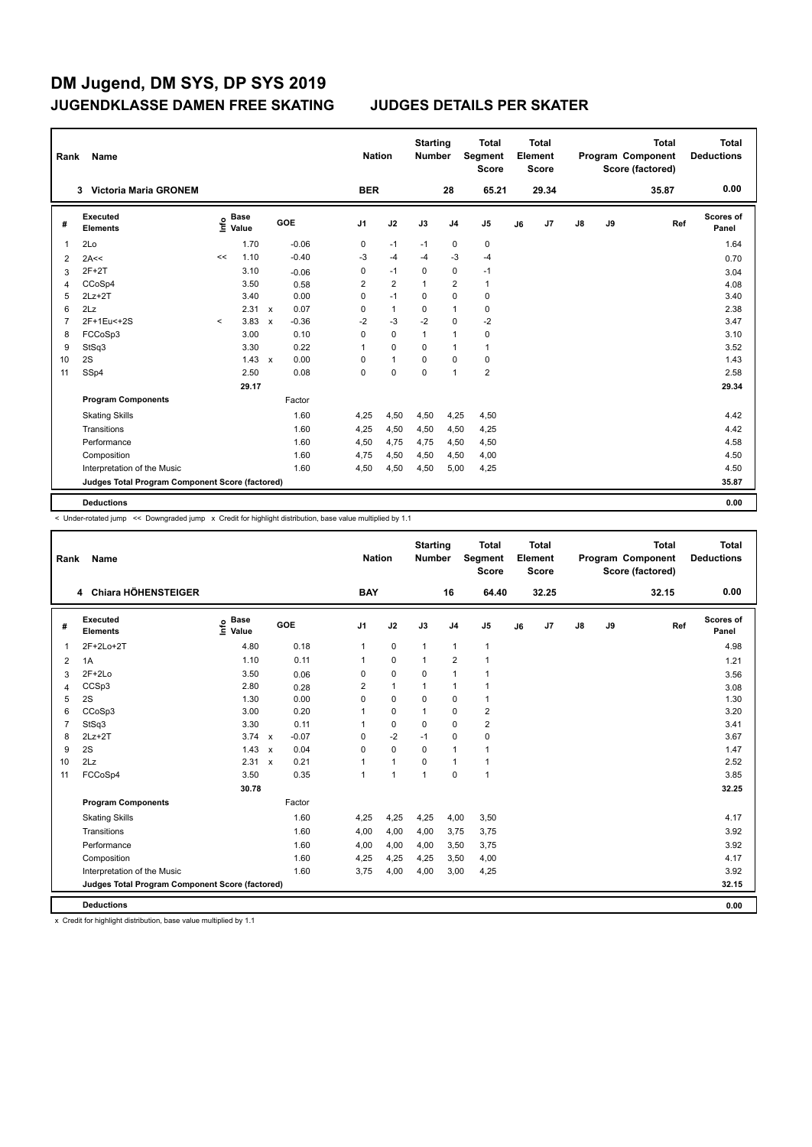| <b>BER</b><br>65.21<br>29.34<br>Victoria Maria GRONEM<br>28<br>35.87<br>3<br>Executed<br>Scores of<br><b>Base</b><br>۴۵<br>GOE<br>J <sub>1</sub><br>J2<br>J3<br>J9<br>J <sub>4</sub><br>J <sub>5</sub><br>J <sub>7</sub><br>$\mathsf{J}8$<br>Ref<br>J6<br>#<br><b>Elements</b><br>Value<br>Panel<br>2Lo<br>1.70<br>$-0.06$<br>$\mathbf 0$<br>$\pmb{0}$<br>0<br>$-1$<br>$-1$<br>1<br>1.10<br>$-0.40$<br>-3<br>$-4$<br>-3<br>$-4$<br>$-4$<br><<<br>2A<<<br>$\overline{2}$<br>$\pmb{0}$<br>$2F+2T$<br>3.10<br>0<br>$-1$<br>0<br>$-1$<br>$-0.06$<br>3<br>$\overline{2}$<br>2<br>$\overline{2}$<br>3.50<br>CCoSp4<br>$\mathbf 1$<br>1<br>0.58<br>4<br>$2Lz+2T$<br>3.40<br>0.00<br>0<br>$-1$<br>0<br>0<br>5<br>0 | <b>Total</b><br><b>Deductions</b> |
|------------------------------------------------------------------------------------------------------------------------------------------------------------------------------------------------------------------------------------------------------------------------------------------------------------------------------------------------------------------------------------------------------------------------------------------------------------------------------------------------------------------------------------------------------------------------------------------------------------------------------------------------------------------------------------------------------------|-----------------------------------|
|                                                                                                                                                                                                                                                                                                                                                                                                                                                                                                                                                                                                                                                                                                            | 0.00                              |
|                                                                                                                                                                                                                                                                                                                                                                                                                                                                                                                                                                                                                                                                                                            |                                   |
|                                                                                                                                                                                                                                                                                                                                                                                                                                                                                                                                                                                                                                                                                                            | 1.64                              |
|                                                                                                                                                                                                                                                                                                                                                                                                                                                                                                                                                                                                                                                                                                            | 0.70                              |
|                                                                                                                                                                                                                                                                                                                                                                                                                                                                                                                                                                                                                                                                                                            | 3.04                              |
|                                                                                                                                                                                                                                                                                                                                                                                                                                                                                                                                                                                                                                                                                                            | 4.08                              |
|                                                                                                                                                                                                                                                                                                                                                                                                                                                                                                                                                                                                                                                                                                            | 3.40                              |
| 2.31<br>0.07<br>$\mathbf{1}$<br>2Lz<br>0<br>$\Omega$<br>$\mathbf{1}$<br>0<br>6<br>$\mathsf{x}$                                                                                                                                                                                                                                                                                                                                                                                                                                                                                                                                                                                                             | 2.38                              |
| $-3$<br>$-2$<br>2F+1Eu<+2S<br>3.83<br>$-2$<br>$\mathbf 0$<br>$-2$<br>$-0.36$<br>7<br>$\prec$<br>$\mathbf x$                                                                                                                                                                                                                                                                                                                                                                                                                                                                                                                                                                                                | 3.47                              |
| 3.00<br>0.10<br>FCCoSp3<br>$\Omega$<br>0<br>$\mathbf{1}$<br>$\mathbf{1}$<br>0<br>8                                                                                                                                                                                                                                                                                                                                                                                                                                                                                                                                                                                                                         | 3.10                              |
| StSq3<br>3.30<br>0.22<br>0<br>9<br>$\overline{1}$<br>0<br>$\mathbf{1}$<br>$\mathbf{1}$                                                                                                                                                                                                                                                                                                                                                                                                                                                                                                                                                                                                                     | 3.52                              |
| $\mathbf{1}$<br>2S<br>1.43<br>0.00<br>$\mathbf 0$<br>0<br>$\Omega$<br>0<br>10<br>$\mathbf{x}$                                                                                                                                                                                                                                                                                                                                                                                                                                                                                                                                                                                                              | 1.43                              |
| $\overline{2}$<br>$\mathbf 0$<br>$\mathbf 0$<br>SSp4<br>2.50<br>0.08<br>0<br>$\mathbf{1}$<br>11                                                                                                                                                                                                                                                                                                                                                                                                                                                                                                                                                                                                            | 2.58                              |
| 29.17                                                                                                                                                                                                                                                                                                                                                                                                                                                                                                                                                                                                                                                                                                      | 29.34                             |
| <b>Program Components</b><br>Factor                                                                                                                                                                                                                                                                                                                                                                                                                                                                                                                                                                                                                                                                        |                                   |
| 4,50<br>4,25<br><b>Skating Skills</b><br>1.60<br>4,25<br>4,50<br>4,50                                                                                                                                                                                                                                                                                                                                                                                                                                                                                                                                                                                                                                      | 4.42                              |
| Transitions<br>1.60<br>4,50<br>4,25<br>4,50<br>4,50<br>4,25                                                                                                                                                                                                                                                                                                                                                                                                                                                                                                                                                                                                                                                | 4.42                              |
| Performance<br>1.60<br>4,50<br>4,75<br>4,50<br>4,75<br>4,50                                                                                                                                                                                                                                                                                                                                                                                                                                                                                                                                                                                                                                                | 4.58                              |
| Composition<br>1.60<br>4,75<br>4,50<br>4,00<br>4,50<br>4,50                                                                                                                                                                                                                                                                                                                                                                                                                                                                                                                                                                                                                                                | 4.50                              |
| Interpretation of the Music<br>1.60<br>4,50<br>4,50<br>5,00<br>4,25<br>4,50                                                                                                                                                                                                                                                                                                                                                                                                                                                                                                                                                                                                                                | 4.50                              |
| Judges Total Program Component Score (factored)                                                                                                                                                                                                                                                                                                                                                                                                                                                                                                                                                                                                                                                            | 35.87                             |
| <b>Deductions</b>                                                                                                                                                                                                                                                                                                                                                                                                                                                                                                                                                                                                                                                                                          | 0.00                              |

< Under-rotated jump << Downgraded jump x Credit for highlight distribution, base value multiplied by 1.1

| Rank           | Name                                            |                              |                           |         | <b>Nation</b>  |                | <b>Starting</b><br><b>Number</b> |                | <b>Total</b><br><b>Segment</b><br><b>Score</b> |    | <b>Total</b><br>Element<br>Score |               |    | <b>Total</b><br>Program Component<br>Score (factored) | <b>Total</b><br><b>Deductions</b> |
|----------------|-------------------------------------------------|------------------------------|---------------------------|---------|----------------|----------------|----------------------------------|----------------|------------------------------------------------|----|----------------------------------|---------------|----|-------------------------------------------------------|-----------------------------------|
|                | 4 Chiara HÖHENSTEIGER                           |                              |                           |         | <b>BAY</b>     |                |                                  | 16             | 64.40                                          |    | 32.25                            |               |    | 32.15                                                 | 0.00                              |
| #              | <b>Executed</b><br><b>Elements</b>              | <b>Base</b><br>١nfo<br>Value |                           | GOE     | J <sub>1</sub> | J2             | J3                               | J <sub>4</sub> | J <sub>5</sub>                                 | J6 | J7                               | $\mathsf{J}8$ | J9 | Ref                                                   | Scores of<br>Panel                |
| 1              | 2F+2Lo+2T                                       | 4.80                         |                           | 0.18    | 1              | $\mathbf 0$    | $\mathbf{1}$                     | $\mathbf{1}$   | $\mathbf{1}$                                   |    |                                  |               |    |                                                       | 4.98                              |
| 2              | 1A                                              | 1.10                         |                           | 0.11    | 1              | $\mathbf 0$    | $\mathbf{1}$                     | $\overline{2}$ | 1                                              |    |                                  |               |    |                                                       | 1.21                              |
| 3              | $2F+2Lo$                                        | 3.50                         |                           | 0.06    | 0              | $\mathbf 0$    | 0                                | $\mathbf{1}$   | $\mathbf{1}$                                   |    |                                  |               |    |                                                       | 3.56                              |
| $\overline{4}$ | CCSp3                                           | 2.80                         |                           | 0.28    | $\overline{2}$ | $\overline{1}$ | $\mathbf{1}$                     | $\mathbf{1}$   | $\mathbf{1}$                                   |    |                                  |               |    |                                                       | 3.08                              |
| 5              | 2S                                              | 1.30                         |                           | 0.00    | 0              | $\mathbf 0$    | $\mathbf 0$                      | $\mathbf 0$    | $\mathbf{1}$                                   |    |                                  |               |    |                                                       | 1.30                              |
| 6              | CCoSp3                                          | 3.00                         |                           | 0.20    | 1              | $\mathbf 0$    | $\mathbf{1}$                     | $\mathbf 0$    | $\overline{2}$                                 |    |                                  |               |    |                                                       | 3.20                              |
| $\overline{7}$ | StSq3                                           | 3.30                         |                           | 0.11    | 1              | $\mathbf 0$    | 0                                | $\mathbf 0$    | $\overline{2}$                                 |    |                                  |               |    |                                                       | 3.41                              |
| 8              | $2Lz+2T$                                        | 3.74                         | $\mathsf{x}$              | $-0.07$ | 0              | $-2$           | $-1$                             | $\mathbf 0$    | $\mathbf 0$                                    |    |                                  |               |    |                                                       | 3.67                              |
| 9              | 2S                                              | 1.43                         | $\boldsymbol{\mathsf{x}}$ | 0.04    | 0              | $\mathbf 0$    | $\mathbf 0$                      | $\mathbf{1}$   | $\mathbf{1}$                                   |    |                                  |               |    |                                                       | 1.47                              |
| 10             | 2Lz                                             | $2.31 \times$                |                           | 0.21    | 1              | $\overline{1}$ | $\mathbf 0$                      | $\mathbf{1}$   | $\mathbf{1}$                                   |    |                                  |               |    |                                                       | 2.52                              |
| 11             | FCCoSp4                                         | 3.50                         |                           | 0.35    | 1              | $\overline{1}$ | $\overline{1}$                   | $\mathbf 0$    | $\mathbf{1}$                                   |    |                                  |               |    |                                                       | 3.85                              |
|                |                                                 | 30.78                        |                           |         |                |                |                                  |                |                                                |    |                                  |               |    |                                                       | 32.25                             |
|                | <b>Program Components</b>                       |                              |                           | Factor  |                |                |                                  |                |                                                |    |                                  |               |    |                                                       |                                   |
|                | <b>Skating Skills</b>                           |                              |                           | 1.60    | 4,25           | 4,25           | 4,25                             | 4,00           | 3,50                                           |    |                                  |               |    |                                                       | 4.17                              |
|                | Transitions                                     |                              |                           | 1.60    | 4,00           | 4,00           | 4,00                             | 3,75           | 3,75                                           |    |                                  |               |    |                                                       | 3.92                              |
|                | Performance                                     |                              |                           | 1.60    | 4,00           | 4,00           | 4,00                             | 3,50           | 3,75                                           |    |                                  |               |    |                                                       | 3.92                              |
|                | Composition                                     |                              |                           | 1.60    | 4,25           | 4,25           | 4,25                             | 3,50           | 4,00                                           |    |                                  |               |    |                                                       | 4.17                              |
|                | Interpretation of the Music                     |                              |                           | 1.60    | 3.75           | 4,00           | 4,00                             | 3,00           | 4,25                                           |    |                                  |               |    |                                                       | 3.92                              |
|                | Judges Total Program Component Score (factored) |                              |                           |         |                |                |                                  |                |                                                |    |                                  |               |    |                                                       | 32.15                             |
|                | <b>Deductions</b>                               |                              |                           |         |                |                |                                  |                |                                                |    |                                  |               |    |                                                       | 0.00                              |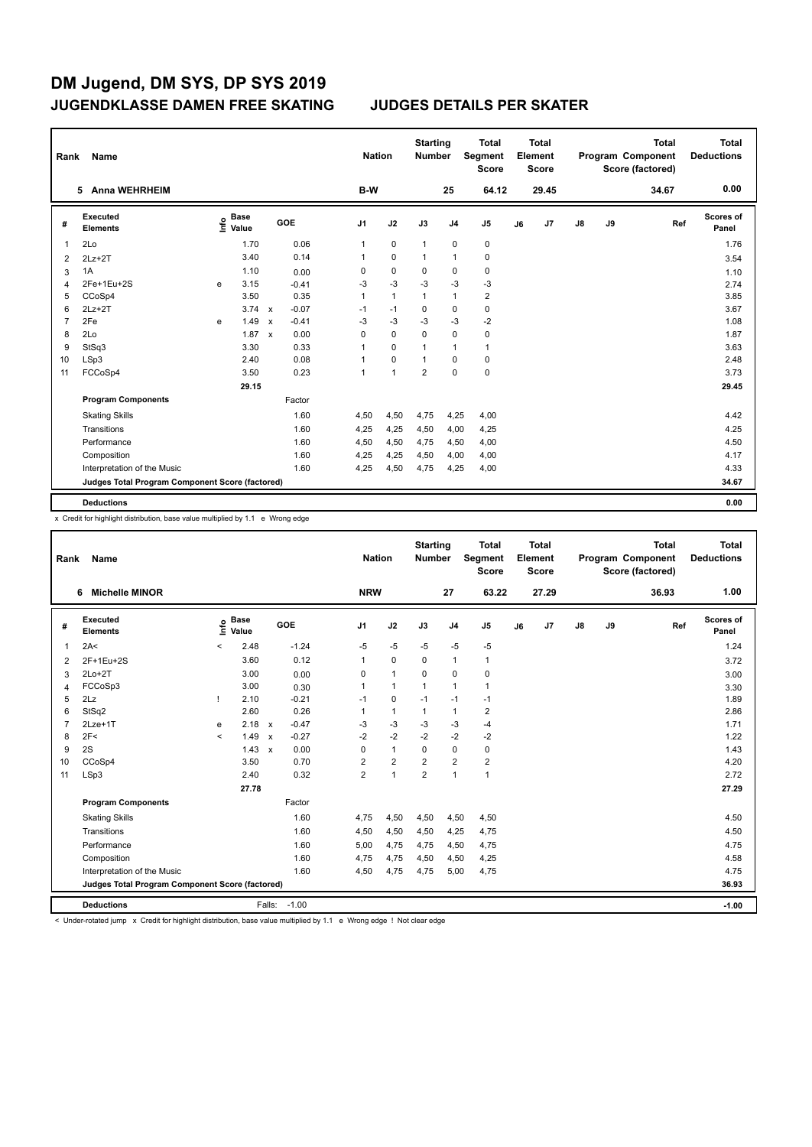|    | Name<br>Rank<br><b>Anna WEHRHEIM</b><br>5.      |   |                                  |               |                         |                | <b>Nation</b>  | <b>Starting</b><br><b>Number</b> |                | <b>Total</b><br>Segment<br><b>Score</b> |    | <b>Total</b><br>Element<br><b>Score</b> |               |    | <b>Total</b><br>Program Component<br>Score (factored) | <b>Total</b><br><b>Deductions</b> |
|----|-------------------------------------------------|---|----------------------------------|---------------|-------------------------|----------------|----------------|----------------------------------|----------------|-----------------------------------------|----|-----------------------------------------|---------------|----|-------------------------------------------------------|-----------------------------------|
|    |                                                 |   |                                  |               |                         | B-W            |                |                                  | 25             | 64.12                                   |    | 29.45                                   |               |    | 34.67                                                 | 0.00                              |
| #  | Executed<br><b>Elements</b>                     |   | <b>Base</b><br>e Base<br>⊆ Value |               | GOE                     | J <sub>1</sub> | J2             | J3                               | J <sub>4</sub> | J5                                      | J6 | J7                                      | $\mathsf{J}8$ | J9 | Ref                                                   | <b>Scores of</b><br>Panel         |
| -1 | 2Lo                                             |   | 1.70                             |               | 0.06                    | 1              | $\mathbf 0$    | $\mathbf{1}$                     | $\pmb{0}$      | $\pmb{0}$                               |    |                                         |               |    |                                                       | 1.76                              |
| 2  | $2Lz+2T$                                        |   |                                  | 3.40          | 0.14                    | 1              | $\mathbf 0$    | $\mathbf{1}$                     | $\overline{1}$ | $\pmb{0}$                               |    |                                         |               |    |                                                       | 3.54                              |
| 3  | 1A                                              |   | 1.10                             |               | 0.00                    | 0              | $\mathbf 0$    | 0                                | 0              | 0                                       |    |                                         |               |    |                                                       | 1.10                              |
| 4  | 2Fe+1Eu+2S                                      | e |                                  | 3.15          | $-0.41$                 | $-3$           | $-3$           | $-3$                             | $-3$           | $-3$                                    |    |                                         |               |    |                                                       | 2.74                              |
| 5  | CCoSp4                                          |   |                                  | 3.50          | 0.35                    | 1              | $\mathbf{1}$   | $\overline{1}$                   | $\mathbf{1}$   | $\overline{2}$                          |    |                                         |               |    |                                                       | 3.85                              |
| 6  | $2Lz+2T$                                        |   |                                  | $3.74 \times$ | $-0.07$                 | $-1$           | $-1$           | $\Omega$                         | $\mathbf 0$    | $\pmb{0}$                               |    |                                         |               |    |                                                       | 3.67                              |
| 7  | 2Fe                                             | e |                                  | 1.49          | $-0.41$<br>$\mathsf{x}$ | $-3$           | $-3$           | $-3$                             | $-3$           | $-2$                                    |    |                                         |               |    |                                                       | 1.08                              |
| 8  | 2Lo                                             |   |                                  | 1.87          | 0.00<br>$\mathsf{x}$    | 0              | $\mathbf 0$    | 0                                | $\mathbf 0$    | 0                                       |    |                                         |               |    |                                                       | 1.87                              |
| 9  | StSq3                                           |   |                                  | 3.30          | 0.33                    | 1              | 0              | 1                                | $\mathbf{1}$   | $\mathbf{1}$                            |    |                                         |               |    |                                                       | 3.63                              |
| 10 | LSp3                                            |   |                                  | 2.40          | 0.08                    | 1              | 0              | 1                                | $\mathbf 0$    | $\mathbf 0$                             |    |                                         |               |    |                                                       | 2.48                              |
| 11 | FCCoSp4                                         |   |                                  | 3.50          | 0.23                    | 1              | $\overline{1}$ | $\overline{2}$                   | $\mathbf 0$    | $\pmb{0}$                               |    |                                         |               |    |                                                       | 3.73                              |
|    |                                                 |   |                                  | 29.15         |                         |                |                |                                  |                |                                         |    |                                         |               |    |                                                       | 29.45                             |
|    | <b>Program Components</b>                       |   |                                  |               | Factor                  |                |                |                                  |                |                                         |    |                                         |               |    |                                                       |                                   |
|    | <b>Skating Skills</b>                           |   |                                  |               | 1.60                    | 4,50           | 4,50           | 4,75                             | 4,25           | 4,00                                    |    |                                         |               |    |                                                       | 4.42                              |
|    | Transitions                                     |   |                                  |               | 1.60                    | 4,25           | 4,25           | 4,50                             | 4,00           | 4,25                                    |    |                                         |               |    |                                                       | 4.25                              |
|    | Performance                                     |   |                                  |               | 1.60                    | 4,50           | 4,50           | 4,75                             | 4,50           | 4,00                                    |    |                                         |               |    |                                                       | 4.50                              |
|    | Composition                                     |   |                                  |               | 1.60                    | 4,25           | 4,25           | 4,50                             | 4,00           | 4,00                                    |    |                                         |               |    |                                                       | 4.17                              |
|    | Interpretation of the Music                     |   |                                  |               | 1.60                    | 4,25           | 4,50           | 4,75                             | 4,25           | 4,00                                    |    |                                         |               |    |                                                       | 4.33                              |
|    | Judges Total Program Component Score (factored) |   |                                  |               |                         |                |                |                                  |                |                                         |    |                                         |               |    |                                                       | 34.67                             |
|    | <b>Deductions</b>                               |   |                                  |               |                         |                |                |                                  |                |                                         |    |                                         |               |    |                                                       | 0.00                              |

x Credit for highlight distribution, base value multiplied by 1.1 e Wrong edge

| Rank           | <b>Name</b>                                     |         | <b>Nation</b>        |                           | <b>Starting</b><br><b>Number</b> |                | <b>Total</b><br>Segment<br>Score |                | <b>Total</b><br>Element<br><b>Score</b> |                         |    | <b>Total</b><br>Program Component<br>Score (factored) | Total<br><b>Deductions</b> |    |       |                    |
|----------------|-------------------------------------------------|---------|----------------------|---------------------------|----------------------------------|----------------|----------------------------------|----------------|-----------------------------------------|-------------------------|----|-------------------------------------------------------|----------------------------|----|-------|--------------------|
|                | <b>Michelle MINOR</b><br>6                      |         |                      |                           |                                  | <b>NRW</b>     |                                  |                | 27                                      | 63.22                   |    | 27.29                                                 |                            |    | 36.93 | 1.00               |
| #              | Executed<br><b>Elements</b>                     | ١nf٥    | <b>Base</b><br>Value |                           | GOE                              | J <sub>1</sub> | J2                               | J3             | J <sub>4</sub>                          | J <sub>5</sub>          | J6 | J7                                                    | $\mathsf{J}8$              | J9 | Ref   | Scores of<br>Panel |
| $\mathbf 1$    | 2A<                                             | $\prec$ | 2.48                 |                           | $-1.24$                          | $-5$           | $-5$                             | $-5$           | $-5$                                    | $-5$                    |    |                                                       |                            |    |       | 1.24               |
| 2              | 2F+1Eu+2S                                       |         | 3.60                 |                           | 0.12                             | 1              | $\mathbf 0$                      | $\mathbf 0$    | $\mathbf{1}$                            | $\mathbf{1}$            |    |                                                       |                            |    |       | 3.72               |
| 3              | $2Lo+2T$                                        |         | 3.00                 |                           | 0.00                             | 0              | $\mathbf{1}$                     | $\mathbf 0$    | $\pmb{0}$                               | 0                       |    |                                                       |                            |    |       | 3.00               |
| 4              | FCCoSp3                                         |         | 3.00                 |                           | 0.30                             | $\mathbf{1}$   | $\mathbf{1}$                     | $\mathbf{1}$   | $\mathbf{1}$                            | 1                       |    |                                                       |                            |    |       | 3.30               |
| 5              | 2Lz                                             |         | 2.10                 |                           | $-0.21$                          | $-1$           | $\mathbf 0$                      | $-1$           | $-1$                                    | $-1$                    |    |                                                       |                            |    |       | 1.89               |
| 6              | StSq2                                           |         | 2.60                 |                           | 0.26                             |                | $\mathbf{1}$                     | 1              | $\mathbf{1}$                            | 2                       |    |                                                       |                            |    |       | 2.86               |
| $\overline{7}$ | $2Lze+1T$                                       | e       | 2.18                 | $\mathsf{x}$              | $-0.47$                          | $-3$           | $-3$                             | $-3$           | $-3$                                    | $-4$                    |    |                                                       |                            |    |       | 1.71               |
| 8              | 2F<                                             | $\,<$   | 1.49                 | $\boldsymbol{\mathsf{x}}$ | $-0.27$                          | $-2$           | $-2$                             | $-2$           | $-2$                                    | $-2$                    |    |                                                       |                            |    |       | 1.22               |
| 9              | 2S                                              |         | 1.43                 | $\boldsymbol{\mathsf{x}}$ | 0.00                             | $\Omega$       | $\mathbf{1}$                     | $\Omega$       | $\mathbf 0$                             | $\mathbf 0$             |    |                                                       |                            |    |       | 1.43               |
| 10             | CCoSp4                                          |         | 3.50                 |                           | 0.70                             | 2              | $\overline{2}$                   | $\overline{2}$ | $\overline{2}$                          | $\overline{\mathbf{c}}$ |    |                                                       |                            |    |       | 4.20               |
| 11             | LSp3                                            |         | 2.40                 |                           | 0.32                             | $\overline{2}$ | $\mathbf{1}$                     | $\overline{2}$ | $\mathbf{1}$                            | $\mathbf{1}$            |    |                                                       |                            |    |       | 2.72               |
|                |                                                 |         | 27.78                |                           |                                  |                |                                  |                |                                         |                         |    |                                                       |                            |    |       | 27.29              |
|                | <b>Program Components</b>                       |         |                      |                           | Factor                           |                |                                  |                |                                         |                         |    |                                                       |                            |    |       |                    |
|                | <b>Skating Skills</b>                           |         |                      |                           | 1.60                             | 4,75           | 4,50                             | 4,50           | 4,50                                    | 4,50                    |    |                                                       |                            |    |       | 4.50               |
|                | Transitions                                     |         |                      |                           | 1.60                             | 4,50           | 4,50                             | 4,50           | 4,25                                    | 4,75                    |    |                                                       |                            |    |       | 4.50               |
|                | Performance                                     |         |                      |                           | 1.60                             | 5,00           | 4,75                             | 4,75           | 4,50                                    | 4,75                    |    |                                                       |                            |    |       | 4.75               |
|                | Composition                                     |         |                      |                           | 1.60                             | 4,75           | 4,75                             | 4,50           | 4,50                                    | 4,25                    |    |                                                       |                            |    |       | 4.58               |
|                | Interpretation of the Music                     |         |                      |                           | 1.60                             | 4,50           | 4,75                             | 4,75           | 5,00                                    | 4,75                    |    |                                                       |                            |    |       | 4.75               |
|                | Judges Total Program Component Score (factored) |         |                      |                           |                                  |                |                                  |                |                                         |                         |    |                                                       |                            |    |       | 36.93              |
|                | <b>Deductions</b>                               |         |                      |                           | Falls: -1.00                     |                |                                  |                |                                         |                         |    |                                                       |                            |    |       | $-1.00$            |

< Under-rotated jump x Credit for highlight distribution, base value multiplied by 1.1 e Wrong edge ! Not clear edge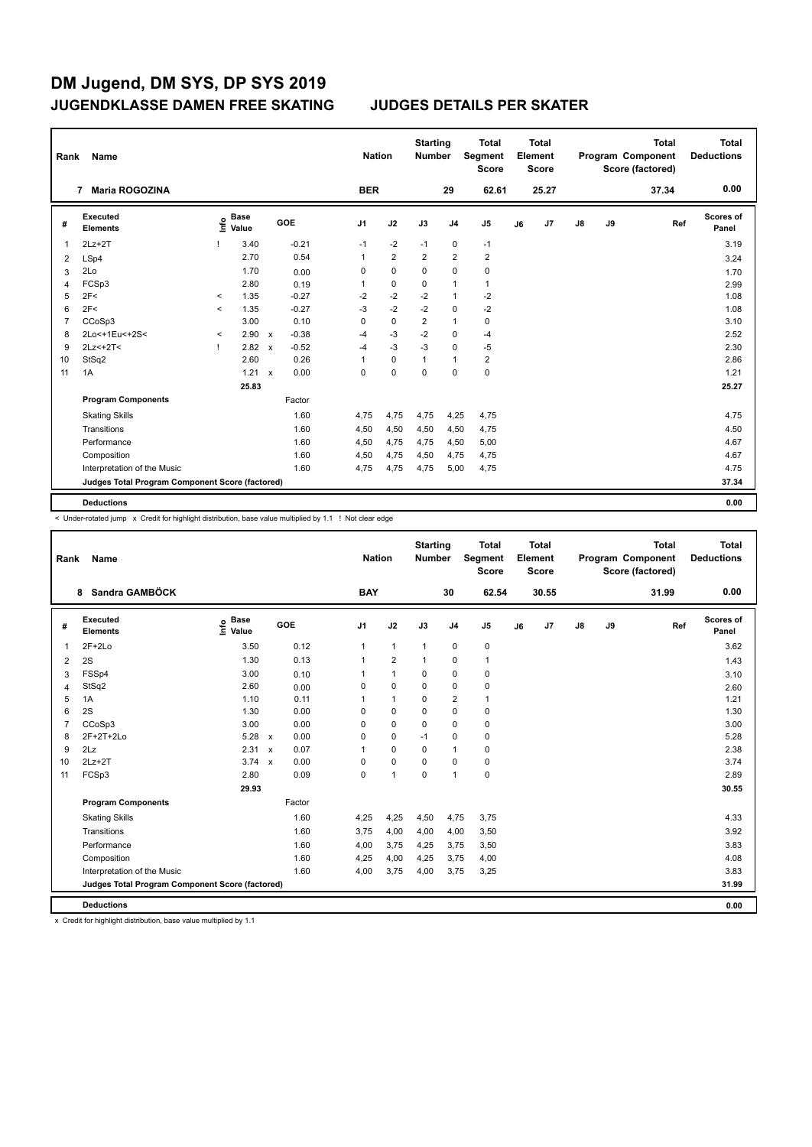| Rank | Name                                            |              |                      | <b>Nation</b> | <b>Starting</b><br><b>Number</b> |                | <b>Total</b><br>Segment<br><b>Score</b> |                | <b>Total</b><br>Element<br>Score |                |    | <b>Total</b><br>Program Component<br>Score (factored) | <b>Total</b><br><b>Deductions</b> |    |       |                           |
|------|-------------------------------------------------|--------------|----------------------|---------------|----------------------------------|----------------|-----------------------------------------|----------------|----------------------------------|----------------|----|-------------------------------------------------------|-----------------------------------|----|-------|---------------------------|
|      | <b>Maria ROGOZINA</b><br>7                      |              |                      |               |                                  | <b>BER</b>     |                                         |                | 29                               | 62.61          |    | 25.27                                                 |                                   |    | 37.34 | 0.00                      |
| #    | <b>Executed</b><br><b>Elements</b>              | ١nf٥         | <b>Base</b><br>Value |               | GOE                              | J <sub>1</sub> | J2                                      | J3             | J <sub>4</sub>                   | J5             | J6 | J7                                                    | $\mathsf{J}8$                     | J9 | Ref   | <b>Scores of</b><br>Panel |
| 1    | $2Lz+2T$                                        |              | 3.40                 |               | $-0.21$                          | $-1$           | $-2$                                    | $-1$           | 0                                | $-1$           |    |                                                       |                                   |    |       | 3.19                      |
| 2    | LSp4                                            |              | 2.70                 |               | 0.54                             | 1              | $\overline{2}$                          | $\overline{2}$ | $\overline{2}$                   | $\overline{2}$ |    |                                                       |                                   |    |       | 3.24                      |
| 3    | 2Lo                                             |              | 1.70                 |               | 0.00                             | 0              | $\mathbf 0$                             | 0              | $\mathbf 0$                      | 0              |    |                                                       |                                   |    |       | 1.70                      |
| 4    | FCSp3                                           |              | 2.80                 |               | 0.19                             | 1              | $\mathbf 0$                             | $\mathbf 0$    | $\overline{1}$                   | $\mathbf{1}$   |    |                                                       |                                   |    |       | 2.99                      |
| 5    | 2F<                                             | $\prec$      | 1.35                 |               | $-0.27$                          | $-2$           | $-2$                                    | $-2$           | $\mathbf{1}$                     | $-2$           |    |                                                       |                                   |    |       | 1.08                      |
| 6    | 2F<                                             | $\prec$      | 1.35                 |               | $-0.27$                          | $-3$           | $-2$                                    | $-2$           | 0                                | $-2$           |    |                                                       |                                   |    |       | 1.08                      |
| 7    | CCoSp3                                          |              | 3.00                 |               | 0.10                             | 0              | $\mathbf 0$                             | 2              | $\mathbf{1}$                     | $\pmb{0}$      |    |                                                       |                                   |    |       | 3.10                      |
| 8    | 2Lo<+1Eu<+2S<                                   | $\checkmark$ | 2.90                 | $\mathsf{x}$  | $-0.38$                          | $-4$           | $-3$                                    | $-2$           | 0                                | $-4$           |    |                                                       |                                   |    |       | 2.52                      |
| 9    | $2Lz<+2T<$                                      | Т.           | 2.82                 | $\mathbf{x}$  | $-0.52$                          | $-4$           | $-3$                                    | $-3$           | $\mathbf 0$                      | $-5$           |    |                                                       |                                   |    |       | 2.30                      |
| 10   | StSq2                                           |              | 2.60                 |               | 0.26                             | 1              | 0                                       | $\mathbf{1}$   | $\overline{1}$                   | $\overline{2}$ |    |                                                       |                                   |    |       | 2.86                      |
| 11   | 1A                                              |              | 1.21                 | $\mathsf{x}$  | 0.00                             | 0              | 0                                       | 0              | $\mathbf 0$                      | $\pmb{0}$      |    |                                                       |                                   |    |       | 1.21                      |
|      |                                                 |              | 25.83                |               |                                  |                |                                         |                |                                  |                |    |                                                       |                                   |    |       | 25.27                     |
|      | <b>Program Components</b>                       |              |                      |               | Factor                           |                |                                         |                |                                  |                |    |                                                       |                                   |    |       |                           |
|      | <b>Skating Skills</b>                           |              |                      |               | 1.60                             | 4,75           | 4,75                                    | 4,75           | 4,25                             | 4,75           |    |                                                       |                                   |    |       | 4.75                      |
|      | Transitions                                     |              |                      |               | 1.60                             | 4,50           | 4,50                                    | 4,50           | 4,50                             | 4,75           |    |                                                       |                                   |    |       | 4.50                      |
|      | Performance                                     |              |                      |               | 1.60                             | 4,50           | 4,75                                    | 4,75           | 4,50                             | 5,00           |    |                                                       |                                   |    |       | 4.67                      |
|      | Composition                                     |              |                      |               | 1.60                             | 4,50           | 4,75                                    | 4,50           | 4,75                             | 4,75           |    |                                                       |                                   |    |       | 4.67                      |
|      | Interpretation of the Music                     |              |                      |               | 1.60                             | 4,75           | 4,75                                    | 4,75           | 5,00                             | 4,75           |    |                                                       |                                   |    |       | 4.75                      |
|      | Judges Total Program Component Score (factored) |              |                      |               |                                  |                |                                         |                |                                  |                |    |                                                       |                                   |    |       | 37.34                     |
|      | <b>Deductions</b>                               |              |                      |               |                                  |                |                                         |                |                                  |                |    |                                                       |                                   |    |       | 0.00                      |

< Under-rotated jump x Credit for highlight distribution, base value multiplied by 1.1 ! Not clear edge

| Rank           | <b>Name</b>                                     |                              | <b>Nation</b>        | <b>Starting</b><br><b>Number</b> |                | <b>Total</b><br>Segment<br><b>Score</b> |                | <b>Total</b><br>Element<br><b>Score</b> |    |       | Total<br>Program Component<br>Score (factored) | <b>Total</b><br><b>Deductions</b> |       |                    |
|----------------|-------------------------------------------------|------------------------------|----------------------|----------------------------------|----------------|-----------------------------------------|----------------|-----------------------------------------|----|-------|------------------------------------------------|-----------------------------------|-------|--------------------|
|                | 8 Sandra GAMBÖCK                                |                              |                      | <b>BAY</b>                       |                |                                         | 30             | 62.54                                   |    | 30.55 |                                                |                                   | 31.99 | 0.00               |
| #              | Executed<br><b>Elements</b>                     | <b>Base</b><br>١nf٥<br>Value | GOE                  | J <sub>1</sub>                   | J2             | J3                                      | J <sub>4</sub> | J <sub>5</sub>                          | J6 | J7    | J8                                             | J9                                | Ref   | Scores of<br>Panel |
| 1              | $2F+2Lo$                                        | 3.50                         | 0.12                 | $\mathbf{1}$                     | $\mathbf{1}$   | 1                                       | $\mathbf 0$    | 0                                       |    |       |                                                |                                   |       | 3.62               |
| 2              | 2S                                              | 1.30                         | 0.13                 | 1                                | $\overline{2}$ | $\mathbf{1}$                            | $\mathbf 0$    | $\mathbf{1}$                            |    |       |                                                |                                   |       | 1.43               |
| 3              | FSSp4                                           | 3.00                         | 0.10                 |                                  | $\mathbf{1}$   | 0                                       | 0              | 0                                       |    |       |                                                |                                   |       | 3.10               |
| 4              | StSq2                                           | 2.60                         | 0.00                 | 0                                | $\mathbf 0$    | $\Omega$                                | 0              | 0                                       |    |       |                                                |                                   |       | 2.60               |
| 5              | 1A                                              | 1.10                         | 0.11                 |                                  | $\mathbf{1}$   | 0                                       | 2              | 1                                       |    |       |                                                |                                   |       | 1.21               |
| 6              | 2S                                              | 1.30                         | 0.00                 | 0                                | $\mathbf 0$    | 0                                       | $\Omega$       | 0                                       |    |       |                                                |                                   |       | 1.30               |
| $\overline{7}$ | CCoSp3                                          | 3.00                         | 0.00                 | 0                                | 0              | $\Omega$                                | $\mathbf 0$    | 0                                       |    |       |                                                |                                   |       | 3.00               |
| 8              | 2F+2T+2Lo                                       | 5.28                         | 0.00<br>$\mathsf{x}$ | $\Omega$                         | $\mathbf 0$    | $-1$                                    | $\mathbf 0$    | 0                                       |    |       |                                                |                                   |       | 5.28               |
| 9              | 2Lz                                             | 2.31                         | 0.07<br>$\mathbf{x}$ | 1                                | $\Omega$       | $\Omega$                                | $\mathbf{1}$   | 0                                       |    |       |                                                |                                   |       | 2.38               |
| 10             | $2Lz+2T$                                        | $3.74 \times$                | 0.00                 | 0                                | $\mathbf 0$    | $\Omega$                                | $\mathbf 0$    | 0                                       |    |       |                                                |                                   |       | 3.74               |
| 11             | FCSp3                                           | 2.80                         | 0.09                 | $\mathbf 0$                      | 1              | $\Omega$                                | 1              | 0                                       |    |       |                                                |                                   |       | 2.89               |
|                |                                                 | 29.93                        |                      |                                  |                |                                         |                |                                         |    |       |                                                |                                   |       | 30.55              |
|                | <b>Program Components</b>                       |                              | Factor               |                                  |                |                                         |                |                                         |    |       |                                                |                                   |       |                    |
|                | <b>Skating Skills</b>                           |                              | 1.60                 | 4,25                             | 4,25           | 4,50                                    | 4,75           | 3,75                                    |    |       |                                                |                                   |       | 4.33               |
|                | Transitions                                     |                              | 1.60                 | 3,75                             | 4,00           | 4,00                                    | 4,00           | 3,50                                    |    |       |                                                |                                   |       | 3.92               |
|                | Performance                                     |                              | 1.60                 | 4.00                             | 3.75           | 4.25                                    | 3.75           | 3,50                                    |    |       |                                                |                                   |       | 3.83               |
|                | Composition                                     |                              | 1.60                 | 4,25                             | 4,00           | 4,25                                    | 3,75           | 4,00                                    |    |       |                                                |                                   |       | 4.08               |
|                | Interpretation of the Music                     |                              | 1.60                 | 4,00                             | 3,75           | 4,00                                    | 3,75           | 3,25                                    |    |       |                                                |                                   |       | 3.83               |
|                | Judges Total Program Component Score (factored) |                              |                      |                                  |                |                                         |                |                                         |    |       |                                                |                                   |       | 31.99              |
|                | <b>Deductions</b>                               |                              |                      |                                  |                |                                         |                |                                         |    |       |                                                |                                   |       | 0.00               |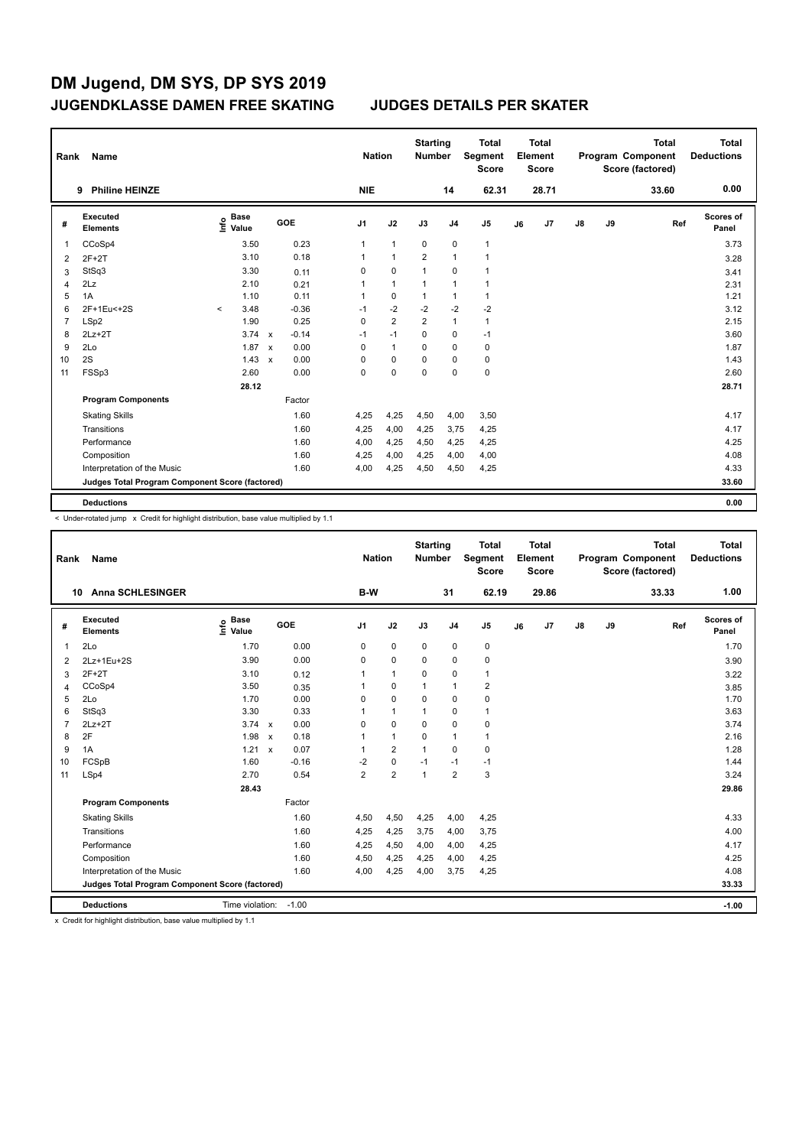| Rank | Name<br><b>Philine HEINZE</b><br>9              |         |                      |              |         |  | <b>Nation</b>  |                | <b>Starting</b><br><b>Number</b> |                | <b>Total</b><br>Segment<br><b>Score</b> |    | <b>Total</b><br>Element<br><b>Score</b> |               |    | <b>Total</b><br>Program Component<br>Score (factored) | <b>Total</b><br><b>Deductions</b> |
|------|-------------------------------------------------|---------|----------------------|--------------|---------|--|----------------|----------------|----------------------------------|----------------|-----------------------------------------|----|-----------------------------------------|---------------|----|-------------------------------------------------------|-----------------------------------|
|      |                                                 |         |                      |              |         |  | <b>NIE</b>     |                |                                  | 14             | 62.31                                   |    | 28.71                                   |               |    | 33.60                                                 | 0.00                              |
| #    | <b>Executed</b><br><b>Elements</b>              | ١nf٥    | <b>Base</b><br>Value |              | GOE     |  | J <sub>1</sub> | J2             | J3                               | J <sub>4</sub> | J5                                      | J6 | J7                                      | $\mathsf{J}8$ | J9 | Ref                                                   | Scores of<br>Panel                |
| 1    | CCoSp4                                          |         | 3.50                 |              | 0.23    |  | 1              | $\mathbf{1}$   | 0                                | $\pmb{0}$      | $\mathbf{1}$                            |    |                                         |               |    |                                                       | 3.73                              |
| 2    | $2F+2T$                                         |         | 3.10                 |              | 0.18    |  | 1              | $\mathbf{1}$   | $\overline{2}$                   | $\mathbf{1}$   | $\mathbf{1}$                            |    |                                         |               |    |                                                       | 3.28                              |
| 3    | StSq3                                           |         | 3.30                 |              | 0.11    |  | 0              | $\mathbf 0$    | $\overline{1}$                   | $\mathbf 0$    | $\overline{1}$                          |    |                                         |               |    |                                                       | 3.41                              |
| 4    | 2Lz                                             |         | 2.10                 |              | 0.21    |  | 1              | $\mathbf{1}$   | 1                                | $\overline{1}$ | $\overline{1}$                          |    |                                         |               |    |                                                       | 2.31                              |
| 5    | 1A                                              |         | 1.10                 |              | 0.11    |  | 1              | 0              | $\mathbf{1}$                     | $\mathbf{1}$   | $\mathbf{1}$                            |    |                                         |               |    |                                                       | 1.21                              |
| 6    | 2F+1Eu<+2S                                      | $\prec$ | 3.48                 |              | $-0.36$ |  | $-1$           | $-2$           | $-2$                             | $-2$           | $-2$                                    |    |                                         |               |    |                                                       | 3.12                              |
| 7    | LSp2                                            |         | 1.90                 |              | 0.25    |  | 0              | $\overline{2}$ | $\overline{2}$                   | $\mathbf{1}$   | $\mathbf{1}$                            |    |                                         |               |    |                                                       | 2.15                              |
| 8    | $2Lz+2T$                                        |         | $3.74 \times$        |              | $-0.14$ |  | $-1$           | $-1$           | $\Omega$                         | $\mathbf 0$    | $-1$                                    |    |                                         |               |    |                                                       | 3.60                              |
| 9    | 2Lo                                             |         | 1.87                 | $\mathbf{x}$ | 0.00    |  | 0              | $\mathbf{1}$   | 0                                | $\mathbf 0$    | $\pmb{0}$                               |    |                                         |               |    |                                                       | 1.87                              |
| 10   | 2S                                              |         | 1.43                 | $\mathsf{x}$ | 0.00    |  | 0              | 0              | 0                                | 0              | 0                                       |    |                                         |               |    |                                                       | 1.43                              |
| 11   | FSSp3                                           |         | 2.60                 |              | 0.00    |  | 0              | 0              | 0                                | $\mathbf 0$    | $\mathbf 0$                             |    |                                         |               |    |                                                       | 2.60                              |
|      |                                                 |         | 28.12                |              |         |  |                |                |                                  |                |                                         |    |                                         |               |    |                                                       | 28.71                             |
|      | <b>Program Components</b>                       |         |                      |              | Factor  |  |                |                |                                  |                |                                         |    |                                         |               |    |                                                       |                                   |
|      | <b>Skating Skills</b>                           |         |                      |              | 1.60    |  | 4,25           | 4,25           | 4,50                             | 4,00           | 3,50                                    |    |                                         |               |    |                                                       | 4.17                              |
|      | Transitions                                     |         |                      |              | 1.60    |  | 4,25           | 4,00           | 4,25                             | 3,75           | 4,25                                    |    |                                         |               |    |                                                       | 4.17                              |
|      | Performance                                     |         |                      |              | 1.60    |  | 4,00           | 4,25           | 4,50                             | 4,25           | 4,25                                    |    |                                         |               |    |                                                       | 4.25                              |
|      | Composition                                     |         |                      |              | 1.60    |  | 4,25           | 4,00           | 4,25                             | 4,00           | 4,00                                    |    |                                         |               |    |                                                       | 4.08                              |
|      | Interpretation of the Music                     |         |                      |              | 1.60    |  | 4,00           | 4,25           | 4,50                             | 4,50           | 4,25                                    |    |                                         |               |    |                                                       | 4.33                              |
|      | Judges Total Program Component Score (factored) |         |                      |              |         |  |                |                |                                  |                |                                         |    |                                         |               |    |                                                       | 33.60                             |
|      | <b>Deductions</b>                               |         |                      |              |         |  |                |                |                                  |                |                                         |    |                                         |               |    |                                                       | 0.00                              |

< Under-rotated jump x Credit for highlight distribution, base value multiplied by 1.1

| Rank           | <b>Name</b>                                     |                              |                           |         | <b>Nation</b>  |                | <b>Starting</b><br><b>Number</b> |                | <b>Total</b><br>Segment<br><b>Score</b> |    | Total<br>Element<br><b>Score</b> |               |    | <b>Total</b><br>Program Component<br>Score (factored) | Total<br><b>Deductions</b> |
|----------------|-------------------------------------------------|------------------------------|---------------------------|---------|----------------|----------------|----------------------------------|----------------|-----------------------------------------|----|----------------------------------|---------------|----|-------------------------------------------------------|----------------------------|
| 10             | <b>Anna SCHLESINGER</b>                         |                              |                           |         | B-W            |                |                                  | 31             | 62.19                                   |    | 29.86                            |               |    | 33.33                                                 | 1.00                       |
| #              | Executed<br><b>Elements</b>                     | <b>Base</b><br>Info<br>Value |                           | GOE     | J <sub>1</sub> | J2             | J3                               | J <sub>4</sub> | J <sub>5</sub>                          | J6 | J7                               | $\mathsf{J}8$ | J9 | Ref                                                   | Scores of<br>Panel         |
| $\overline{1}$ | 2Lo                                             | 1.70                         |                           | 0.00    | 0              | $\pmb{0}$      | 0                                | $\mathbf 0$    | 0                                       |    |                                  |               |    |                                                       | 1.70                       |
| 2              | 2Lz+1Eu+2S                                      | 3.90                         |                           | 0.00    | $\Omega$       | $\mathbf 0$    | $\Omega$                         | $\mathbf 0$    | $\mathbf 0$                             |    |                                  |               |    |                                                       | 3.90                       |
| 3              | $2F+2T$                                         | 3.10                         |                           | 0.12    | 1              | $\mathbf{1}$   | 0                                | $\mathbf 0$    | $\mathbf{1}$                            |    |                                  |               |    |                                                       | 3.22                       |
| 4              | CCoSp4                                          | 3.50                         |                           | 0.35    | 1              | $\mathbf 0$    | $\mathbf{1}$                     | $\mathbf{1}$   | $\overline{2}$                          |    |                                  |               |    |                                                       | 3.85                       |
| 5              | 2Lo                                             | 1.70                         |                           | 0.00    | 0              | $\mathbf 0$    | $\mathbf 0$                      | $\mathbf 0$    | $\pmb{0}$                               |    |                                  |               |    |                                                       | 1.70                       |
| 6              | StSq3                                           | 3.30                         |                           | 0.33    | 1              | $\mathbf{1}$   | 1                                | 0              | $\mathbf{1}$                            |    |                                  |               |    |                                                       | 3.63                       |
| $\overline{7}$ | $2Lz+2T$                                        | $3.74 \times$                |                           | 0.00    | $\Omega$       | $\mathbf 0$    | $\Omega$                         | $\mathbf 0$    | 0                                       |    |                                  |               |    |                                                       | 3.74                       |
| 8              | 2F                                              | 1.98                         | $\boldsymbol{\mathsf{x}}$ | 0.18    | 1              | $\overline{1}$ | $\Omega$                         | $\mathbf{1}$   | $\mathbf{1}$                            |    |                                  |               |    |                                                       | 2.16                       |
| 9              | 1A                                              | 1.21                         | $\mathsf{x}$              | 0.07    | 1              | $\overline{2}$ | 1                                | $\Omega$       | 0                                       |    |                                  |               |    |                                                       | 1.28                       |
| 10             | FCSpB                                           | 1.60                         |                           | $-0.16$ | -2             | $\pmb{0}$      | $-1$                             | $-1$           | $-1$                                    |    |                                  |               |    |                                                       | 1.44                       |
| 11             | LSp4                                            | 2.70                         |                           | 0.54    | $\overline{2}$ | $\overline{2}$ | $\mathbf{1}$                     | $\overline{2}$ | 3                                       |    |                                  |               |    |                                                       | 3.24                       |
|                |                                                 | 28.43                        |                           |         |                |                |                                  |                |                                         |    |                                  |               |    |                                                       | 29.86                      |
|                | <b>Program Components</b>                       |                              |                           | Factor  |                |                |                                  |                |                                         |    |                                  |               |    |                                                       |                            |
|                | <b>Skating Skills</b>                           |                              |                           | 1.60    | 4,50           | 4,50           | 4,25                             | 4,00           | 4,25                                    |    |                                  |               |    |                                                       | 4.33                       |
|                | Transitions                                     |                              |                           | 1.60    | 4,25           | 4,25           | 3,75                             | 4,00           | 3,75                                    |    |                                  |               |    |                                                       | 4.00                       |
|                | Performance                                     |                              |                           | 1.60    | 4,25           | 4,50           | 4,00                             | 4,00           | 4,25                                    |    |                                  |               |    |                                                       | 4.17                       |
|                | Composition                                     |                              |                           | 1.60    | 4,50           | 4,25           | 4,25                             | 4,00           | 4,25                                    |    |                                  |               |    |                                                       | 4.25                       |
|                | Interpretation of the Music                     |                              |                           | 1.60    | 4,00           | 4,25           | 4,00                             | 3,75           | 4,25                                    |    |                                  |               |    |                                                       | 4.08                       |
|                | Judges Total Program Component Score (factored) |                              |                           |         |                |                |                                  |                |                                         |    |                                  |               |    |                                                       | 33.33                      |
|                | <b>Deductions</b>                               | Time violation: -1.00        |                           |         |                |                |                                  |                |                                         |    |                                  |               |    |                                                       | $-1.00$                    |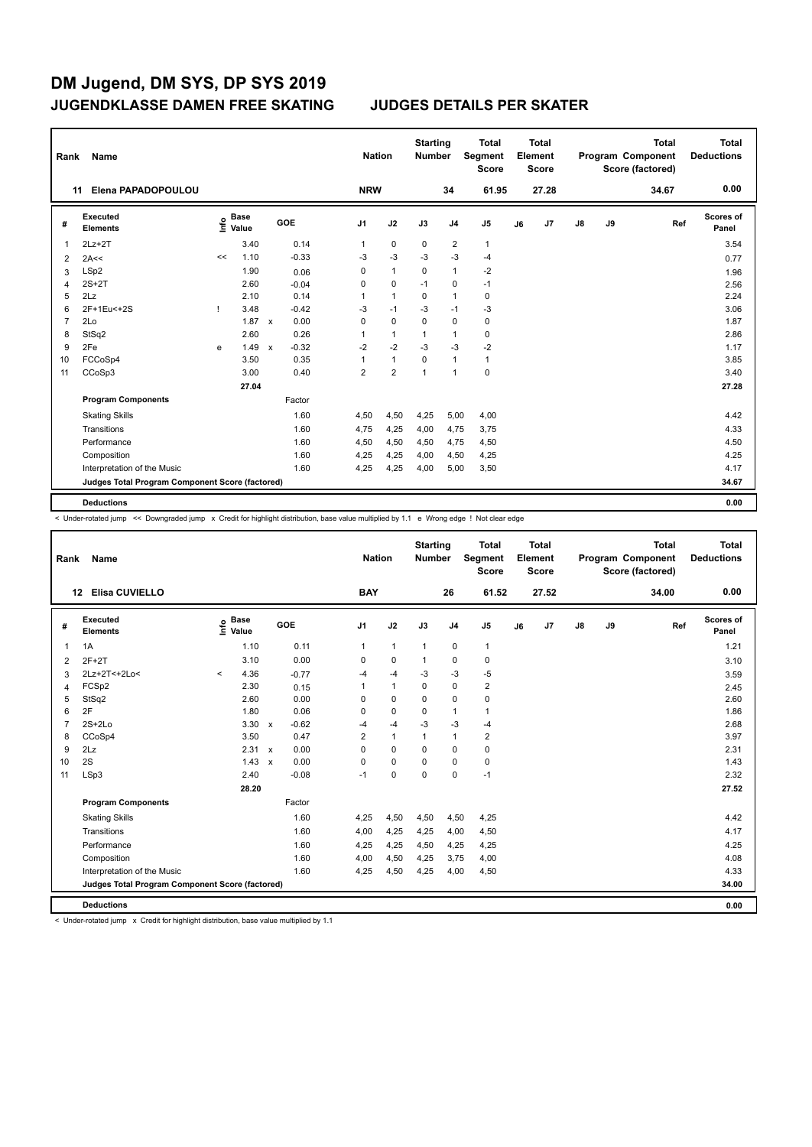| Rank | Name                                            |    |                      |              | <b>Nation</b> | <b>Starting</b><br><b>Number</b> |                | <b>Total</b><br>Segment<br><b>Score</b> |                | <b>Total</b><br>Element<br><b>Score</b> |    |       | <b>Total</b><br>Program Component<br>Score (factored) | <b>Total</b><br><b>Deductions</b> |       |                    |
|------|-------------------------------------------------|----|----------------------|--------------|---------------|----------------------------------|----------------|-----------------------------------------|----------------|-----------------------------------------|----|-------|-------------------------------------------------------|-----------------------------------|-------|--------------------|
|      | Elena PAPADOPOULOU<br>11                        |    |                      |              |               | <b>NRW</b>                       |                |                                         | 34             | 61.95                                   |    | 27.28 |                                                       |                                   | 34.67 | 0.00               |
| #    | <b>Executed</b><br><b>Elements</b>              | ۴ê | <b>Base</b><br>Value |              | GOE           | J <sub>1</sub>                   | J2             | J3                                      | J <sub>4</sub> | J <sub>5</sub>                          | J6 | J7    | $\mathsf{J}8$                                         | J9                                | Ref   | Scores of<br>Panel |
| 1    | $2Lz+2T$                                        |    | 3.40                 |              | 0.14          | 1                                | $\mathbf 0$    | 0                                       | 2              | $\mathbf{1}$                            |    |       |                                                       |                                   |       | 3.54               |
| 2    | 2A<<                                            | << | 1.10                 |              | $-0.33$       | -3                               | $-3$           | $-3$                                    | $-3$           | $-4$                                    |    |       |                                                       |                                   |       | 0.77               |
| 3    | LSp2                                            |    | 1.90                 |              | 0.06          | 0                                | $\mathbf{1}$   | 0                                       | $\mathbf{1}$   | $-2$                                    |    |       |                                                       |                                   |       | 1.96               |
|      | $2S+2T$                                         |    | 2.60                 |              | $-0.04$       | $\mathbf 0$                      | $\mathbf 0$    | $-1$                                    | $\Omega$       | $-1$                                    |    |       |                                                       |                                   |       | 2.56               |
| 5    | 2Lz                                             |    | 2.10                 |              | 0.14          | 1                                | $\mathbf{1}$   | $\mathbf 0$                             | $\mathbf{1}$   | $\pmb{0}$                               |    |       |                                                       |                                   |       | 2.24               |
| 6    | 2F+1Eu<+2S                                      | Τ. | 3.48                 |              | $-0.42$       | -3                               | $-1$           | $-3$                                    | $-1$           | $-3$                                    |    |       |                                                       |                                   |       | 3.06               |
|      | 2Lo                                             |    | 1.87                 | $\mathsf{x}$ | 0.00          | $\mathbf 0$                      | 0              | $\mathbf 0$                             | $\Omega$       | $\pmb{0}$                               |    |       |                                                       |                                   |       | 1.87               |
| 8    | StSq2                                           |    | 2.60                 |              | 0.26          | 1                                | $\mathbf{1}$   | $\mathbf 1$                             | 1              | 0                                       |    |       |                                                       |                                   |       | 2.86               |
| 9    | 2Fe                                             | e  | 1.49                 | $\mathsf{x}$ | $-0.32$       | $-2$                             | $-2$           | $-3$                                    | $-3$           | $-2$                                    |    |       |                                                       |                                   |       | 1.17               |
| 10   | FCCoSp4                                         |    | 3.50                 |              | 0.35          | 1                                | $\mathbf{1}$   | 0                                       | $\mathbf{1}$   | $\mathbf{1}$                            |    |       |                                                       |                                   |       | 3.85               |
| 11   | CCoSp3                                          |    | 3.00                 |              | 0.40          | $\overline{2}$                   | $\overline{2}$ | $\mathbf{1}$                            | $\mathbf{1}$   | $\pmb{0}$                               |    |       |                                                       |                                   |       | 3.40               |
|      |                                                 |    | 27.04                |              |               |                                  |                |                                         |                |                                         |    |       |                                                       |                                   |       | 27.28              |
|      | <b>Program Components</b>                       |    |                      |              | Factor        |                                  |                |                                         |                |                                         |    |       |                                                       |                                   |       |                    |
|      | <b>Skating Skills</b>                           |    |                      |              | 1.60          | 4,50                             | 4,50           | 4,25                                    | 5,00           | 4,00                                    |    |       |                                                       |                                   |       | 4.42               |
|      | Transitions                                     |    |                      |              | 1.60          | 4,75                             | 4,25           | 4,00                                    | 4,75           | 3,75                                    |    |       |                                                       |                                   |       | 4.33               |
|      | Performance                                     |    |                      |              | 1.60          | 4,50                             | 4,50           | 4,50                                    | 4,75           | 4,50                                    |    |       |                                                       |                                   |       | 4.50               |
|      | Composition                                     |    |                      |              | 1.60          | 4,25                             | 4,25           | 4,00                                    | 4,50           | 4,25                                    |    |       |                                                       |                                   |       | 4.25               |
|      | Interpretation of the Music                     |    |                      |              | 1.60          | 4,25                             | 4,25           | 4,00                                    | 5,00           | 3,50                                    |    |       |                                                       |                                   |       | 4.17               |
|      | Judges Total Program Component Score (factored) |    |                      |              |               |                                  |                |                                         |                |                                         |    |       |                                                       |                                   |       | 34.67              |
|      | <b>Deductions</b>                               |    |                      |              |               |                                  |                |                                         |                |                                         |    |       |                                                       |                                   |       | 0.00               |

< Under-rotated jump << Downgraded jump x Credit for highlight distribution, base value multiplied by 1.1 e Wrong edge ! Not clear edge

| Rank           | Name                                            |         |                      |             |            | <b>Nation</b>  |              | <b>Starting</b><br><b>Number</b> |                | <b>Total</b><br>Segment<br><b>Score</b> |    | Total<br>Element<br><b>Score</b> |               |    | <b>Total</b><br>Program Component<br>Score (factored) | <b>Total</b><br><b>Deductions</b> |
|----------------|-------------------------------------------------|---------|----------------------|-------------|------------|----------------|--------------|----------------------------------|----------------|-----------------------------------------|----|----------------------------------|---------------|----|-------------------------------------------------------|-----------------------------------|
|                | Elisa CUVIELLO<br>12                            |         |                      |             |            | <b>BAY</b>     |              |                                  | 26             | 61.52                                   |    | 27.52                            |               |    | 34.00                                                 | 0.00                              |
| #              | <b>Executed</b><br><b>Elements</b>              | ۴۵      | <b>Base</b><br>Value |             | <b>GOE</b> | J <sub>1</sub> | J2           | J3                               | J <sub>4</sub> | J <sub>5</sub>                          | J6 | J7                               | $\mathsf{J}8$ | J9 | Ref                                                   | <b>Scores of</b><br>Panel         |
| 1              | 1A                                              |         | 1.10                 |             | 0.11       | 1              | $\mathbf{1}$ | $\overline{1}$                   | $\mathbf 0$    | $\mathbf{1}$                            |    |                                  |               |    |                                                       | 1.21                              |
| 2              | $2F+2T$                                         |         | 3.10                 |             | 0.00       | 0              | $\mathbf 0$  | $\mathbf{1}$                     | 0              | 0                                       |    |                                  |               |    |                                                       | 3.10                              |
| 3              | 2Lz+2T<+2Lo<                                    | $\prec$ | 4.36                 |             | $-0.77$    | $-4$           | $-4$         | -3                               | $-3$           | $-5$                                    |    |                                  |               |    |                                                       | 3.59                              |
| $\overline{4}$ | FCSp2                                           |         | 2.30                 |             | 0.15       | 1              | $\mathbf{1}$ | $\mathbf 0$                      | $\mathbf 0$    | $\overline{2}$                          |    |                                  |               |    |                                                       | 2.45                              |
| 5              | StSq2                                           |         | 2.60                 |             | 0.00       | 0              | $\mathbf 0$  | $\Omega$                         | $\mathbf 0$    | $\mathbf 0$                             |    |                                  |               |    |                                                       | 2.60                              |
| 6              | 2F                                              |         | 1.80                 |             | 0.06       | 0              | $\mathbf 0$  | 0                                | $\overline{1}$ | $\mathbf{1}$                            |    |                                  |               |    |                                                       | 1.86                              |
| $\overline{7}$ | $2S+2Lo$                                        |         | $3.30 \times$        |             | $-0.62$    | $-4$           | $-4$         | $-3$                             | $-3$           | $-4$                                    |    |                                  |               |    |                                                       | 2.68                              |
| 8              | CCoSp4                                          |         | 3.50                 |             | 0.47       | $\overline{2}$ | $\mathbf{1}$ | 1                                | $\mathbf{1}$   | $\overline{2}$                          |    |                                  |               |    |                                                       | 3.97                              |
| 9              | 2Lz                                             |         | $2.31 \times$        |             | 0.00       | 0              | $\Omega$     | 0                                | 0              | $\mathbf 0$                             |    |                                  |               |    |                                                       | 2.31                              |
| 10             | 2S                                              |         | 1.43                 | $\mathbf x$ | 0.00       | 0              | $\mathbf 0$  | 0                                | $\mathbf 0$    | $\pmb{0}$                               |    |                                  |               |    |                                                       | 1.43                              |
| 11             | LSp3                                            |         | 2.40                 |             | $-0.08$    | $-1$           | 0            | 0                                | 0              | $-1$                                    |    |                                  |               |    |                                                       | 2.32                              |
|                |                                                 |         | 28.20                |             |            |                |              |                                  |                |                                         |    |                                  |               |    |                                                       | 27.52                             |
|                | <b>Program Components</b>                       |         |                      |             | Factor     |                |              |                                  |                |                                         |    |                                  |               |    |                                                       |                                   |
|                | <b>Skating Skills</b>                           |         |                      |             | 1.60       | 4,25           | 4,50         | 4,50                             | 4,50           | 4,25                                    |    |                                  |               |    |                                                       | 4.42                              |
|                | Transitions                                     |         |                      |             | 1.60       | 4,00           | 4,25         | 4,25                             | 4,00           | 4,50                                    |    |                                  |               |    |                                                       | 4.17                              |
|                | Performance                                     |         |                      |             | 1.60       | 4,25           | 4,25         | 4,50                             | 4,25           | 4,25                                    |    |                                  |               |    |                                                       | 4.25                              |
|                | Composition                                     |         |                      |             | 1.60       | 4,00           | 4,50         | 4,25                             | 3,75           | 4,00                                    |    |                                  |               |    |                                                       | 4.08                              |
|                | Interpretation of the Music                     |         |                      |             | 1.60       | 4,25           | 4,50         | 4,25                             | 4,00           | 4,50                                    |    |                                  |               |    |                                                       | 4.33                              |
|                | Judges Total Program Component Score (factored) |         |                      |             |            |                |              |                                  |                |                                         |    |                                  |               |    |                                                       | 34.00                             |
|                | <b>Deductions</b>                               |         |                      |             |            |                |              |                                  |                |                                         |    |                                  |               |    |                                                       | 0.00                              |

< Under-rotated jump x Credit for highlight distribution, base value multiplied by 1.1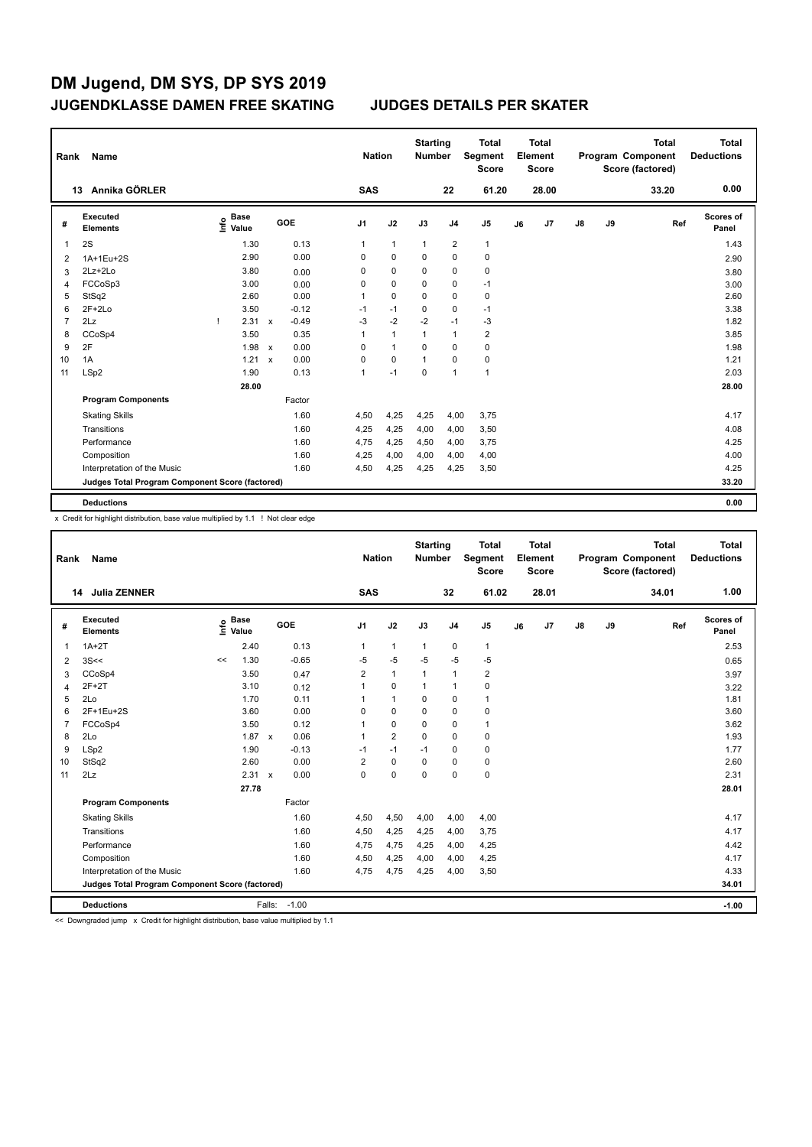| Rank           | Name                                            |                                  |                         | <b>Nation</b>  |              | <b>Starting</b><br><b>Number</b> |                | <b>Total</b><br>Segment<br><b>Score</b> |    | <b>Total</b><br>Element<br><b>Score</b> |               |    | <b>Total</b><br>Program Component<br>Score (factored) | <b>Total</b><br><b>Deductions</b> |
|----------------|-------------------------------------------------|----------------------------------|-------------------------|----------------|--------------|----------------------------------|----------------|-----------------------------------------|----|-----------------------------------------|---------------|----|-------------------------------------------------------|-----------------------------------|
|                | 13 Annika GÖRLER                                |                                  |                         | <b>SAS</b>     |              |                                  | 22             | 61.20                                   |    | 28.00                                   |               |    | 33.20                                                 | 0.00                              |
| #              | Executed<br><b>Elements</b>                     | <b>Base</b><br>e Base<br>⊆ Value | <b>GOE</b>              | J <sub>1</sub> | J2           | J3                               | J <sub>4</sub> | J <sub>5</sub>                          | J6 | J7                                      | $\mathsf{J}8$ | J9 | Ref                                                   | Scores of<br>Panel                |
| -1             | 2S                                              | 1.30                             | 0.13                    | 1              | $\mathbf{1}$ | $\mathbf{1}$                     | $\overline{2}$ | $\mathbf{1}$                            |    |                                         |               |    |                                                       | 1.43                              |
| 2              | 1A+1Eu+2S                                       | 2.90                             | 0.00                    | $\Omega$       | $\mathbf 0$  | 0                                | 0              | $\mathbf 0$                             |    |                                         |               |    |                                                       | 2.90                              |
| 3              | 2Lz+2Lo                                         | 3.80                             | 0.00                    | 0              | $\mathbf 0$  | 0                                | $\mathbf 0$    | $\pmb{0}$                               |    |                                         |               |    |                                                       | 3.80                              |
| $\overline{4}$ | FCCoSp3                                         | 3.00                             | 0.00                    | 0              | $\mathbf 0$  | 0                                | $\mathbf 0$    | $-1$                                    |    |                                         |               |    |                                                       | 3.00                              |
| 5              | StSq2                                           | 2.60                             | 0.00                    | 1              | $\mathbf 0$  | $\Omega$                         | $\mathbf 0$    | $\pmb{0}$                               |    |                                         |               |    |                                                       | 2.60                              |
| 6              | $2F+2Lo$                                        | 3.50                             | $-0.12$                 | $-1$           | $-1$         | 0                                | 0              | $-1$                                    |    |                                         |               |    |                                                       | 3.38                              |
| 7              | 2Lz                                             | 2.31<br>ı                        | $-0.49$<br>$\mathbf{x}$ | $-3$           | $-2$         | $-2$                             | $-1$           | $-3$                                    |    |                                         |               |    |                                                       | 1.82                              |
| 8              | CCoSp4                                          | 3.50                             | 0.35                    | 1              | $\mathbf{1}$ | 1                                | $\overline{1}$ | $\overline{2}$                          |    |                                         |               |    |                                                       | 3.85                              |
| 9              | 2F                                              | 1.98                             | 0.00<br>$\mathsf{x}$    | 0              | $\mathbf{1}$ | 0                                | 0              | $\pmb{0}$                               |    |                                         |               |    |                                                       | 1.98                              |
| 10             | 1A                                              | 1.21                             | 0.00<br>$\mathsf{x}$    | 0              | $\mathbf 0$  | 1                                | 0              | $\pmb{0}$                               |    |                                         |               |    |                                                       | 1.21                              |
| 11             | LSp2                                            | 1.90                             | 0.13                    | 1              | $-1$         | 0                                | $\overline{1}$ | $\mathbf{1}$                            |    |                                         |               |    |                                                       | 2.03                              |
|                |                                                 | 28.00                            |                         |                |              |                                  |                |                                         |    |                                         |               |    |                                                       | 28.00                             |
|                | <b>Program Components</b>                       |                                  | Factor                  |                |              |                                  |                |                                         |    |                                         |               |    |                                                       |                                   |
|                | <b>Skating Skills</b>                           |                                  | 1.60                    | 4,50           | 4,25         | 4,25                             | 4,00           | 3,75                                    |    |                                         |               |    |                                                       | 4.17                              |
|                | Transitions                                     |                                  | 1.60                    | 4,25           | 4,25         | 4,00                             | 4,00           | 3,50                                    |    |                                         |               |    |                                                       | 4.08                              |
|                | Performance                                     |                                  | 1.60                    | 4,75           | 4,25         | 4,50                             | 4,00           | 3,75                                    |    |                                         |               |    |                                                       | 4.25                              |
|                | Composition                                     |                                  | 1.60                    | 4,25           | 4,00         | 4,00                             | 4,00           | 4,00                                    |    |                                         |               |    |                                                       | 4.00                              |
|                | Interpretation of the Music                     |                                  | 1.60                    | 4,50           | 4,25         | 4,25                             | 4,25           | 3,50                                    |    |                                         |               |    |                                                       | 4.25                              |
|                | Judges Total Program Component Score (factored) |                                  |                         |                |              |                                  |                |                                         |    |                                         |               |    |                                                       | 33.20                             |
|                | <b>Deductions</b>                               |                                  |                         |                |              |                                  |                |                                         |    |                                         |               |    |                                                       | 0.00                              |

x Credit for highlight distribution, base value multiplied by 1.1 ! Not clear edge

| Rank           | <b>Name</b>                                     |      |                      |              |              |                         | <b>Nation</b>  | <b>Starting</b><br><b>Number</b> |                | <b>Total</b><br>Segment<br><b>Score</b> |    | <b>Total</b><br>Element<br><b>Score</b> |               |    | <b>Total</b><br>Program Component<br>Score (factored) |     | Total<br><b>Deductions</b> |
|----------------|-------------------------------------------------|------|----------------------|--------------|--------------|-------------------------|----------------|----------------------------------|----------------|-----------------------------------------|----|-----------------------------------------|---------------|----|-------------------------------------------------------|-----|----------------------------|
|                | Julia ZENNER<br>14                              |      |                      |              |              | <b>SAS</b>              |                |                                  | 32             | 61.02                                   |    | 28.01                                   |               |    | 34.01                                                 |     | 1.00                       |
| #              | Executed<br><b>Elements</b>                     | lnfo | <b>Base</b><br>Value |              | GOE          | J <sub>1</sub>          | J2             | J3                               | J <sub>4</sub> | J <sub>5</sub>                          | J6 | J7                                      | $\mathsf{J}8$ | J9 |                                                       | Ref | Scores of<br>Panel         |
| $\overline{1}$ | $1A+2T$                                         |      | 2.40                 |              | 0.13         | 1                       | $\mathbf{1}$   | $\mathbf{1}$                     | $\pmb{0}$      | $\mathbf{1}$                            |    |                                         |               |    |                                                       |     | 2.53                       |
| 2              | 3S<<                                            | <<   | 1.30                 |              | $-0.65$      | $-5$                    | $-5$           | $-5$                             | $-5$           | $-5$                                    |    |                                         |               |    |                                                       |     | 0.65                       |
| 3              | CCoSp4                                          |      | 3.50                 |              | 0.47         | $\overline{\mathbf{c}}$ | $\mathbf{1}$   | $\mathbf{1}$                     | $\mathbf{1}$   | $\overline{2}$                          |    |                                         |               |    |                                                       |     | 3.97                       |
| 4              | $2F+2T$                                         |      | 3.10                 |              | 0.12         | 1                       | $\mathbf 0$    | $\mathbf{1}$                     | $\mathbf{1}$   | $\mathbf 0$                             |    |                                         |               |    |                                                       |     | 3.22                       |
| 5              | 2Lo                                             |      | 1.70                 |              | 0.11         |                         | $\mathbf{1}$   | 0                                | $\mathbf 0$    | 1                                       |    |                                         |               |    |                                                       |     | 1.81                       |
| 6              | 2F+1Eu+2S                                       |      | 3.60                 |              | 0.00         | 0                       | $\mathbf 0$    | $\mathbf 0$                      | $\mathbf 0$    | 0                                       |    |                                         |               |    |                                                       |     | 3.60                       |
| $\overline{7}$ | FCCoSp4                                         |      | 3.50                 |              | 0.12         |                         | $\mathbf 0$    | $\Omega$                         | $\mathbf 0$    | 1                                       |    |                                         |               |    |                                                       |     | 3.62                       |
| 8              | 2Lo                                             |      | $1.87 \times$        |              | 0.06         | $\mathbf{1}$            | $\overline{2}$ | $\Omega$                         | $\Omega$       | $\mathbf 0$                             |    |                                         |               |    |                                                       |     | 1.93                       |
| 9              | LSp2                                            |      | 1.90                 |              | $-0.13$      | $-1$                    | $-1$           | $-1$                             | 0              | $\mathbf 0$                             |    |                                         |               |    |                                                       |     | 1.77                       |
| 10             | StSq2                                           |      | 2.60                 |              | 0.00         | 2                       | 0              | 0                                | 0              | 0                                       |    |                                         |               |    |                                                       |     | 2.60                       |
| 11             | 2Lz                                             |      | 2.31                 | $\mathsf{x}$ | 0.00         | $\mathbf 0$             | $\pmb{0}$      | $\mathbf 0$                      | $\mathbf 0$    | 0                                       |    |                                         |               |    |                                                       |     | 2.31                       |
|                |                                                 |      | 27.78                |              |              |                         |                |                                  |                |                                         |    |                                         |               |    |                                                       |     | 28.01                      |
|                | <b>Program Components</b>                       |      |                      |              | Factor       |                         |                |                                  |                |                                         |    |                                         |               |    |                                                       |     |                            |
|                | <b>Skating Skills</b>                           |      |                      |              | 1.60         | 4,50                    | 4,50           | 4,00                             | 4,00           | 4,00                                    |    |                                         |               |    |                                                       |     | 4.17                       |
|                | Transitions                                     |      |                      |              | 1.60         | 4,50                    | 4,25           | 4,25                             | 4,00           | 3,75                                    |    |                                         |               |    |                                                       |     | 4.17                       |
|                | Performance                                     |      |                      |              | 1.60         | 4,75                    | 4,75           | 4,25                             | 4,00           | 4,25                                    |    |                                         |               |    |                                                       |     | 4.42                       |
|                | Composition                                     |      |                      |              | 1.60         | 4,50                    | 4,25           | 4,00                             | 4,00           | 4,25                                    |    |                                         |               |    |                                                       |     | 4.17                       |
|                | Interpretation of the Music                     |      |                      |              | 1.60         | 4,75                    | 4,75           | 4,25                             | 4,00           | 3,50                                    |    |                                         |               |    |                                                       |     | 4.33                       |
|                | Judges Total Program Component Score (factored) |      |                      |              |              |                         |                |                                  |                |                                         |    |                                         |               |    |                                                       |     | 34.01                      |
|                | <b>Deductions</b>                               |      |                      |              | Falls: -1.00 |                         |                |                                  |                |                                         |    |                                         |               |    |                                                       |     | $-1.00$                    |

<< Downgraded jump x Credit for highlight distribution, base value multiplied by 1.1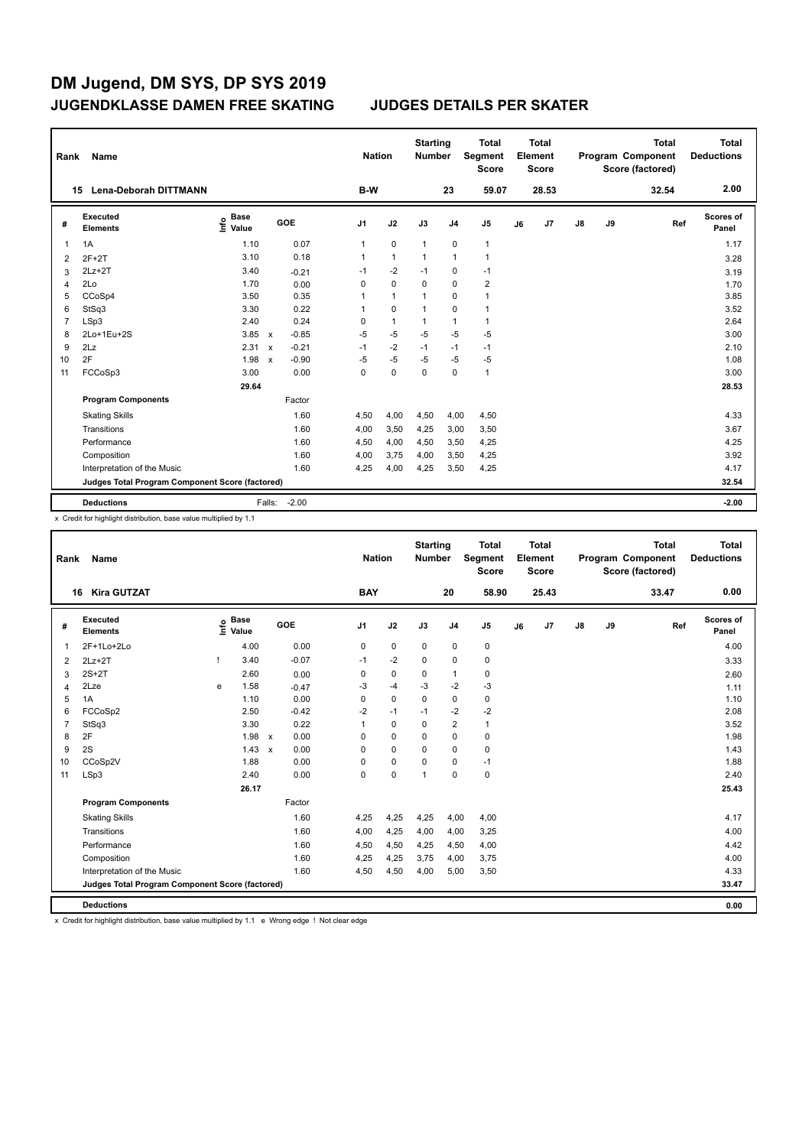| Rank           | Name                                            |                           |                           |         | <b>Nation</b>  |                | <b>Starting</b><br><b>Number</b> |                | <b>Total</b><br>Segment<br><b>Score</b> |    | <b>Total</b><br>Element<br><b>Score</b> |               |    | <b>Total</b><br>Program Component<br>Score (factored) | <b>Total</b><br><b>Deductions</b> |
|----------------|-------------------------------------------------|---------------------------|---------------------------|---------|----------------|----------------|----------------------------------|----------------|-----------------------------------------|----|-----------------------------------------|---------------|----|-------------------------------------------------------|-----------------------------------|
|                | <b>Lena-Deborah DITTMANN</b><br>15              |                           |                           |         | <b>B-W</b>     |                |                                  | 23             | 59.07                                   |    | 28.53                                   |               |    | 32.54                                                 | 2.00                              |
| #              | Executed<br><b>Elements</b>                     | <b>Base</b><br>۴<br>Value |                           | GOE     | J <sub>1</sub> | J2             | J3                               | J <sub>4</sub> | J <sub>5</sub>                          | J6 | J <sub>7</sub>                          | $\mathsf{J}8$ | J9 | Ref                                                   | <b>Scores of</b><br>Panel         |
| 1              | 1A                                              | 1.10                      |                           | 0.07    | 1              | $\mathbf 0$    | $\mathbf{1}$                     | $\mathbf 0$    | $\mathbf{1}$                            |    |                                         |               |    |                                                       | 1.17                              |
| $\overline{2}$ | $2F+2T$                                         | 3.10                      |                           | 0.18    | 1              | $\overline{1}$ | $\overline{1}$                   | $\mathbf{1}$   | $\mathbf{1}$                            |    |                                         |               |    |                                                       | 3.28                              |
| 3              | $2Lz+2T$                                        | 3.40                      |                           | $-0.21$ | $-1$           | $-2$           | $-1$                             | $\mathbf 0$    | $-1$                                    |    |                                         |               |    |                                                       | 3.19                              |
| 4              | 2Lo                                             | 1.70                      |                           | 0.00    | 0              | $\mathbf 0$    | $\mathbf 0$                      | $\mathbf 0$    | $\overline{2}$                          |    |                                         |               |    |                                                       | 1.70                              |
| 5              | CCoSp4                                          | 3.50                      |                           | 0.35    | 1              | $\mathbf{1}$   | $\mathbf 1$                      | $\mathbf 0$    | $\mathbf{1}$                            |    |                                         |               |    |                                                       | 3.85                              |
| 6              | StSq3                                           | 3.30                      |                           | 0.22    | 1              | $\mathbf 0$    | $\overline{1}$                   | $\mathbf 0$    | $\mathbf{1}$                            |    |                                         |               |    |                                                       | 3.52                              |
| $\overline{7}$ | LSp3                                            | 2.40                      |                           | 0.24    | 0              | $\overline{1}$ | $\mathbf 1$                      | $\mathbf{1}$   | $\mathbf{1}$                            |    |                                         |               |    |                                                       | 2.64                              |
| 8              | 2Lo+1Eu+2S                                      | 3.85                      | $\mathsf{x}$              | $-0.85$ | $-5$           | $-5$           | $-5$                             | $-5$           | $-5$                                    |    |                                         |               |    |                                                       | 3.00                              |
| 9              | 2Lz                                             | 2.31                      | $\boldsymbol{\mathsf{x}}$ | $-0.21$ | $-1$           | $-2$           | $-1$                             | $-1$           | $-1$                                    |    |                                         |               |    |                                                       | 2.10                              |
| 10             | 2F                                              | 1.98                      | $\boldsymbol{\mathsf{x}}$ | $-0.90$ | $-5$           | $-5$           | $-5$                             | $-5$           | $-5$                                    |    |                                         |               |    |                                                       | 1.08                              |
| 11             | FCCoSp3                                         | 3.00                      |                           | 0.00    | 0              | $\mathbf 0$    | $\mathbf 0$                      | $\mathbf 0$    | $\mathbf{1}$                            |    |                                         |               |    |                                                       | 3.00                              |
|                |                                                 | 29.64                     |                           |         |                |                |                                  |                |                                         |    |                                         |               |    |                                                       | 28.53                             |
|                | <b>Program Components</b>                       |                           |                           | Factor  |                |                |                                  |                |                                         |    |                                         |               |    |                                                       |                                   |
|                | <b>Skating Skills</b>                           |                           |                           | 1.60    | 4,50           | 4,00           | 4,50                             | 4,00           | 4,50                                    |    |                                         |               |    |                                                       | 4.33                              |
|                | Transitions                                     |                           |                           | 1.60    | 4,00           | 3,50           | 4,25                             | 3,00           | 3,50                                    |    |                                         |               |    |                                                       | 3.67                              |
|                | Performance                                     |                           |                           | 1.60    | 4,50           | 4,00           | 4,50                             | 3,50           | 4,25                                    |    |                                         |               |    |                                                       | 4.25                              |
|                | Composition                                     |                           |                           | 1.60    | 4,00           | 3,75           | 4,00                             | 3,50           | 4,25                                    |    |                                         |               |    |                                                       | 3.92                              |
|                | Interpretation of the Music                     |                           |                           | 1.60    | 4,25           | 4,00           | 4,25                             | 3,50           | 4,25                                    |    |                                         |               |    |                                                       | 4.17                              |
|                | Judges Total Program Component Score (factored) |                           |                           |         |                |                |                                  |                |                                         |    |                                         |               |    |                                                       | 32.54                             |
|                | <b>Deductions</b>                               |                           | Falls:                    | $-2.00$ |                |                |                                  |                |                                         |    |                                         |               |    |                                                       | $-2.00$                           |

x Credit for highlight distribution, base value multiplied by 1.1

| Rank           | Name                                            |   |                                    |                      |                | <b>Nation</b> | <b>Starting</b><br><b>Number</b> |                | <b>Total</b><br>Segment<br><b>Score</b> |    | <b>Total</b><br>Element<br><b>Score</b> |               |    | <b>Total</b><br>Program Component<br>Score (factored) |     | <b>Total</b><br><b>Deductions</b> |
|----------------|-------------------------------------------------|---|------------------------------------|----------------------|----------------|---------------|----------------------------------|----------------|-----------------------------------------|----|-----------------------------------------|---------------|----|-------------------------------------------------------|-----|-----------------------------------|
|                | <b>Kira GUTZAT</b><br>16                        |   |                                    |                      | <b>BAY</b>     |               |                                  | 20             | 58.90                                   |    | 25.43                                   |               |    | 33.47                                                 |     | 0.00                              |
| #              | Executed<br><b>Elements</b>                     |   | <b>Base</b><br>$\frac{6}{5}$ Value | GOE                  | J <sub>1</sub> | J2            | J3                               | J <sub>4</sub> | J5                                      | J6 | J7                                      | $\mathsf{J}8$ | J9 |                                                       | Ref | Scores of<br>Panel                |
| 1              | 2F+1Lo+2Lo                                      |   | 4.00                               | 0.00                 | 0              | 0             | 0                                | $\mathbf 0$    | 0                                       |    |                                         |               |    |                                                       |     | 4.00                              |
| 2              | $2Lz+2T$                                        |   | 3.40                               | $-0.07$              | $-1$           | $-2$          | $\Omega$                         | $\mathbf 0$    | 0                                       |    |                                         |               |    |                                                       |     | 3.33                              |
| 3              | $2S+2T$                                         |   | 2.60                               | 0.00                 | 0              | 0             | 0                                | $\mathbf{1}$   | 0                                       |    |                                         |               |    |                                                       |     | 2.60                              |
| $\overline{4}$ | 2Lze                                            | e | 1.58                               | $-0.47$              | -3             | $-4$          | $-3$                             | $-2$           | $-3$                                    |    |                                         |               |    |                                                       |     | 1.11                              |
| 5              | 1A                                              |   | 1.10                               | 0.00                 | 0              | $\mathbf 0$   | $\Omega$                         | $\mathbf 0$    | 0                                       |    |                                         |               |    |                                                       |     | 1.10                              |
| 6              | FCCoSp2                                         |   | 2.50                               | $-0.42$              | -2             | $-1$          | $-1$                             | $-2$           | $-2$                                    |    |                                         |               |    |                                                       |     | 2.08                              |
| $\overline{7}$ | StSq3                                           |   | 3.30                               | 0.22                 | 1              | 0             | 0                                | $\overline{2}$ | $\mathbf{1}$                            |    |                                         |               |    |                                                       |     | 3.52                              |
| 8              | 2F                                              |   | 1.98                               | 0.00<br>$\mathsf{x}$ | 0              | $\mathbf 0$   | 0                                | $\mathbf 0$    | 0                                       |    |                                         |               |    |                                                       |     | 1.98                              |
| 9              | 2S                                              |   | 1.43                               | 0.00<br>$\mathbf{x}$ | $\Omega$       | $\Omega$      | $\Omega$                         | 0              | 0                                       |    |                                         |               |    |                                                       |     | 1.43                              |
| 10             | CCoSp2V                                         |   | 1.88                               | 0.00                 | 0              | $\mathbf 0$   | 0                                | 0              | $-1$                                    |    |                                         |               |    |                                                       |     | 1.88                              |
| 11             | LSp3                                            |   | 2.40                               | 0.00                 | 0              | $\pmb{0}$     | $\overline{1}$                   | $\mathbf 0$    | 0                                       |    |                                         |               |    |                                                       |     | 2.40                              |
|                |                                                 |   | 26.17                              |                      |                |               |                                  |                |                                         |    |                                         |               |    |                                                       |     | 25.43                             |
|                | <b>Program Components</b>                       |   |                                    | Factor               |                |               |                                  |                |                                         |    |                                         |               |    |                                                       |     |                                   |
|                | <b>Skating Skills</b>                           |   |                                    | 1.60                 | 4,25           | 4,25          | 4,25                             | 4,00           | 4,00                                    |    |                                         |               |    |                                                       |     | 4.17                              |
|                | Transitions                                     |   |                                    | 1.60                 | 4,00           | 4,25          | 4,00                             | 4,00           | 3,25                                    |    |                                         |               |    |                                                       |     | 4.00                              |
|                | Performance                                     |   |                                    | 1.60                 | 4,50           | 4,50          | 4,25                             | 4,50           | 4,00                                    |    |                                         |               |    |                                                       |     | 4.42                              |
|                | Composition                                     |   |                                    | 1.60                 | 4,25           | 4,25          | 3,75                             | 4,00           | 3,75                                    |    |                                         |               |    |                                                       |     | 4.00                              |
|                | Interpretation of the Music                     |   |                                    | 1.60                 | 4,50           | 4,50          | 4,00                             | 5,00           | 3,50                                    |    |                                         |               |    |                                                       |     | 4.33                              |
|                | Judges Total Program Component Score (factored) |   |                                    |                      |                |               |                                  |                |                                         |    |                                         |               |    |                                                       |     | 33.47                             |
|                | <b>Deductions</b>                               |   |                                    |                      |                |               |                                  |                |                                         |    |                                         |               |    |                                                       |     | 0.00                              |

x Credit for highlight distribution, base value multiplied by 1.1 e Wrong edge ! Not clear edge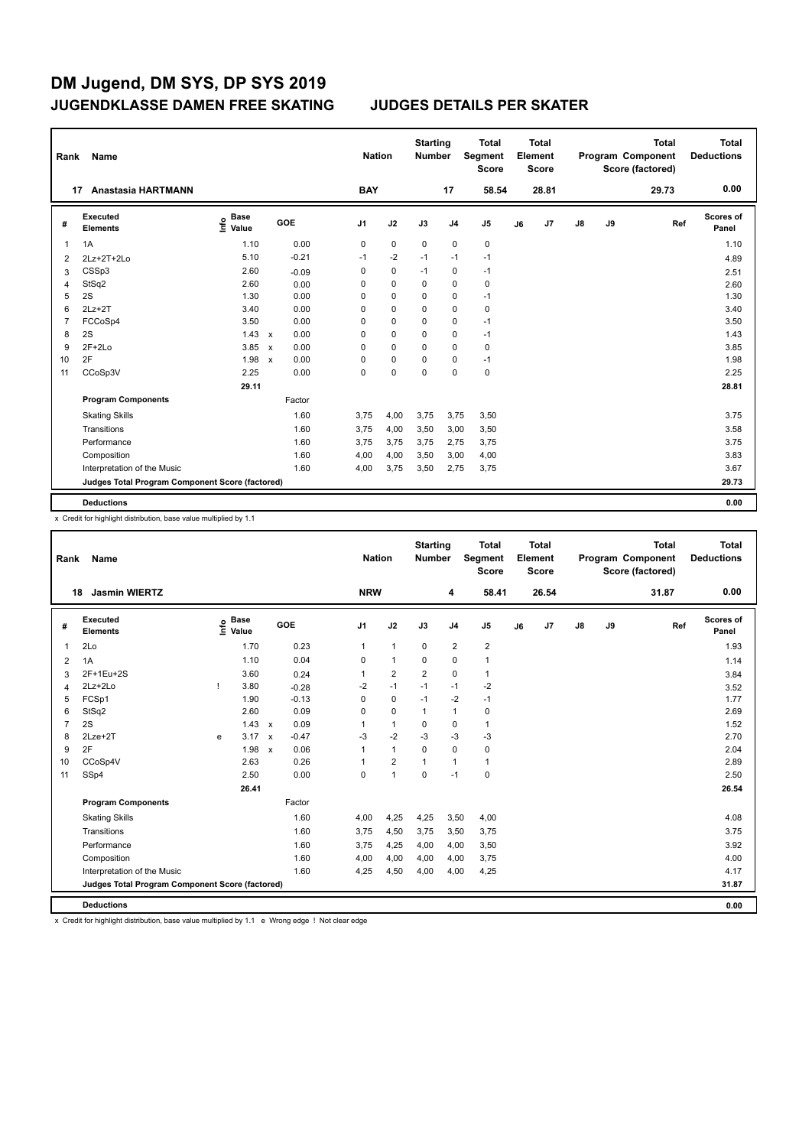**Total Deductions**

**Total**

**Program Component Score (factored)**

**Total** 

**Score**

**Element Segment**

**Total Score**

| Rank           | Name                                            |                           |                           |         |                | <b>Nation</b> |             | <b>Starting</b><br><b>Number</b> |                | <b>Total</b><br>Segment<br><b>Score</b> |    | <b>Total</b><br>Element<br><b>Score</b> |               |    | <b>Total</b><br>Program Component<br>Score (factored) | <b>Total</b><br><b>Deductions</b> |
|----------------|-------------------------------------------------|---------------------------|---------------------------|---------|----------------|---------------|-------------|----------------------------------|----------------|-----------------------------------------|----|-----------------------------------------|---------------|----|-------------------------------------------------------|-----------------------------------|
| 17             | <b>Anastasia HARTMANN</b>                       |                           |                           |         | <b>BAY</b>     |               |             |                                  | 17             | 58.54                                   |    | 28.81                                   |               |    | 29.73                                                 | 0.00                              |
| #              | Executed<br><b>Elements</b>                     | <b>Base</b><br>۴<br>Value |                           | GOE     | J <sub>1</sub> |               | J2          | J3                               | J <sub>4</sub> | J <sub>5</sub>                          | J6 | J7                                      | $\mathsf{J}8$ | J9 | Ref                                                   | <b>Scores of</b><br>Panel         |
| 1              | 1A                                              | 1.10                      |                           | 0.00    | 0              |               | $\mathbf 0$ | 0                                | $\mathbf 0$    | 0                                       |    |                                         |               |    |                                                       | 1.10                              |
| 2              | 2Lz+2T+2Lo                                      | 5.10                      |                           | $-0.21$ | $-1$           |               | $-2$        | $-1$                             | $-1$           | $-1$                                    |    |                                         |               |    |                                                       | 4.89                              |
| 3              | CSSp3                                           | 2.60                      |                           | $-0.09$ | 0              |               | $\mathbf 0$ | $-1$                             | $\mathbf 0$    | $-1$                                    |    |                                         |               |    |                                                       | 2.51                              |
| $\overline{4}$ | StSq2                                           | 2.60                      |                           | 0.00    | 0              |               | $\mathbf 0$ | $\Omega$                         | $\mathbf 0$    | $\pmb{0}$                               |    |                                         |               |    |                                                       | 2.60                              |
| 5              | 2S                                              | 1.30                      |                           | 0.00    | 0              |               | 0           | 0                                | 0              | $-1$                                    |    |                                         |               |    |                                                       | 1.30                              |
| 6              | $2Lz+2T$                                        | 3.40                      |                           | 0.00    | 0              |               | $\Omega$    | $\Omega$                         | $\mathbf 0$    | $\mathbf 0$                             |    |                                         |               |    |                                                       | 3.40                              |
| $\overline{7}$ | FCCoSp4                                         | 3.50                      |                           | 0.00    | 0              |               | $\mathbf 0$ | 0                                | $\mathbf 0$    | $-1$                                    |    |                                         |               |    |                                                       | 3.50                              |
| 8              | 2S                                              | 1.43                      | $\mathbf{x}$              | 0.00    | $\Omega$       |               | $\Omega$    | $\Omega$                         | $\mathbf 0$    | $-1$                                    |    |                                         |               |    |                                                       | 1.43                              |
| 9              | $2F+2Lo$                                        | 3.85                      | $\boldsymbol{\mathsf{x}}$ | 0.00    | 0              |               | 0           | 0                                | $\mathbf 0$    | 0                                       |    |                                         |               |    |                                                       | 3.85                              |
| 10             | 2F                                              | 1.98                      | $\boldsymbol{\mathsf{x}}$ | 0.00    | 0              |               | 0           | 0                                | 0              | $-1$                                    |    |                                         |               |    |                                                       | 1.98                              |
| 11             | CCoSp3V                                         | 2.25                      |                           | 0.00    | 0              |               | $\mathbf 0$ | $\mathbf 0$                      | $\mathbf 0$    | $\mathbf 0$                             |    |                                         |               |    |                                                       | 2.25                              |
|                |                                                 | 29.11                     |                           |         |                |               |             |                                  |                |                                         |    |                                         |               |    |                                                       | 28.81                             |
|                | <b>Program Components</b>                       |                           |                           | Factor  |                |               |             |                                  |                |                                         |    |                                         |               |    |                                                       |                                   |
|                | <b>Skating Skills</b>                           |                           |                           | 1.60    | 3.75           |               | 4,00        | 3,75                             | 3,75           | 3,50                                    |    |                                         |               |    |                                                       | 3.75                              |
|                | Transitions                                     |                           |                           | 1.60    | 3.75           |               | 4,00        | 3,50                             | 3,00           | 3,50                                    |    |                                         |               |    |                                                       | 3.58                              |
|                | Performance                                     |                           |                           | 1.60    | 3,75           |               | 3,75        | 3,75                             | 2,75           | 3,75                                    |    |                                         |               |    |                                                       | 3.75                              |
|                | Composition                                     |                           |                           | 1.60    | 4,00           |               | 4,00        | 3,50                             | 3,00           | 4,00                                    |    |                                         |               |    |                                                       | 3.83                              |
|                | Interpretation of the Music                     |                           |                           | 1.60    | 4,00           |               | 3,75        | 3,50                             | 2,75           | 3,75                                    |    |                                         |               |    |                                                       | 3.67                              |
|                | Judges Total Program Component Score (factored) |                           |                           |         |                |               |             |                                  |                |                                         |    |                                         |               |    |                                                       | 29.73                             |
|                | <b>Deductions</b>                               |                           |                           |         |                |               |             |                                  |                |                                         |    |                                         |               |    |                                                       | 0.00                              |

x Credit for highlight distribution, base value multiplied by 1.1

**Starting Rank Name Nation Number**

|                | <b>Jasmin WIERTZ</b><br>18                      |   |                                  |                           |         | <b>NRW</b>     |                      |                | 4              | 58.41                   |    | 26.54 |    |    | 31.87 | 0.00                      |
|----------------|-------------------------------------------------|---|----------------------------------|---------------------------|---------|----------------|----------------------|----------------|----------------|-------------------------|----|-------|----|----|-------|---------------------------|
| #              | <b>Executed</b><br><b>Elements</b>              |   | <b>Base</b><br>e Base<br>⊆ Value |                           | GOE     | J <sub>1</sub> | J2                   | J3             | J <sub>4</sub> | J <sub>5</sub>          | J6 | J7    | J8 | J9 | Ref   | <b>Scores of</b><br>Panel |
| 1              | 2Lo                                             |   | 1.70                             |                           | 0.23    | $\mathbf{1}$   | $\mathbf{1}$         | $\mathbf 0$    | $\overline{2}$ | $\overline{\mathbf{c}}$ |    |       |    |    |       | 1.93                      |
| $\overline{2}$ | 1A                                              |   | 1.10                             |                           | 0.04    | 0              | $\mathbf{1}$         | 0              | 0              | $\mathbf{1}$            |    |       |    |    |       | 1.14                      |
| 3              | 2F+1Eu+2S                                       |   | 3.60                             |                           | 0.24    |                | $\overline{2}$       | $\overline{2}$ | $\mathbf 0$    | $\mathbf{1}$            |    |       |    |    |       | 3.84                      |
| 4              | 2Lz+2Lo                                         |   | 3.80                             |                           | $-0.28$ | $-2$           | $-1$                 | $-1$           | $-1$           | $-2$                    |    |       |    |    |       | 3.52                      |
| 5              | FCSp1                                           |   | 1.90                             |                           | $-0.13$ | 0              | $\mathbf 0$          | $-1$           | $-2$           | $-1$                    |    |       |    |    |       | 1.77                      |
| 6              | StSq2                                           |   | 2.60                             |                           | 0.09    | 0              | $\mathbf 0$          | $\mathbf{1}$   | $\mathbf{1}$   | 0                       |    |       |    |    |       | 2.69                      |
| $\overline{7}$ | 2S                                              |   | 1.43                             | $\boldsymbol{\mathsf{x}}$ | 0.09    |                | $\mathbf{1}$         | $\Omega$       | $\mathbf 0$    | $\mathbf{1}$            |    |       |    |    |       | 1.52                      |
| 8              | 2Lze+2T                                         | e | 3.17                             | $\mathsf{x}$              | $-0.47$ | $-3$           | $-2$                 | $-3$           | $-3$           | $-3$                    |    |       |    |    |       | 2.70                      |
| 9              | 2F                                              |   | 1.98                             | $\boldsymbol{\mathsf{x}}$ | 0.06    |                | $\mathbf{1}$         | $\mathbf 0$    | $\mathbf 0$    | 0                       |    |       |    |    |       | 2.04                      |
| 10             | CCoSp4V                                         |   | 2.63                             |                           | 0.26    |                | $\overline{2}$       | $\mathbf{1}$   | 1              | $\mathbf{1}$            |    |       |    |    |       | 2.89                      |
| 11             | SSp4                                            |   | 2.50                             |                           | 0.00    | 0              | $\blacktriangleleft$ | 0              | $-1$           | 0                       |    |       |    |    |       | 2.50                      |
|                |                                                 |   | 26.41                            |                           |         |                |                      |                |                |                         |    |       |    |    |       | 26.54                     |
|                | <b>Program Components</b>                       |   |                                  |                           | Factor  |                |                      |                |                |                         |    |       |    |    |       |                           |
|                | <b>Skating Skills</b>                           |   |                                  |                           | 1.60    | 4,00           | 4,25                 | 4,25           | 3,50           | 4,00                    |    |       |    |    |       | 4.08                      |
|                | Transitions                                     |   |                                  |                           | 1.60    | 3,75           | 4,50                 | 3,75           | 3,50           | 3,75                    |    |       |    |    |       | 3.75                      |
|                | Performance                                     |   |                                  |                           | 1.60    | 3,75           | 4,25                 | 4,00           | 4,00           | 3,50                    |    |       |    |    |       | 3.92                      |
|                | Composition                                     |   |                                  |                           | 1.60    | 4,00           | 4,00                 | 4,00           | 4,00           | 3,75                    |    |       |    |    |       | 4.00                      |
|                | Interpretation of the Music                     |   |                                  |                           | 1.60    | 4,25           | 4,50                 | 4,00           | 4,00           | 4,25                    |    |       |    |    |       | 4.17                      |
|                | Judges Total Program Component Score (factored) |   |                                  |                           |         |                |                      |                |                |                         |    |       |    |    |       | 31.87                     |
|                | <b>Deductions</b>                               |   |                                  |                           |         |                |                      |                |                |                         |    |       |    |    |       | 0.00                      |

x Credit for highlight distribution, base value multiplied by 1.1 e Wrong edge ! Not clear edge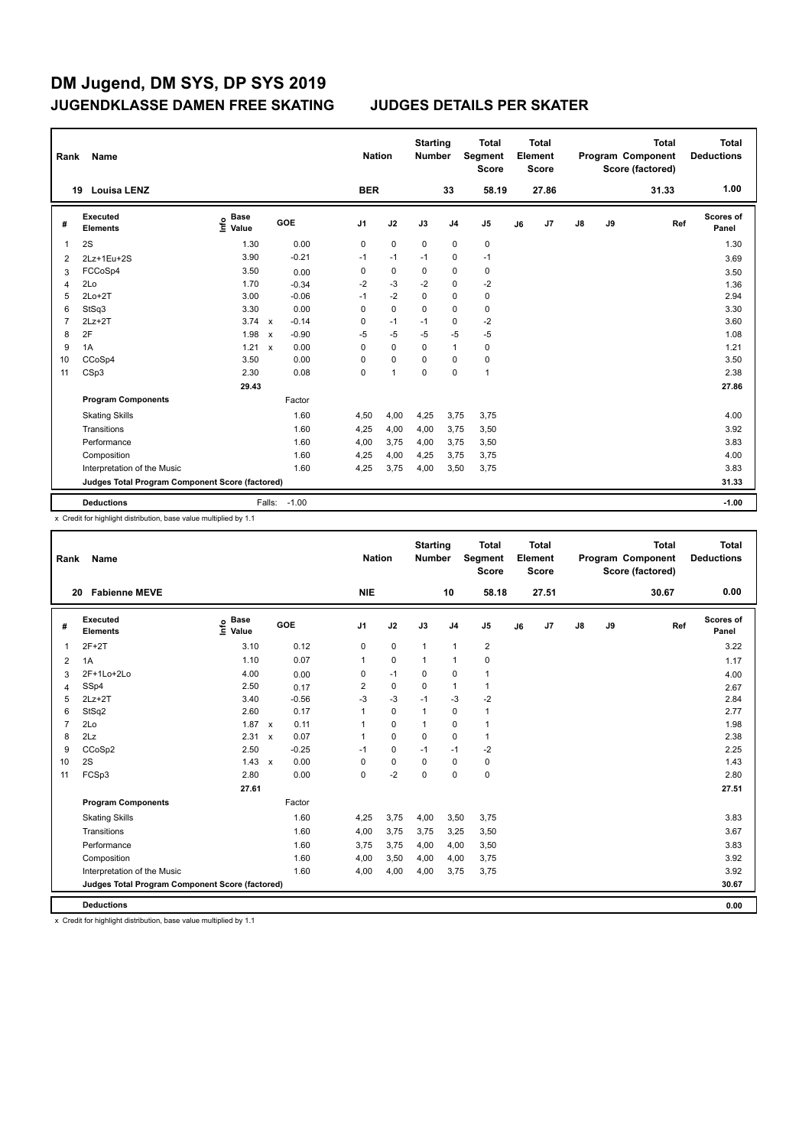| Rank           | Name                                            |                              |              |         |                | <b>Nation</b>  | <b>Starting</b><br><b>Number</b> |                | Total<br><b>Segment</b><br><b>Score</b> |    | <b>Total</b><br>Element<br><b>Score</b> |    |    | <b>Total</b><br>Program Component<br>Score (factored) | <b>Total</b><br><b>Deductions</b> |
|----------------|-------------------------------------------------|------------------------------|--------------|---------|----------------|----------------|----------------------------------|----------------|-----------------------------------------|----|-----------------------------------------|----|----|-------------------------------------------------------|-----------------------------------|
|                | <b>Louisa LENZ</b><br>19                        |                              |              |         | <b>BER</b>     |                |                                  | 33             | 58.19                                   |    | 27.86                                   |    |    | 31.33                                                 | 1.00                              |
| #              | Executed<br><b>Elements</b>                     | <b>Base</b><br>١nf٥<br>Value |              | GOE     | J <sub>1</sub> | J2             | J3                               | J <sub>4</sub> | J <sub>5</sub>                          | J6 | J7                                      | J8 | J9 | Ref                                                   | Scores of<br>Panel                |
| 1              | 2S                                              | 1.30                         |              | 0.00    | 0              | $\mathbf 0$    | $\mathbf 0$                      | $\mathbf 0$    | 0                                       |    |                                         |    |    |                                                       | 1.30                              |
| $\overline{2}$ | 2Lz+1Eu+2S                                      | 3.90                         |              | $-0.21$ | $-1$           | $-1$           | $-1$                             | 0              | $-1$                                    |    |                                         |    |    |                                                       | 3.69                              |
| 3              | FCCoSp4                                         | 3.50                         |              | 0.00    | 0              | $\pmb{0}$      | 0                                | $\mathbf 0$    | $\pmb{0}$                               |    |                                         |    |    |                                                       | 3.50                              |
| 4              | 2Lo                                             | 1.70                         |              | $-0.34$ | $-2$           | $-3$           | $-2$                             | 0              | $-2$                                    |    |                                         |    |    |                                                       | 1.36                              |
| 5              | $2Lo+2T$                                        | 3.00                         |              | $-0.06$ | $-1$           | $-2$           | 0                                | 0              | $\pmb{0}$                               |    |                                         |    |    |                                                       | 2.94                              |
| 6              | StSq3                                           | 3.30                         |              | 0.00    | 0              | $\mathbf 0$    | $\mathbf 0$                      | $\mathbf 0$    | $\pmb{0}$                               |    |                                         |    |    |                                                       | 3.30                              |
| 7              | $2Lz + 2T$                                      | 3.74                         | $\mathbf{x}$ | $-0.14$ | 0              | $-1$           | $-1$                             | 0              | $-2$                                    |    |                                         |    |    |                                                       | 3.60                              |
| 8              | 2F                                              | 1.98                         | $\mathsf{x}$ | $-0.90$ | $-5$           | $-5$           | $-5$                             | $-5$           | $-5$                                    |    |                                         |    |    |                                                       | 1.08                              |
| 9              | 1A                                              | 1.21                         | $\mathsf{x}$ | 0.00    | 0              | 0              | 0                                | $\mathbf{1}$   | 0                                       |    |                                         |    |    |                                                       | 1.21                              |
| 10             | CCoSp4                                          | 3.50                         |              | 0.00    | 0              | $\mathbf 0$    | 0                                | 0              | 0                                       |    |                                         |    |    |                                                       | 3.50                              |
| 11             | CSp3                                            | 2.30                         |              | 0.08    | 0              | $\overline{1}$ | 0                                | $\mathbf 0$    | $\mathbf{1}$                            |    |                                         |    |    |                                                       | 2.38                              |
|                |                                                 | 29.43                        |              |         |                |                |                                  |                |                                         |    |                                         |    |    |                                                       | 27.86                             |
|                | <b>Program Components</b>                       |                              |              | Factor  |                |                |                                  |                |                                         |    |                                         |    |    |                                                       |                                   |
|                | <b>Skating Skills</b>                           |                              |              | 1.60    | 4,50           | 4,00           | 4,25                             | 3,75           | 3,75                                    |    |                                         |    |    |                                                       | 4.00                              |
|                | Transitions                                     |                              |              | 1.60    | 4,25           | 4,00           | 4,00                             | 3,75           | 3,50                                    |    |                                         |    |    |                                                       | 3.92                              |
|                | Performance                                     |                              |              | 1.60    | 4,00           | 3,75           | 4,00                             | 3,75           | 3,50                                    |    |                                         |    |    |                                                       | 3.83                              |
|                | Composition                                     |                              |              | 1.60    | 4,25           | 4,00           | 4,25                             | 3,75           | 3,75                                    |    |                                         |    |    |                                                       | 4.00                              |
|                | Interpretation of the Music                     |                              |              | 1.60    | 4,25           | 3,75           | 4,00                             | 3,50           | 3,75                                    |    |                                         |    |    |                                                       | 3.83                              |
|                | Judges Total Program Component Score (factored) |                              |              |         |                |                |                                  |                |                                         |    |                                         |    |    |                                                       | 31.33                             |
|                | <b>Deductions</b>                               |                              | Falls:       | $-1.00$ |                |                |                                  |                |                                         |    |                                         |    |    |                                                       | $-1.00$                           |

x Credit for highlight distribution, base value multiplied by 1.1

| Rank | Name                                            |                                  |                                   | <b>Nation</b>  |             | <b>Starting</b><br><b>Number</b> |                | <b>Total</b><br>Segment<br><b>Score</b> |    | <b>Total</b><br>Element<br><b>Score</b> |               |    | <b>Total</b><br>Program Component<br>Score (factored) | <b>Total</b><br><b>Deductions</b> |
|------|-------------------------------------------------|----------------------------------|-----------------------------------|----------------|-------------|----------------------------------|----------------|-----------------------------------------|----|-----------------------------------------|---------------|----|-------------------------------------------------------|-----------------------------------|
|      | <b>Fabienne MEVE</b><br>20                      |                                  |                                   | <b>NIE</b>     |             |                                  | 10             | 58.18                                   |    | 27.51                                   |               |    | 30.67                                                 | 0.00                              |
| #    | Executed<br><b>Elements</b>                     | <b>Base</b><br>e Base<br>⊆ Value | <b>GOE</b>                        | J <sub>1</sub> | J2          | J3                               | J <sub>4</sub> | J5                                      | J6 | J7                                      | $\mathsf{J}8$ | J9 | Ref                                                   | <b>Scores of</b><br>Panel         |
| 1    | $2F+2T$                                         | 3.10                             | 0.12                              | 0              | 0           | $\mathbf{1}$                     | $\mathbf{1}$   | 2                                       |    |                                         |               |    |                                                       | 3.22                              |
| 2    | 1A                                              | 1.10                             | 0.07                              | 1              | $\pmb{0}$   | $\mathbf{1}$                     | $\mathbf{1}$   | 0                                       |    |                                         |               |    |                                                       | 1.17                              |
| 3    | 2F+1Lo+2Lo                                      | 4.00                             | 0.00                              | 0              | $-1$        | 0                                | 0              | 1                                       |    |                                         |               |    |                                                       | 4.00                              |
| 4    | SSp4                                            | 2.50                             | 0.17                              | 2              | 0           | 0                                | $\mathbf{1}$   | 1                                       |    |                                         |               |    |                                                       | 2.67                              |
| 5    | $2Lz+2T$                                        | 3.40                             | $-0.56$                           | $-3$           | -3          | $-1$                             | $-3$           | $-2$                                    |    |                                         |               |    |                                                       | 2.84                              |
| 6    | StSq2                                           | 2.60                             | 0.17                              |                | $\mathbf 0$ | 1                                | $\mathbf 0$    | 1                                       |    |                                         |               |    |                                                       | 2.77                              |
| 7    | 2Lo                                             | 1.87 x                           | 0.11                              | 1              | $\mathbf 0$ | $\mathbf{1}$                     | $\mathbf 0$    | $\mathbf{1}$                            |    |                                         |               |    |                                                       | 1.98                              |
| 8    | 2Lz                                             | 2.31                             | 0.07<br>$\boldsymbol{\mathsf{x}}$ | 1              | 0           | 0                                | $\mathbf 0$    | 1                                       |    |                                         |               |    |                                                       | 2.38                              |
| 9    | CCoSp2                                          | 2.50                             | $-0.25$                           | $-1$           | 0           | $-1$                             | $-1$           | $-2$                                    |    |                                         |               |    |                                                       | 2.25                              |
| 10   | 2S                                              | $1.43 \times$                    | 0.00                              | 0              | $\pmb{0}$   | 0                                | $\mathbf 0$    | 0                                       |    |                                         |               |    |                                                       | 1.43                              |
| 11   | FCSp3                                           | 2.80                             | 0.00                              | 0              | $-2$        | 0                                | $\mathbf 0$    | 0                                       |    |                                         |               |    |                                                       | 2.80                              |
|      |                                                 | 27.61                            |                                   |                |             |                                  |                |                                         |    |                                         |               |    |                                                       | 27.51                             |
|      | <b>Program Components</b>                       |                                  | Factor                            |                |             |                                  |                |                                         |    |                                         |               |    |                                                       |                                   |
|      | <b>Skating Skills</b>                           |                                  | 1.60                              | 4,25           | 3,75        | 4,00                             | 3,50           | 3,75                                    |    |                                         |               |    |                                                       | 3.83                              |
|      | Transitions                                     |                                  | 1.60                              | 4,00           | 3,75        | 3,75                             | 3,25           | 3,50                                    |    |                                         |               |    |                                                       | 3.67                              |
|      | Performance                                     |                                  | 1.60                              | 3,75           | 3,75        | 4,00                             | 4,00           | 3,50                                    |    |                                         |               |    |                                                       | 3.83                              |
|      | Composition                                     |                                  | 1.60                              | 4,00           | 3,50        | 4,00                             | 4,00           | 3,75                                    |    |                                         |               |    |                                                       | 3.92                              |
|      | Interpretation of the Music                     |                                  | 1.60                              | 4,00           | 4,00        | 4,00                             | 3,75           | 3,75                                    |    |                                         |               |    |                                                       | 3.92                              |
|      | Judges Total Program Component Score (factored) |                                  |                                   |                |             |                                  |                |                                         |    |                                         |               |    |                                                       | 30.67                             |
|      | <b>Deductions</b>                               |                                  |                                   |                |             |                                  |                |                                         |    |                                         |               |    |                                                       | 0.00                              |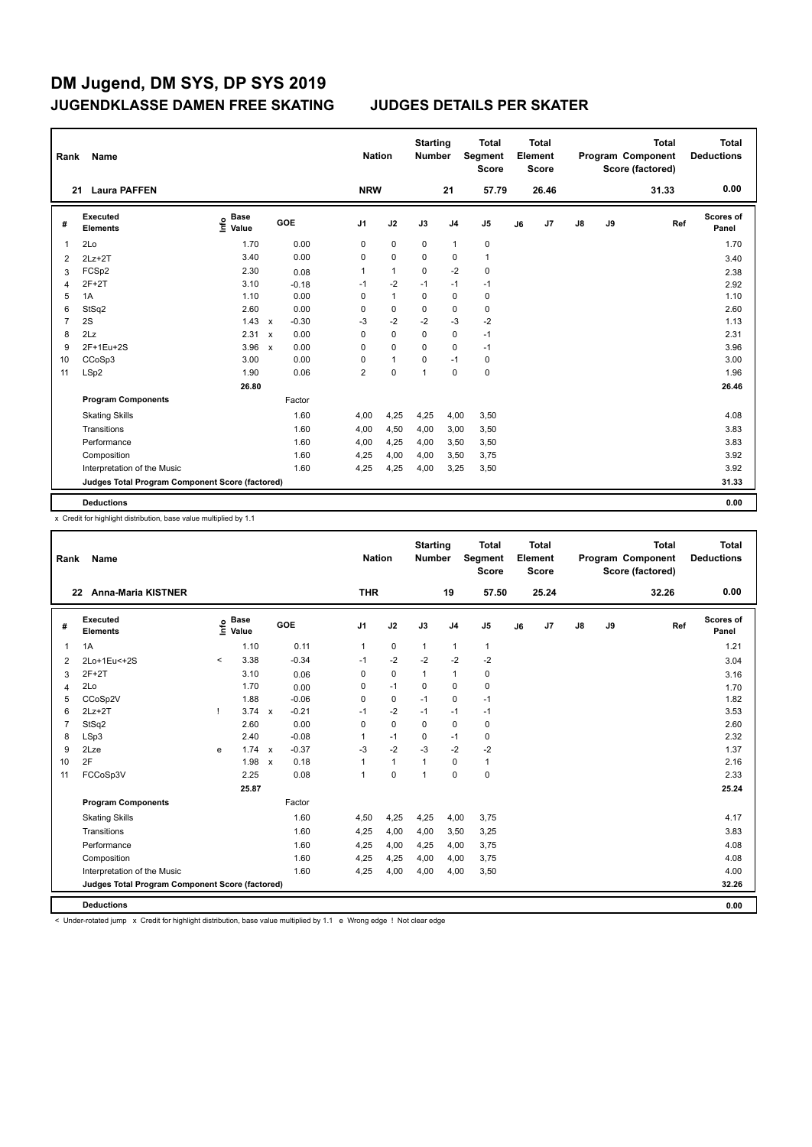| Rank           | Name                                            |                              |              |            |                | <b>Nation</b> | <b>Starting</b><br><b>Number</b> |                | <b>Total</b><br>Segment<br><b>Score</b> |    | Total<br>Element<br><b>Score</b> |               |    | <b>Total</b><br>Program Component<br>Score (factored) | Total<br><b>Deductions</b> |
|----------------|-------------------------------------------------|------------------------------|--------------|------------|----------------|---------------|----------------------------------|----------------|-----------------------------------------|----|----------------------------------|---------------|----|-------------------------------------------------------|----------------------------|
|                | <b>Laura PAFFEN</b><br>21                       |                              |              |            | <b>NRW</b>     |               |                                  | 21             | 57.79                                   |    | 26.46                            |               |    | 31.33                                                 | 0.00                       |
| #              | Executed<br><b>Elements</b>                     | <b>Base</b><br>١nf٥<br>Value |              | <b>GOE</b> | J <sub>1</sub> | J2            | J3                               | J <sub>4</sub> | J <sub>5</sub>                          | J6 | J <sub>7</sub>                   | $\mathsf{J}8$ | J9 | Ref                                                   | Scores of<br>Panel         |
| -1             | 2Lo                                             | 1.70                         |              | 0.00       | 0              | $\pmb{0}$     | 0                                | $\mathbf{1}$   | 0                                       |    |                                  |               |    |                                                       | 1.70                       |
| 2              | $2Lz+2T$                                        | 3.40                         |              | 0.00       | $\Omega$       | $\mathbf 0$   | 0                                | 0              | $\mathbf{1}$                            |    |                                  |               |    |                                                       | 3.40                       |
| 3              | FCSp2                                           | 2.30                         |              | 0.08       | 1              | $\mathbf{1}$  | 0                                | $-2$           | $\pmb{0}$                               |    |                                  |               |    |                                                       | 2.38                       |
| $\overline{4}$ | $2F+2T$                                         | 3.10                         |              | $-0.18$    | $-1$           | $-2$          | $-1$                             | $-1$           | $-1$                                    |    |                                  |               |    |                                                       | 2.92                       |
| 5              | 1A                                              | 1.10                         |              | 0.00       | 0              | $\mathbf{1}$  | 0                                | $\mathbf 0$    | $\pmb{0}$                               |    |                                  |               |    |                                                       | 1.10                       |
| 6              | StSq2                                           | 2.60                         |              | 0.00       | 0              | $\mathbf 0$   | 0                                | 0              | $\pmb{0}$                               |    |                                  |               |    |                                                       | 2.60                       |
| $\overline{7}$ | 2S                                              | 1.43                         | $\mathsf{x}$ | $-0.30$    | $-3$           | $-2$          | $-2$                             | $-3$           | $-2$                                    |    |                                  |               |    |                                                       | 1.13                       |
| 8              | 2Lz                                             | 2.31                         | $\mathsf{x}$ | 0.00       | 0              | $\Omega$      | $\Omega$                         | $\mathbf 0$    | $-1$                                    |    |                                  |               |    |                                                       | 2.31                       |
| 9              | 2F+1Eu+2S                                       | 3.96                         | $\mathsf{x}$ | 0.00       | 0              | $\mathbf 0$   | $\Omega$                         | $\mathbf 0$    | $-1$                                    |    |                                  |               |    |                                                       | 3.96                       |
| 10             | CCoSp3                                          | 3.00                         |              | 0.00       | 0              | $\mathbf{1}$  | 0                                | $-1$           | $\pmb{0}$                               |    |                                  |               |    |                                                       | 3.00                       |
| 11             | LSp2                                            | 1.90                         |              | 0.06       | $\overline{2}$ | $\mathbf 0$   | 1                                | $\mathbf 0$    | $\pmb{0}$                               |    |                                  |               |    |                                                       | 1.96                       |
|                |                                                 | 26.80                        |              |            |                |               |                                  |                |                                         |    |                                  |               |    |                                                       | 26.46                      |
|                | <b>Program Components</b>                       |                              |              | Factor     |                |               |                                  |                |                                         |    |                                  |               |    |                                                       |                            |
|                | <b>Skating Skills</b>                           |                              |              | 1.60       | 4,00           | 4,25          | 4,25                             | 4,00           | 3,50                                    |    |                                  |               |    |                                                       | 4.08                       |
|                | Transitions                                     |                              |              | 1.60       | 4,00           | 4,50          | 4,00                             | 3,00           | 3,50                                    |    |                                  |               |    |                                                       | 3.83                       |
|                | Performance                                     |                              |              | 1.60       | 4,00           | 4,25          | 4,00                             | 3,50           | 3,50                                    |    |                                  |               |    |                                                       | 3.83                       |
|                | Composition                                     |                              |              | 1.60       | 4,25           | 4,00          | 4,00                             | 3,50           | 3,75                                    |    |                                  |               |    |                                                       | 3.92                       |
|                | Interpretation of the Music                     |                              |              | 1.60       | 4,25           | 4,25          | 4,00                             | 3,25           | 3,50                                    |    |                                  |               |    |                                                       | 3.92                       |
|                | Judges Total Program Component Score (factored) |                              |              |            |                |               |                                  |                |                                         |    |                                  |               |    |                                                       | 31.33                      |
|                | <b>Deductions</b>                               |                              |              |            |                |               |                                  |                |                                         |    |                                  |               |    |                                                       | 0.00                       |

x Credit for highlight distribution, base value multiplied by 1.1

| Rank           | Name                                            |         |                      |                           |            |                | <b>Nation</b> | <b>Starting</b><br><b>Number</b> |                | <b>Total</b><br>Segment<br><b>Score</b> |    | Total<br>Element<br><b>Score</b> |    |    | <b>Total</b><br>Program Component<br>Score (factored) | <b>Total</b><br><b>Deductions</b> |
|----------------|-------------------------------------------------|---------|----------------------|---------------------------|------------|----------------|---------------|----------------------------------|----------------|-----------------------------------------|----|----------------------------------|----|----|-------------------------------------------------------|-----------------------------------|
|                | <b>Anna-Maria KISTNER</b><br>22                 |         |                      |                           |            | <b>THR</b>     |               |                                  | 19             | 57.50                                   |    | 25.24                            |    |    | 32.26                                                 | 0.00                              |
| #              | <b>Executed</b><br><b>Elements</b>              | ١nf٥    | <b>Base</b><br>Value |                           | <b>GOE</b> | J <sub>1</sub> | J2            | J3                               | J <sub>4</sub> | J5                                      | J6 | J7                               | J8 | J9 | Ref                                                   | Scores of<br>Panel                |
| 1              | 1A                                              |         | 1.10                 |                           | 0.11       | 1              | $\pmb{0}$     | $\mathbf{1}$                     | 1              | 1                                       |    |                                  |    |    |                                                       | 1.21                              |
| 2              | 2Lo+1Eu<+2S                                     | $\prec$ | 3.38                 |                           | $-0.34$    | $-1$           | $-2$          | $-2$                             | $-2$           | $-2$                                    |    |                                  |    |    |                                                       | 3.04                              |
| 3              | $2F+2T$                                         |         | 3.10                 |                           | 0.06       | $\mathbf 0$    | $\pmb{0}$     | $\mathbf{1}$                     | $\mathbf{1}$   | 0                                       |    |                                  |    |    |                                                       | 3.16                              |
| 4              | 2Lo                                             |         | 1.70                 |                           | 0.00       | 0              | $-1$          | 0                                | 0              | 0                                       |    |                                  |    |    |                                                       | 1.70                              |
| 5              | CCoSp2V                                         |         | 1.88                 |                           | $-0.06$    | $\Omega$       | $\pmb{0}$     | $-1$                             | $\mathbf 0$    | $-1$                                    |    |                                  |    |    |                                                       | 1.82                              |
| 6              | $2Lz+2T$                                        |         | $3.74 \times$        |                           | $-0.21$    | $-1$           | $-2$          | $-1$                             | $-1$           | $-1$                                    |    |                                  |    |    |                                                       | 3.53                              |
| $\overline{7}$ | StSq2                                           |         | 2.60                 |                           | 0.00       | 0              | $\mathbf 0$   | $\Omega$                         | $\mathbf 0$    | 0                                       |    |                                  |    |    |                                                       | 2.60                              |
| 8              | LSp3                                            |         | 2.40                 |                           | $-0.08$    | 1              | $-1$          | 0                                | $-1$           | 0                                       |    |                                  |    |    |                                                       | 2.32                              |
| 9              | 2Lze                                            | e       | 1.74                 | $\mathbf{x}$              | $-0.37$    | $-3$           | $-2$          | $-3$                             | $-2$           | $-2$                                    |    |                                  |    |    |                                                       | 1.37                              |
| 10             | 2F                                              |         | 1.98                 | $\boldsymbol{\mathsf{x}}$ | 0.18       |                | $\mathbf{1}$  | $\mathbf{1}$                     | 0              | $\mathbf{1}$                            |    |                                  |    |    |                                                       | 2.16                              |
| 11             | FCCoSp3V                                        |         | 2.25                 |                           | 0.08       | 1              | $\mathbf 0$   | $\mathbf{1}$                     | $\mathbf 0$    | 0                                       |    |                                  |    |    |                                                       | 2.33                              |
|                |                                                 |         | 25.87                |                           |            |                |               |                                  |                |                                         |    |                                  |    |    |                                                       | 25.24                             |
|                | <b>Program Components</b>                       |         |                      |                           | Factor     |                |               |                                  |                |                                         |    |                                  |    |    |                                                       |                                   |
|                | <b>Skating Skills</b>                           |         |                      |                           | 1.60       | 4,50           | 4,25          | 4,25                             | 4,00           | 3,75                                    |    |                                  |    |    |                                                       | 4.17                              |
|                | Transitions                                     |         |                      |                           | 1.60       | 4,25           | 4,00          | 4,00                             | 3,50           | 3,25                                    |    |                                  |    |    |                                                       | 3.83                              |
|                | Performance                                     |         |                      |                           | 1.60       | 4,25           | 4,00          | 4,25                             | 4,00           | 3,75                                    |    |                                  |    |    |                                                       | 4.08                              |
|                | Composition                                     |         |                      |                           | 1.60       | 4,25           | 4,25          | 4,00                             | 4,00           | 3,75                                    |    |                                  |    |    |                                                       | 4.08                              |
|                | Interpretation of the Music                     |         |                      |                           | 1.60       | 4,25           | 4,00          | 4,00                             | 4,00           | 3,50                                    |    |                                  |    |    |                                                       | 4.00                              |
|                | Judges Total Program Component Score (factored) |         |                      |                           |            |                |               |                                  |                |                                         |    |                                  |    |    |                                                       | 32.26                             |
|                | <b>Deductions</b>                               |         |                      |                           |            |                |               |                                  |                |                                         |    |                                  |    |    |                                                       | 0.00                              |

< Under-rotated jump x Credit for highlight distribution, base value multiplied by 1.1 e Wrong edge ! Not clear edge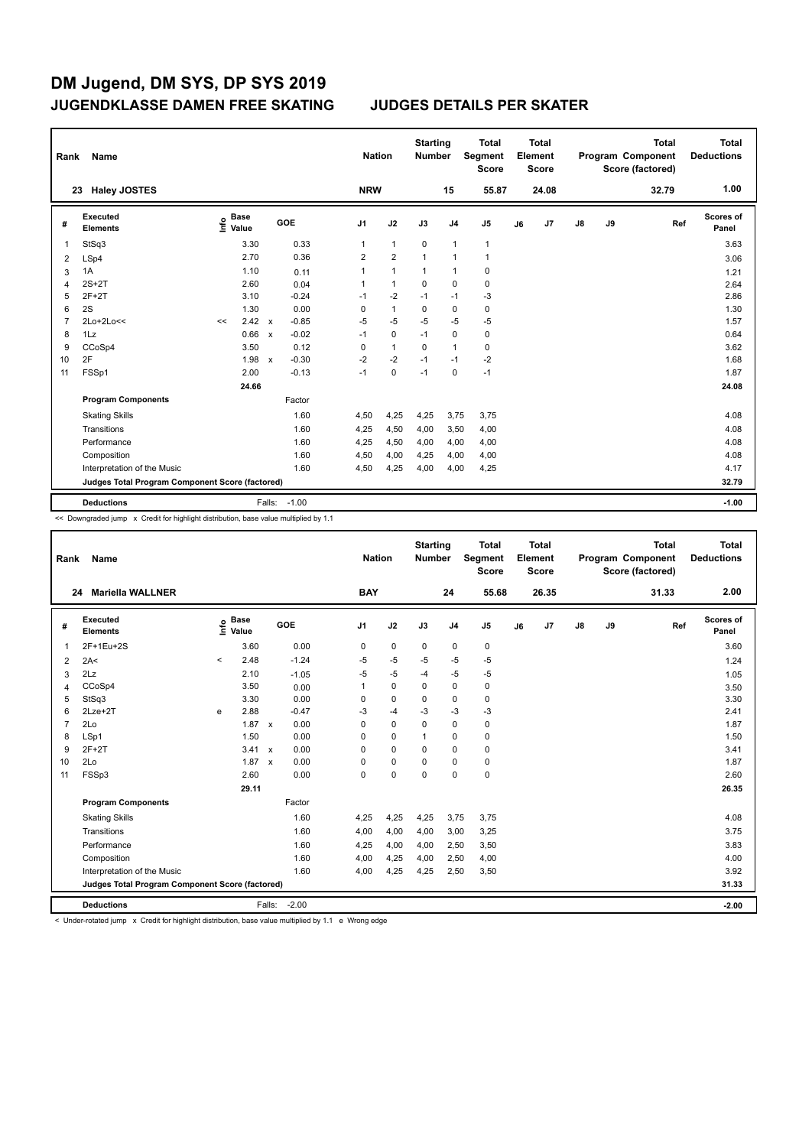| Rank           | Name                                            |                              |                         | <b>Nation</b>  |                | <b>Starting</b><br><b>Number</b> |                | <b>Total</b><br>Segment<br><b>Score</b> |    | <b>Total</b><br>Element<br><b>Score</b> |               |    | <b>Total</b><br>Program Component<br>Score (factored) | <b>Total</b><br><b>Deductions</b> |
|----------------|-------------------------------------------------|------------------------------|-------------------------|----------------|----------------|----------------------------------|----------------|-----------------------------------------|----|-----------------------------------------|---------------|----|-------------------------------------------------------|-----------------------------------|
|                | <b>Haley JOSTES</b><br>23                       |                              |                         | <b>NRW</b>     |                |                                  | 15             | 55.87                                   |    | 24.08                                   |               |    | 32.79                                                 | 1.00                              |
| #              | Executed<br><b>Elements</b>                     | <b>Base</b><br>١nf٥<br>Value | <b>GOE</b>              | J1             | J2             | J3                               | J <sub>4</sub> | J <sub>5</sub>                          | J6 | J <sub>7</sub>                          | $\mathsf{J}8$ | J9 | Ref                                                   | <b>Scores of</b><br>Panel         |
|                | StSq3                                           | 3.30                         | 0.33                    | 1              | $\mathbf{1}$   | $\mathbf 0$                      | $\overline{1}$ | $\mathbf{1}$                            |    |                                         |               |    |                                                       | 3.63                              |
| $\overline{2}$ | LSp4                                            | 2.70                         | 0.36                    | $\overline{2}$ | $\overline{2}$ | $\mathbf{1}$                     | $\overline{1}$ | $\mathbf{1}$                            |    |                                         |               |    |                                                       | 3.06                              |
| 3              | 1A                                              | 1.10                         | 0.11                    | 1              | $\mathbf{1}$   | 1                                | $\mathbf 1$    | $\pmb{0}$                               |    |                                         |               |    |                                                       | 1.21                              |
| $\overline{4}$ | $2S+2T$                                         | 2.60                         | 0.04                    | 1              | $\mathbf{1}$   | 0                                | 0              | $\pmb{0}$                               |    |                                         |               |    |                                                       | 2.64                              |
| 5              | $2F+2T$                                         | 3.10                         | $-0.24$                 | $-1$           | $-2$           | $-1$                             | $-1$           | $-3$                                    |    |                                         |               |    |                                                       | 2.86                              |
| 6              | 2S                                              | 1.30                         | 0.00                    | 0              | $\mathbf{1}$   | 0                                | $\mathbf 0$    | 0                                       |    |                                         |               |    |                                                       | 1.30                              |
| 7              | 2Lo+2Lo<<                                       | 2.42<br><<                   | $-0.85$<br>$\mathsf{x}$ | $-5$           | $-5$           | $-5$                             | $-5$           | $-5$                                    |    |                                         |               |    |                                                       | 1.57                              |
| 8              | 1Lz                                             | 0.66                         | $-0.02$<br>$\mathsf{x}$ | $-1$           | $\mathbf 0$    | $-1$                             | $\mathbf 0$    | $\pmb{0}$                               |    |                                         |               |    |                                                       | 0.64                              |
| 9              | CCoSp4                                          | 3.50                         | 0.12                    | 0              | $\mathbf{1}$   | 0                                | $\overline{1}$ | $\pmb{0}$                               |    |                                         |               |    |                                                       | 3.62                              |
| 10             | 2F                                              | 1.98                         | $-0.30$<br>$\mathsf{x}$ | $-2$           | $-2$           | $-1$                             | $-1$           | $-2$                                    |    |                                         |               |    |                                                       | 1.68                              |
| 11             | FSSp1                                           | 2.00                         | $-0.13$                 | $-1$           | 0              | $-1$                             | $\mathbf 0$    | $-1$                                    |    |                                         |               |    |                                                       | 1.87                              |
|                |                                                 | 24.66                        |                         |                |                |                                  |                |                                         |    |                                         |               |    |                                                       | 24.08                             |
|                | <b>Program Components</b>                       |                              | Factor                  |                |                |                                  |                |                                         |    |                                         |               |    |                                                       |                                   |
|                | <b>Skating Skills</b>                           |                              | 1.60                    | 4,50           | 4,25           | 4,25                             | 3,75           | 3,75                                    |    |                                         |               |    |                                                       | 4.08                              |
|                | Transitions                                     |                              | 1.60                    | 4,25           | 4,50           | 4,00                             | 3,50           | 4,00                                    |    |                                         |               |    |                                                       | 4.08                              |
|                | Performance                                     |                              | 1.60                    | 4,25           | 4,50           | 4,00                             | 4,00           | 4,00                                    |    |                                         |               |    |                                                       | 4.08                              |
|                | Composition                                     |                              | 1.60                    | 4,50           | 4,00           | 4,25                             | 4,00           | 4,00                                    |    |                                         |               |    |                                                       | 4.08                              |
|                | Interpretation of the Music                     |                              | 1.60                    | 4,50           | 4,25           | 4,00                             | 4,00           | 4,25                                    |    |                                         |               |    |                                                       | 4.17                              |
|                | Judges Total Program Component Score (factored) |                              |                         |                |                |                                  |                |                                         |    |                                         |               |    |                                                       | 32.79                             |
|                | <b>Deductions</b>                               |                              | $-1.00$<br>Falls:       |                |                |                                  |                |                                         |    |                                         |               |    |                                                       | $-1.00$                           |

<< Downgraded jump x Credit for highlight distribution, base value multiplied by 1.1

| Rank           | Name                                            |         |                      |              |            |                | <b>Nation</b> | <b>Starting</b><br><b>Number</b> |                | <b>Total</b><br>Segment<br><b>Score</b> |    | <b>Total</b><br>Element<br><b>Score</b> |               |    | <b>Total</b><br>Program Component<br>Score (factored) | <b>Total</b><br><b>Deductions</b> |
|----------------|-------------------------------------------------|---------|----------------------|--------------|------------|----------------|---------------|----------------------------------|----------------|-----------------------------------------|----|-----------------------------------------|---------------|----|-------------------------------------------------------|-----------------------------------|
|                | <b>Mariella WALLNER</b><br>24                   |         |                      |              |            | <b>BAY</b>     |               |                                  | 24             | 55.68                                   |    | 26.35                                   |               |    | 31.33                                                 | 2.00                              |
| #              | Executed<br><b>Elements</b>                     | ١nf٥    | <b>Base</b><br>Value |              | <b>GOE</b> | J <sub>1</sub> | J2            | J3                               | J <sub>4</sub> | J <sub>5</sub>                          | J6 | J7                                      | $\mathsf{J}8$ | J9 | Ref                                                   | <b>Scores of</b><br>Panel         |
| 1              | 2F+1Eu+2S                                       |         | 3.60                 |              | 0.00       | 0              | $\mathbf 0$   | 0                                | $\mathbf 0$    | 0                                       |    |                                         |               |    |                                                       | 3.60                              |
| 2              | 2A<                                             | $\prec$ | 2.48                 |              | $-1.24$    | $-5$           | $-5$          | $-5$                             | $-5$           | $-5$                                    |    |                                         |               |    |                                                       | 1.24                              |
| 3              | 2Lz                                             |         | 2.10                 |              | $-1.05$    | -5             | $-5$          | $-4$                             | $-5$           | $-5$                                    |    |                                         |               |    |                                                       | 1.05                              |
| 4              | CCoSp4                                          |         | 3.50                 |              | 0.00       | 1              | $\mathbf 0$   | $\mathbf 0$                      | $\mathbf 0$    | $\mathbf 0$                             |    |                                         |               |    |                                                       | 3.50                              |
| 5              | StSq3                                           |         | 3.30                 |              | 0.00       | 0              | $\mathbf 0$   | 0                                | 0              | 0                                       |    |                                         |               |    |                                                       | 3.30                              |
| 6              | $2Lze+2T$                                       | e       | 2.88                 |              | $-0.47$    | -3             | $-4$          | -3                               | $-3$           | $-3$                                    |    |                                         |               |    |                                                       | 2.41                              |
| $\overline{7}$ | 2Lo                                             |         | 1.87 x               |              | 0.00       | $\Omega$       | $\Omega$      | $\Omega$                         | $\Omega$       | 0                                       |    |                                         |               |    |                                                       | 1.87                              |
| 8              | LSp1                                            |         | 1.50                 |              | 0.00       | 0              | $\mathbf 0$   | 1                                | 0              | 0                                       |    |                                         |               |    |                                                       | 1.50                              |
| 9              | $2F+2T$                                         |         | 3.41 x               |              | 0.00       | $\Omega$       | $\Omega$      | $\Omega$                         | $\Omega$       | 0                                       |    |                                         |               |    |                                                       | 3.41                              |
| 10             | 2Lo                                             |         | 1.87                 | $\mathbf{x}$ | 0.00       | 0              | $\pmb{0}$     | 0                                | 0              | 0                                       |    |                                         |               |    |                                                       | 1.87                              |
| 11             | FSSp3                                           |         | 2.60                 |              | 0.00       | $\Omega$       | $\mathbf 0$   | $\Omega$                         | $\Omega$       | $\mathbf 0$                             |    |                                         |               |    |                                                       | 2.60                              |
|                |                                                 |         | 29.11                |              |            |                |               |                                  |                |                                         |    |                                         |               |    |                                                       | 26.35                             |
|                | <b>Program Components</b>                       |         |                      |              | Factor     |                |               |                                  |                |                                         |    |                                         |               |    |                                                       |                                   |
|                | <b>Skating Skills</b>                           |         |                      |              | 1.60       | 4,25           | 4,25          | 4,25                             | 3,75           | 3.75                                    |    |                                         |               |    |                                                       | 4.08                              |
|                | Transitions                                     |         |                      |              | 1.60       | 4,00           | 4,00          | 4,00                             | 3,00           | 3,25                                    |    |                                         |               |    |                                                       | 3.75                              |
|                | Performance                                     |         |                      |              | 1.60       | 4,25           | 4,00          | 4,00                             | 2,50           | 3,50                                    |    |                                         |               |    |                                                       | 3.83                              |
|                | Composition                                     |         |                      |              | 1.60       | 4,00           | 4,25          | 4,00                             | 2,50           | 4,00                                    |    |                                         |               |    |                                                       | 4.00                              |
|                | Interpretation of the Music                     |         |                      |              | 1.60       | 4,00           | 4,25          | 4,25                             | 2,50           | 3,50                                    |    |                                         |               |    |                                                       | 3.92                              |
|                | Judges Total Program Component Score (factored) |         |                      |              |            |                |               |                                  |                |                                         |    |                                         |               |    |                                                       | 31.33                             |
|                | <b>Deductions</b>                               |         |                      | Falls:       | $-2.00$    |                |               |                                  |                |                                         |    |                                         |               |    |                                                       | $-2.00$                           |

< Under-rotated jump x Credit for highlight distribution, base value multiplied by 1.1 e Wrong edge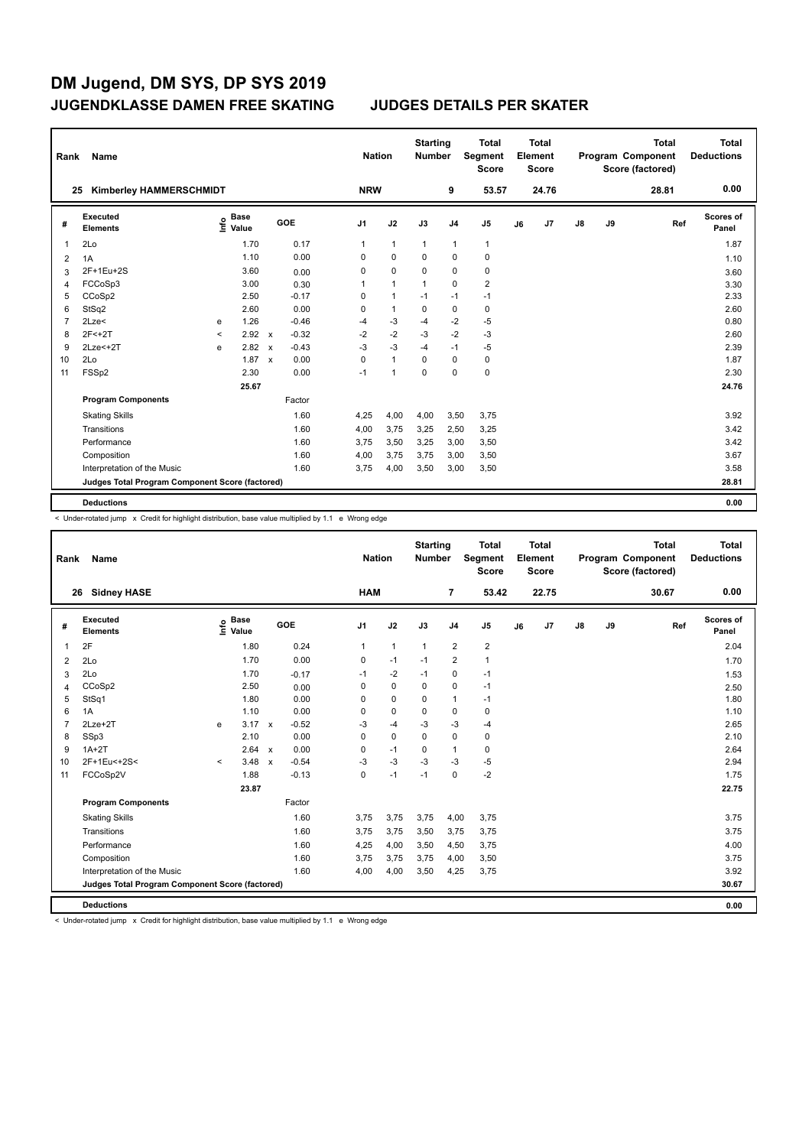| Rank | Name                                            |         |                      |                           |            | <b>Nation</b>  |                | <b>Starting</b><br>Number |                | <b>Total</b><br>Segment<br><b>Score</b> |    | Total<br>Element<br><b>Score</b> |               |    | <b>Total</b><br>Program Component<br>Score (factored) | Total<br><b>Deductions</b> |
|------|-------------------------------------------------|---------|----------------------|---------------------------|------------|----------------|----------------|---------------------------|----------------|-----------------------------------------|----|----------------------------------|---------------|----|-------------------------------------------------------|----------------------------|
| 25   | <b>Kimberley HAMMERSCHMIDT</b>                  |         |                      |                           |            | <b>NRW</b>     |                |                           | 9              | 53.57                                   |    | 24.76                            |               |    | 28.81                                                 | 0.00                       |
| #    | <b>Executed</b><br><b>Elements</b>              | ۴       | <b>Base</b><br>Value |                           | <b>GOE</b> | J <sub>1</sub> | J2             | J3                        | J <sub>4</sub> | J <sub>5</sub>                          | J6 | J <sub>7</sub>                   | $\mathsf{J}8$ | J9 | Ref                                                   | Scores of<br>Panel         |
| 1    | 2Lo                                             |         | 1.70                 |                           | 0.17       | $\mathbf{1}$   | $\mathbf{1}$   | $\mathbf{1}$              | $\mathbf{1}$   | 1                                       |    |                                  |               |    |                                                       | 1.87                       |
| 2    | 1A                                              |         | 1.10                 |                           | 0.00       | $\Omega$       | 0              | $\Omega$                  | 0              | 0                                       |    |                                  |               |    |                                                       | 1.10                       |
| 3    | 2F+1Eu+2S                                       |         | 3.60                 |                           | 0.00       | 0              | $\mathbf 0$    | $\mathbf 0$               | $\mathbf 0$    | $\pmb{0}$                               |    |                                  |               |    |                                                       | 3.60                       |
| 4    | FCCoSp3                                         |         | 3.00                 |                           | 0.30       | 1              | $\mathbf{1}$   | $\mathbf{1}$              | $\mathbf 0$    | $\overline{\mathbf{c}}$                 |    |                                  |               |    |                                                       | 3.30                       |
| 5    | CCoSp2                                          |         | 2.50                 |                           | $-0.17$    | 0              | $\mathbf{1}$   | $-1$                      | $-1$           | $-1$                                    |    |                                  |               |    |                                                       | 2.33                       |
| 6    | StSq2                                           |         | 2.60                 |                           | 0.00       | $\Omega$       | $\overline{1}$ | $\Omega$                  | $\mathbf 0$    | $\mathbf 0$                             |    |                                  |               |    |                                                       | 2.60                       |
| 7    | 2Lze<                                           | e       | 1.26                 |                           | $-0.46$    | $-4$           | $-3$           | $-4$                      | $-2$           | $-5$                                    |    |                                  |               |    |                                                       | 0.80                       |
| 8    | $2F < +2T$                                      | $\prec$ | 2.92 x               |                           | $-0.32$    | $-2$           | $-2$           | $-3$                      | $-2$           | $-3$                                    |    |                                  |               |    |                                                       | 2.60                       |
| 9    | $2Lze<+2T$                                      | e       | 2.82                 | $\boldsymbol{\mathsf{x}}$ | $-0.43$    | $-3$           | $-3$           | $-4$                      | $-1$           | $-5$                                    |    |                                  |               |    |                                                       | 2.39                       |
| 10   | 2Lo                                             |         | 1.87                 | $\mathbf{x}$              | 0.00       | $\Omega$       | $\mathbf{1}$   | $\Omega$                  | $\mathbf 0$    | $\pmb{0}$                               |    |                                  |               |    |                                                       | 1.87                       |
| 11   | FSSp2                                           |         | 2.30                 |                           | 0.00       | $-1$           | $\overline{1}$ | $\mathbf 0$               | $\mathbf 0$    | $\pmb{0}$                               |    |                                  |               |    |                                                       | 2.30                       |
|      |                                                 |         | 25.67                |                           |            |                |                |                           |                |                                         |    |                                  |               |    |                                                       | 24.76                      |
|      | <b>Program Components</b>                       |         |                      |                           | Factor     |                |                |                           |                |                                         |    |                                  |               |    |                                                       |                            |
|      | <b>Skating Skills</b>                           |         |                      |                           | 1.60       | 4,25           | 4,00           | 4,00                      | 3,50           | 3,75                                    |    |                                  |               |    |                                                       | 3.92                       |
|      | Transitions                                     |         |                      |                           | 1.60       | 4,00           | 3,75           | 3,25                      | 2,50           | 3,25                                    |    |                                  |               |    |                                                       | 3.42                       |
|      | Performance                                     |         |                      |                           | 1.60       | 3,75           | 3,50           | 3,25                      | 3,00           | 3,50                                    |    |                                  |               |    |                                                       | 3.42                       |
|      | Composition                                     |         |                      |                           | 1.60       | 4,00           | 3,75           | 3,75                      | 3,00           | 3,50                                    |    |                                  |               |    |                                                       | 3.67                       |
|      | Interpretation of the Music                     |         |                      |                           | 1.60       | 3,75           | 4,00           | 3,50                      | 3,00           | 3,50                                    |    |                                  |               |    |                                                       | 3.58                       |
|      | Judges Total Program Component Score (factored) |         |                      |                           |            |                |                |                           |                |                                         |    |                                  |               |    |                                                       | 28.81                      |
|      | <b>Deductions</b>                               |         |                      |                           |            |                |                |                           |                |                                         |    |                                  |               |    |                                                       | 0.00                       |

< Under-rotated jump x Credit for highlight distribution, base value multiplied by 1.1 e Wrong edge

| Rank           | <b>Name</b>                                     |         |                      |                           |            |                | <b>Nation</b> |              | <b>Starting</b><br><b>Number</b> |                | <b>Total</b><br>Segment<br><b>Score</b> |    | Total<br>Element<br><b>Score</b> |    |    | <b>Total</b><br>Program Component<br>Score (factored) |     | <b>Total</b><br><b>Deductions</b> |
|----------------|-------------------------------------------------|---------|----------------------|---------------------------|------------|----------------|---------------|--------------|----------------------------------|----------------|-----------------------------------------|----|----------------------------------|----|----|-------------------------------------------------------|-----|-----------------------------------|
| 26             | <b>Sidney HASE</b>                              |         |                      |                           |            |                | <b>HAM</b>    |              |                                  | 7              | 53.42                                   |    | 22.75                            |    |    | 30.67                                                 |     | 0.00                              |
| #              | Executed<br><b>Elements</b>                     | lnfo    | <b>Base</b><br>Value |                           | <b>GOE</b> | J <sub>1</sub> |               | J2           | J3                               | J <sub>4</sub> | J <sub>5</sub>                          | J6 | J7                               | J8 | J9 |                                                       | Ref | <b>Scores of</b><br>Panel         |
| $\mathbf{1}$   | 2F                                              |         | 1.80                 |                           | 0.24       |                | $\mathbf{1}$  | $\mathbf{1}$ | 1                                | $\overline{2}$ | $\overline{\mathbf{c}}$                 |    |                                  |    |    |                                                       |     | 2.04                              |
| 2              | 2Lo                                             |         | 1.70                 |                           | 0.00       |                | 0             | $-1$         | $-1$                             | $\overline{2}$ | $\mathbf{1}$                            |    |                                  |    |    |                                                       |     | 1.70                              |
| 3              | 2Lo                                             |         | 1.70                 |                           | $-0.17$    |                | $-1$          | $-2$         | $-1$                             | 0              | $-1$                                    |    |                                  |    |    |                                                       |     | 1.53                              |
| 4              | CCoSp2                                          |         | 2.50                 |                           | 0.00       |                | $\Omega$      | $\mathbf 0$  | $\Omega$                         | $\mathbf 0$    | $-1$                                    |    |                                  |    |    |                                                       |     | 2.50                              |
| 5              | StSq1                                           |         | 1.80                 |                           | 0.00       |                | $\Omega$      | $\mathbf 0$  | $\Omega$                         | 1              | $-1$                                    |    |                                  |    |    |                                                       |     | 1.80                              |
| 6              | 1A                                              |         | 1.10                 |                           | 0.00       |                | 0             | $\pmb{0}$    | $\mathbf 0$                      | $\mathbf 0$    | 0                                       |    |                                  |    |    |                                                       |     | 1.10                              |
| $\overline{7}$ | $2Lze+2T$                                       | e       | 3.17                 | $\mathsf{x}$              | $-0.52$    |                | -3            | $-4$         | $-3$                             | $-3$           | $-4$                                    |    |                                  |    |    |                                                       |     | 2.65                              |
| 8              | SSp3                                            |         | 2.10                 |                           | 0.00       |                | 0             | $\mathbf 0$  | $\Omega$                         | $\mathbf 0$    | 0                                       |    |                                  |    |    |                                                       |     | 2.10                              |
| 9              | $1A+2T$                                         |         | 2.64                 | $\boldsymbol{\mathsf{x}}$ | 0.00       |                | 0             | $-1$         | 0                                | $\mathbf{1}$   | 0                                       |    |                                  |    |    |                                                       |     | 2.64                              |
| 10             | 2F+1Eu<+2S<                                     | $\prec$ | 3.48                 | $\boldsymbol{\mathsf{x}}$ | $-0.54$    |                | -3            | -3           | $-3$                             | $-3$           | -5                                      |    |                                  |    |    |                                                       |     | 2.94                              |
| 11             | FCCoSp2V                                        |         | 1.88                 |                           | $-0.13$    |                | 0             | $-1$         | $-1$                             | $\mathbf 0$    | $-2$                                    |    |                                  |    |    |                                                       |     | 1.75                              |
|                |                                                 |         | 23.87                |                           |            |                |               |              |                                  |                |                                         |    |                                  |    |    |                                                       |     | 22.75                             |
|                | <b>Program Components</b>                       |         |                      |                           | Factor     |                |               |              |                                  |                |                                         |    |                                  |    |    |                                                       |     |                                   |
|                | <b>Skating Skills</b>                           |         |                      |                           | 1.60       |                | 3,75          | 3,75         | 3,75                             | 4,00           | 3,75                                    |    |                                  |    |    |                                                       |     | 3.75                              |
|                | Transitions                                     |         |                      |                           | 1.60       |                | 3.75          | 3,75         | 3,50                             | 3,75           | 3,75                                    |    |                                  |    |    |                                                       |     | 3.75                              |
|                | Performance                                     |         |                      |                           | 1.60       |                | 4,25          | 4,00         | 3,50                             | 4,50           | 3,75                                    |    |                                  |    |    |                                                       |     | 4.00                              |
|                | Composition                                     |         |                      |                           | 1.60       |                | 3,75          | 3,75         | 3,75                             | 4,00           | 3,50                                    |    |                                  |    |    |                                                       |     | 3.75                              |
|                | Interpretation of the Music                     |         |                      |                           | 1.60       |                | 4,00          | 4,00         | 3,50                             | 4,25           | 3,75                                    |    |                                  |    |    |                                                       |     | 3.92                              |
|                | Judges Total Program Component Score (factored) |         |                      |                           |            |                |               |              |                                  |                |                                         |    |                                  |    |    |                                                       |     | 30.67                             |
|                | <b>Deductions</b>                               |         |                      |                           |            |                |               |              |                                  |                |                                         |    |                                  |    |    |                                                       |     | 0.00                              |
|                |                                                 |         |                      |                           |            |                |               |              |                                  |                |                                         |    |                                  |    |    |                                                       |     |                                   |

< Under-rotated jump x Credit for highlight distribution, base value multiplied by 1.1 e Wrong edge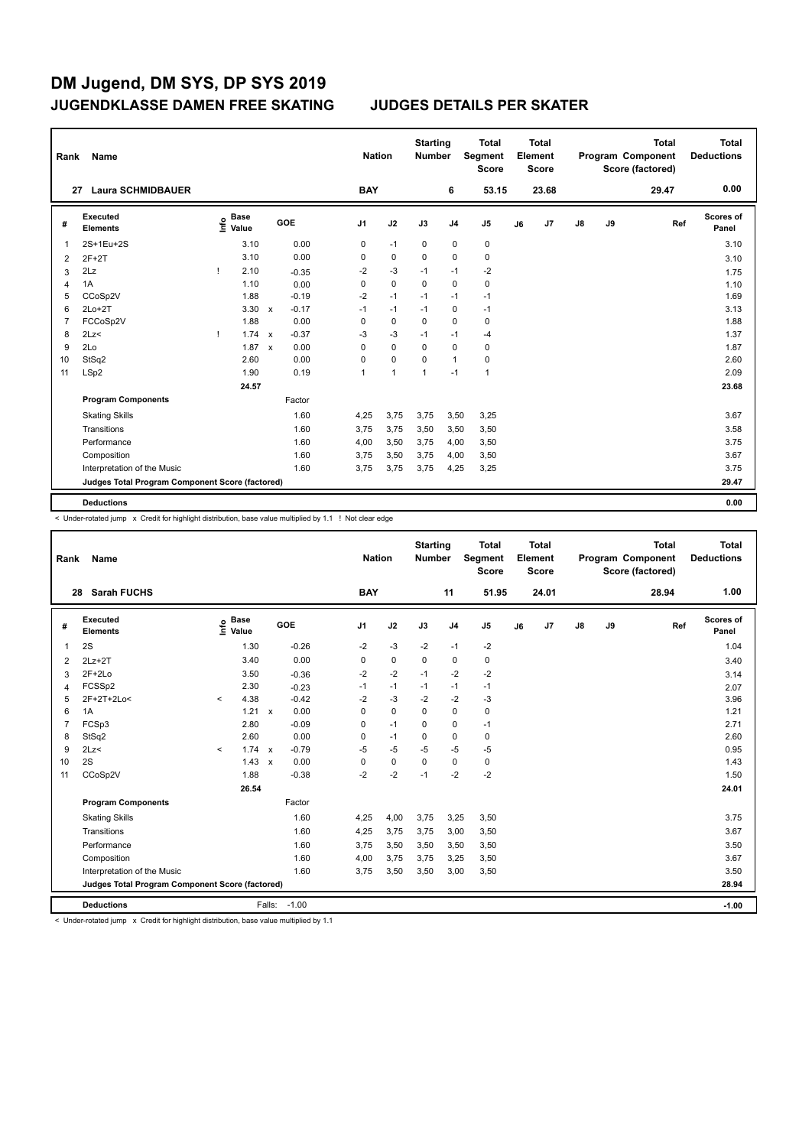| Rank | Name                                            |    |                      |                           |         |                | <b>Nation</b>  | <b>Starting</b><br>Number |                | <b>Total</b><br>Segment<br><b>Score</b> |    | Total<br>Element<br>Score |               |    | <b>Total</b><br>Program Component<br>Score (factored) | <b>Total</b><br><b>Deductions</b> |
|------|-------------------------------------------------|----|----------------------|---------------------------|---------|----------------|----------------|---------------------------|----------------|-----------------------------------------|----|---------------------------|---------------|----|-------------------------------------------------------|-----------------------------------|
|      | <b>Laura SCHMIDBAUER</b><br>27                  |    |                      |                           |         | <b>BAY</b>     |                |                           | 6              | 53.15                                   |    | 23.68                     |               |    | 29.47                                                 | 0.00                              |
| #    | Executed<br><b>Elements</b>                     | ۴  | <b>Base</b><br>Value |                           | GOE     | J <sub>1</sub> | J2             | J3                        | J <sub>4</sub> | J <sub>5</sub>                          | J6 | J7                        | $\mathsf{J}8$ | J9 | Ref                                                   | <b>Scores of</b><br>Panel         |
| 1    | 2S+1Eu+2S                                       |    | 3.10                 |                           | 0.00    | 0              | $-1$           | 0                         | $\mathbf 0$    | 0                                       |    |                           |               |    |                                                       | 3.10                              |
| 2    | $2F+2T$                                         |    | 3.10                 |                           | 0.00    | $\Omega$       | $\mathbf 0$    | $\Omega$                  | $\mathbf 0$    | $\pmb{0}$                               |    |                           |               |    |                                                       | 3.10                              |
| 3    | 2Lz                                             |    | 2.10                 |                           | $-0.35$ | $-2$           | $-3$           | $-1$                      | $-1$           | $-2$                                    |    |                           |               |    |                                                       | 1.75                              |
| 4    | 1A                                              |    | 1.10                 |                           | 0.00    | 0              | $\mathbf 0$    | $\mathbf 0$               | $\mathbf 0$    | $\mathbf 0$                             |    |                           |               |    |                                                       | 1.10                              |
| 5    | CCoSp2V                                         |    | 1.88                 |                           | $-0.19$ | $-2$           | $-1$           | $-1$                      | $-1$           | $-1$                                    |    |                           |               |    |                                                       | 1.69                              |
| 6    | $2Lo+2T$                                        |    | 3.30                 | $\mathsf{x}$              | $-0.17$ | $-1$           | $-1$           | $-1$                      | 0              | $-1$                                    |    |                           |               |    |                                                       | 3.13                              |
| 7    | FCCoSp2V                                        |    | 1.88                 |                           | 0.00    | 0              | $\mathbf 0$    | $\mathbf 0$               | $\mathbf 0$    | $\pmb{0}$                               |    |                           |               |    |                                                       | 1.88                              |
| 8    | 2Lz                                             | -1 | 1.74                 | $\boldsymbol{\mathsf{x}}$ | $-0.37$ | $-3$           | $-3$           | $-1$                      | $-1$           | -4                                      |    |                           |               |    |                                                       | 1.37                              |
| 9    | 2Lo                                             |    | 1.87                 | $\boldsymbol{\mathsf{x}}$ | 0.00    | $\Omega$       | $\mathbf 0$    | $\Omega$                  | $\mathbf 0$    | 0                                       |    |                           |               |    |                                                       | 1.87                              |
| 10   | StSq2                                           |    | 2.60                 |                           | 0.00    | 0              | $\mathbf 0$    | 0                         | $\mathbf{1}$   | 0                                       |    |                           |               |    |                                                       | 2.60                              |
| 11   | LSp2                                            |    | 1.90                 |                           | 0.19    | $\overline{1}$ | $\overline{1}$ | 1                         | $-1$           | $\mathbf{1}$                            |    |                           |               |    |                                                       | 2.09                              |
|      |                                                 |    | 24.57                |                           |         |                |                |                           |                |                                         |    |                           |               |    |                                                       | 23.68                             |
|      | <b>Program Components</b>                       |    |                      |                           | Factor  |                |                |                           |                |                                         |    |                           |               |    |                                                       |                                   |
|      | <b>Skating Skills</b>                           |    |                      |                           | 1.60    | 4,25           | 3,75           | 3,75                      | 3,50           | 3,25                                    |    |                           |               |    |                                                       | 3.67                              |
|      | Transitions                                     |    |                      |                           | 1.60    | 3,75           | 3,75           | 3,50                      | 3,50           | 3,50                                    |    |                           |               |    |                                                       | 3.58                              |
|      | Performance                                     |    |                      |                           | 1.60    | 4,00           | 3,50           | 3.75                      | 4,00           | 3,50                                    |    |                           |               |    |                                                       | 3.75                              |
|      | Composition                                     |    |                      |                           | 1.60    | 3.75           | 3,50           | 3,75                      | 4,00           | 3,50                                    |    |                           |               |    |                                                       | 3.67                              |
|      | Interpretation of the Music                     |    |                      |                           | 1.60    | 3,75           | 3,75           | 3,75                      | 4,25           | 3,25                                    |    |                           |               |    |                                                       | 3.75                              |
|      | Judges Total Program Component Score (factored) |    |                      |                           |         |                |                |                           |                |                                         |    |                           |               |    |                                                       | 29.47                             |
|      | <b>Deductions</b>                               |    |                      |                           |         |                |                |                           |                |                                         |    |                           |               |    |                                                       | 0.00                              |

< Under-rotated jump x Credit for highlight distribution, base value multiplied by 1.1 ! Not clear edge

| Rank           | <b>Name</b>                                     |         |                      |                           |         |                | <b>Nation</b> |             | <b>Starting</b><br><b>Number</b> |                | <b>Total</b><br>Segment<br><b>Score</b> |    | Total<br>Element<br><b>Score</b> |               |    | <b>Total</b><br>Program Component<br>Score (factored) |     | Total<br><b>Deductions</b> |
|----------------|-------------------------------------------------|---------|----------------------|---------------------------|---------|----------------|---------------|-------------|----------------------------------|----------------|-----------------------------------------|----|----------------------------------|---------------|----|-------------------------------------------------------|-----|----------------------------|
|                | <b>Sarah FUCHS</b><br>28                        |         |                      |                           |         |                | <b>BAY</b>    |             |                                  | 11             | 51.95                                   |    | 24.01                            |               |    | 28.94                                                 |     | 1.00                       |
| #              | Executed<br><b>Elements</b>                     | lnfo    | <b>Base</b><br>Value |                           | GOE     | J <sub>1</sub> |               | J2          | J3                               | J <sub>4</sub> | J <sub>5</sub>                          | J6 | J7                               | $\mathsf{J}8$ | J9 |                                                       | Ref | Scores of<br>Panel         |
| $\overline{1}$ | 2S                                              |         | 1.30                 |                           | $-0.26$ | $-2$           |               | $-3$        | $-2$                             | $-1$           | $-2$                                    |    |                                  |               |    |                                                       |     | 1.04                       |
| 2              | $2Lz+2T$                                        |         | 3.40                 |                           | 0.00    | 0              |               | $\mathbf 0$ | $\Omega$                         | $\mathbf 0$    | $\mathbf 0$                             |    |                                  |               |    |                                                       |     | 3.40                       |
| 3              | $2F+2Lo$                                        |         | 3.50                 |                           | $-0.36$ | $-2$           |               | $-2$        | $-1$                             | $-2$           | $-2$                                    |    |                                  |               |    |                                                       |     | 3.14                       |
| 4              | FCSSp2                                          |         | 2.30                 |                           | $-0.23$ | $-1$           |               | $-1$        | $-1$                             | $-1$           | $-1$                                    |    |                                  |               |    |                                                       |     | 2.07                       |
| 5              | 2F+2T+2Lo<                                      | $\prec$ | 4.38                 |                           | $-0.42$ | $-2$           |               | $-3$        | $-2$                             | $-2$           | $-3$                                    |    |                                  |               |    |                                                       |     | 3.96                       |
| 6              | 1A                                              |         | 1.21                 | $\mathsf{x}$              | 0.00    | $\Omega$       |               | $\mathbf 0$ | $\Omega$                         | $\mathbf 0$    | 0                                       |    |                                  |               |    |                                                       |     | 1.21                       |
| $\overline{7}$ | FCSp3                                           |         | 2.80                 |                           | $-0.09$ | 0              |               | $-1$        | $\Omega$                         | $\mathbf 0$    | $-1$                                    |    |                                  |               |    |                                                       |     | 2.71                       |
| 8              | StSq2                                           |         | 2.60                 |                           | 0.00    | $\Omega$       |               | $-1$        | $\Omega$                         | $\Omega$       | $\mathbf 0$                             |    |                                  |               |    |                                                       |     | 2.60                       |
| 9              | 2Lz<                                            | $\prec$ | $1.74 \times$        |                           | $-0.79$ | $-5$           |               | $-5$        | $-5$                             | $-5$           | $-5$                                    |    |                                  |               |    |                                                       |     | 0.95                       |
| 10             | 2S                                              |         | 1.43                 | $\boldsymbol{\mathsf{x}}$ | 0.00    | 0              |               | $\mathbf 0$ | $\Omega$                         | $\mathbf 0$    | 0                                       |    |                                  |               |    |                                                       |     | 1.43                       |
| 11             | CCoSp2V                                         |         | 1.88                 |                           | $-0.38$ | $-2$           |               | $-2$        | $-1$                             | $-2$           | $-2$                                    |    |                                  |               |    |                                                       |     | 1.50                       |
|                |                                                 |         | 26.54                |                           |         |                |               |             |                                  |                |                                         |    |                                  |               |    |                                                       |     | 24.01                      |
|                | <b>Program Components</b>                       |         |                      |                           | Factor  |                |               |             |                                  |                |                                         |    |                                  |               |    |                                                       |     |                            |
|                | <b>Skating Skills</b>                           |         |                      |                           | 1.60    | 4,25           |               | 4,00        | 3,75                             | 3,25           | 3,50                                    |    |                                  |               |    |                                                       |     | 3.75                       |
|                | Transitions                                     |         |                      |                           | 1.60    | 4,25           |               | 3,75        | 3,75                             | 3,00           | 3,50                                    |    |                                  |               |    |                                                       |     | 3.67                       |
|                | Performance                                     |         |                      |                           | 1.60    | 3,75           |               | 3,50        | 3,50                             | 3,50           | 3,50                                    |    |                                  |               |    |                                                       |     | 3.50                       |
|                | Composition                                     |         |                      |                           | 1.60    | 4,00           |               | 3,75        | 3,75                             | 3,25           | 3,50                                    |    |                                  |               |    |                                                       |     | 3.67                       |
|                | Interpretation of the Music                     |         |                      |                           | 1.60    | 3.75           |               | 3,50        | 3,50                             | 3,00           | 3,50                                    |    |                                  |               |    |                                                       |     | 3.50                       |
|                | Judges Total Program Component Score (factored) |         |                      |                           |         |                |               |             |                                  |                |                                         |    |                                  |               |    |                                                       |     | 28.94                      |
|                | <b>Deductions</b>                               |         |                      | Falls:                    | $-1.00$ |                |               |             |                                  |                |                                         |    |                                  |               |    |                                                       |     | $-1.00$                    |

< Under-rotated jump x Credit for highlight distribution, base value multiplied by 1.1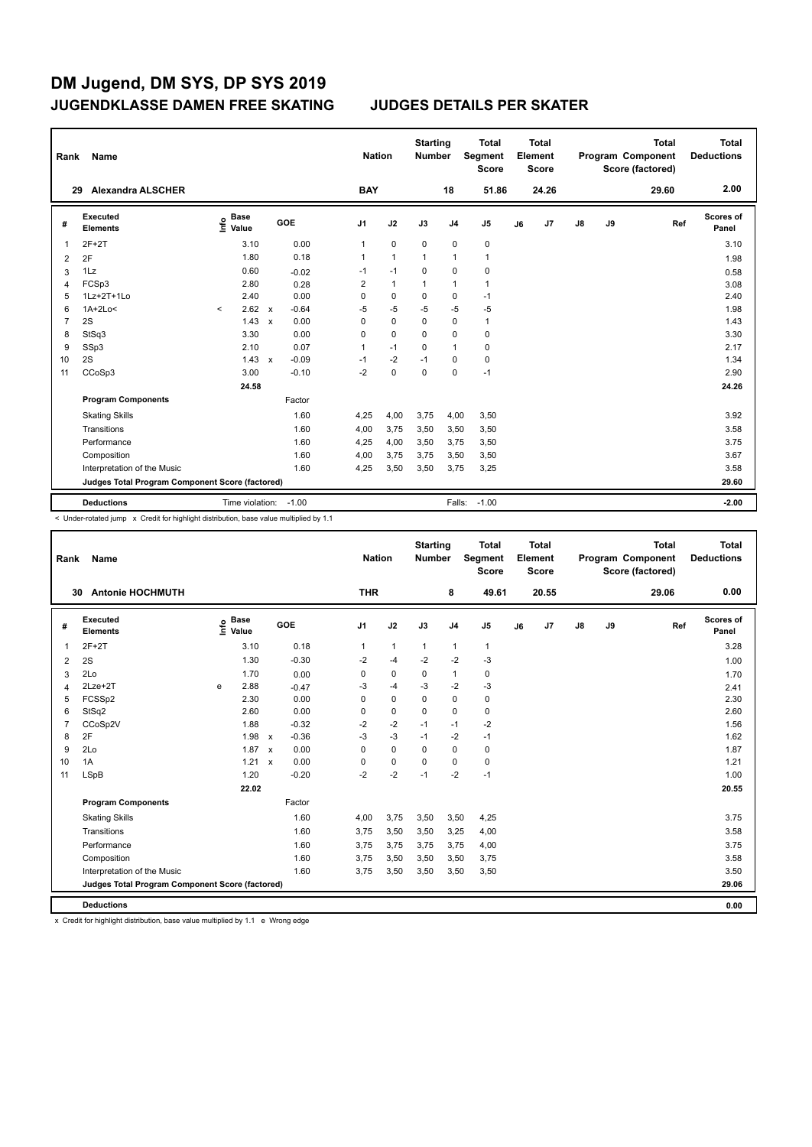| Name                        |                                                 |              |                                                                                                                                                          |              |                                  |                | Total<br><b>Score</b>                           |                                                                              | <b>Total</b> |                         |    | <b>Total</b> | Total<br><b>Deductions</b>                   |
|-----------------------------|-------------------------------------------------|--------------|----------------------------------------------------------------------------------------------------------------------------------------------------------|--------------|----------------------------------|----------------|-------------------------------------------------|------------------------------------------------------------------------------|--------------|-------------------------|----|--------------|----------------------------------------------|
| <b>Alexandra ALSCHER</b>    |                                                 |              |                                                                                                                                                          |              |                                  | 18             | 51.86                                           |                                                                              | 24.26        |                         |    | 29.60        | 2.00                                         |
| Executed<br><b>Elements</b> | <b>Base</b><br>e Base<br>⊆ Value                | GOE          | J <sub>1</sub>                                                                                                                                           | J2           | J3                               | J <sub>4</sub> | J5                                              | J6                                                                           | J7           | $\mathsf{J}8$           | J9 |              | Scores of<br>Panel                           |
| $2F+2T$                     | 3.10                                            | 0.00         | 1                                                                                                                                                        | $\mathbf 0$  | $\mathbf 0$                      | $\pmb{0}$      | $\pmb{0}$                                       |                                                                              |              |                         |    |              | 3.10                                         |
| 2F                          | 1.80                                            | 0.18         | 1                                                                                                                                                        | $\mathbf{1}$ | 1                                | $\overline{1}$ | $\mathbf{1}$                                    |                                                                              |              |                         |    |              | 1.98                                         |
| 1Lz                         | 0.60                                            | $-0.02$      | $-1$                                                                                                                                                     | $-1$         | 0                                | $\mathbf 0$    | 0                                               |                                                                              |              |                         |    |              | 0.58                                         |
| FCSp3                       | 2.80                                            | 0.28         | 2                                                                                                                                                        | $\mathbf{1}$ | 1                                | $\mathbf{1}$   | $\mathbf{1}$                                    |                                                                              |              |                         |    |              | 3.08                                         |
| 1Lz+2T+1Lo                  | 2.40                                            | 0.00         | 0                                                                                                                                                        | $\Omega$     | 0                                | 0              | $-1$                                            |                                                                              |              |                         |    |              | 2.40                                         |
| $1A+2Lo<$                   | 2.62<br>$\prec$                                 | $-0.64$      | $-5$                                                                                                                                                     | $-5$         | $-5$                             | $-5$           | $-5$                                            |                                                                              |              |                         |    |              | 1.98                                         |
| 2S                          | 1.43                                            | 0.00         | 0                                                                                                                                                        | $\mathbf 0$  | 0                                | 0              | $\mathbf{1}$                                    |                                                                              |              |                         |    |              | 1.43                                         |
| StSq3                       |                                                 |              | 0                                                                                                                                                        | $\mathbf 0$  | 0                                | $\mathbf 0$    | $\mathbf 0$                                     |                                                                              |              |                         |    |              | 3.30                                         |
| SSp3                        | 2.10                                            |              | 1                                                                                                                                                        | $-1$         | 0                                | $\overline{1}$ | 0                                               |                                                                              |              |                         |    |              | 2.17                                         |
|                             | 1.43                                            | $-0.09$      | $-1$                                                                                                                                                     | $-2$         | $-1$                             | 0              | $\pmb{0}$                                       |                                                                              |              |                         |    |              | 1.34                                         |
|                             |                                                 |              |                                                                                                                                                          |              |                                  |                |                                                 |                                                                              |              |                         |    |              | 2.90                                         |
|                             | 24.58                                           |              |                                                                                                                                                          |              |                                  |                |                                                 |                                                                              |              |                         |    |              | 24.26                                        |
| <b>Program Components</b>   |                                                 | Factor       |                                                                                                                                                          |              |                                  |                |                                                 |                                                                              |              |                         |    |              |                                              |
| <b>Skating Skills</b>       |                                                 | 1.60         | 4,25                                                                                                                                                     | 4,00         | 3,75                             |                | 3,50                                            |                                                                              |              |                         |    |              | 3.92                                         |
| Transitions                 |                                                 | 1.60         | 4,00                                                                                                                                                     | 3,75         | 3,50                             |                | 3,50                                            |                                                                              |              |                         |    |              | 3.58                                         |
| Performance                 |                                                 | 1.60         | 4,25                                                                                                                                                     | 4,00         | 3,50                             |                | 3,50                                            |                                                                              |              |                         |    |              | 3.75                                         |
| Composition                 |                                                 | 1.60         | 4,00                                                                                                                                                     | 3,75         | 3,75                             |                | 3,50                                            |                                                                              |              |                         |    |              | 3.67                                         |
| Interpretation of the Music |                                                 | 1.60         | 4,25                                                                                                                                                     | 3,50         | 3,50                             |                | 3,25                                            |                                                                              |              |                         |    |              | 3.58                                         |
|                             |                                                 |              |                                                                                                                                                          |              |                                  |                |                                                 |                                                                              |              |                         |    |              | 29.60                                        |
|                             |                                                 |              |                                                                                                                                                          |              |                                  |                |                                                 |                                                                              |              |                         |    |              | $-2.00$                                      |
|                             | Rank<br>29<br>2S<br>CCoSp3<br><b>Deductions</b> | 3.30<br>3.00 | $\mathsf{x}$<br>$\mathsf{x}$<br>0.00<br>0.07<br>$\mathsf{x}$<br>$-0.10$<br>Judges Total Program Component Score (factored)<br>Time violation:<br>$-1.00$ | $-2$         | <b>Nation</b><br><b>BAY</b><br>0 | $\mathbf 0$    | <b>Starting</b><br><b>Number</b><br>$\mathbf 0$ | Segment<br>$-1$<br>4,00<br>3,50<br>3,75<br>3,50<br>3,75<br>$-1.00$<br>Falls: |              | Element<br><b>Score</b> |    |              | Program Component<br>Score (factored)<br>Ref |

< Under-rotated jump x Credit for highlight distribution, base value multiplied by 1.1

| Rank           | Name                                            |      |                      |                           |         |                | <b>Nation</b> |              | <b>Starting</b><br><b>Number</b> |                | <b>Total</b><br>Segment<br><b>Score</b> |    | <b>Total</b><br>Element<br><b>Score</b> |               |    | <b>Total</b><br>Program Component<br>Score (factored) | <b>Total</b><br><b>Deductions</b> |
|----------------|-------------------------------------------------|------|----------------------|---------------------------|---------|----------------|---------------|--------------|----------------------------------|----------------|-----------------------------------------|----|-----------------------------------------|---------------|----|-------------------------------------------------------|-----------------------------------|
|                | <b>Antonie HOCHMUTH</b><br>30                   |      |                      |                           |         |                | <b>THR</b>    |              |                                  | 8              | 49.61                                   |    | 20.55                                   |               |    | 29.06                                                 | 0.00                              |
| #              | Executed<br><b>Elements</b>                     | ١nf٥ | <b>Base</b><br>Value |                           | GOE     | J <sub>1</sub> |               | J2           | J3                               | J <sub>4</sub> | J <sub>5</sub>                          | J6 | J7                                      | $\mathsf{J}8$ | J9 | Ref                                                   | Scores of<br>Panel                |
| 1              | $2F+2T$                                         |      | 3.10                 |                           | 0.18    |                | 1             | $\mathbf{1}$ | $\mathbf{1}$                     | $\mathbf{1}$   | $\mathbf{1}$                            |    |                                         |               |    |                                                       | 3.28                              |
| 2              | 2S                                              |      | 1.30                 |                           | $-0.30$ |                | $-2$          | $-4$         | $-2$                             | $-2$           | $-3$                                    |    |                                         |               |    |                                                       | 1.00                              |
| 3              | 2Lo                                             |      | 1.70                 |                           | 0.00    |                | 0             | 0            | 0                                | $\mathbf{1}$   | 0                                       |    |                                         |               |    |                                                       | 1.70                              |
| 4              | $2$ Lze $+2$ T                                  | e    | 2.88                 |                           | $-0.47$ |                | $-3$          | $-4$         | -3                               | $-2$           | $-3$                                    |    |                                         |               |    |                                                       | 2.41                              |
| 5              | FCSSp2                                          |      | 2.30                 |                           | 0.00    |                | 0             | 0            | 0                                | $\mathbf 0$    | $\mathbf 0$                             |    |                                         |               |    |                                                       | 2.30                              |
| 6              | StSq2                                           |      | 2.60                 |                           | 0.00    |                | 0             | $\mathbf 0$  | $\Omega$                         | $\mathbf 0$    | $\mathbf 0$                             |    |                                         |               |    |                                                       | 2.60                              |
| $\overline{7}$ | CCoSp2V                                         |      | 1.88                 |                           | $-0.32$ |                | $-2$          | $-2$         | $-1$                             | $-1$           | $-2$                                    |    |                                         |               |    |                                                       | 1.56                              |
| 8              | 2F                                              |      | 1.98                 | $\mathsf{x}$              | $-0.36$ |                | $-3$          | $-3$         | $-1$                             | $-2$           | $-1$                                    |    |                                         |               |    |                                                       | 1.62                              |
| 9              | 2Lo                                             |      | 1.87                 | $\boldsymbol{\mathsf{x}}$ | 0.00    |                | 0             | $\mathbf 0$  | 0                                | $\mathbf 0$    | 0                                       |    |                                         |               |    |                                                       | 1.87                              |
| 10             | 1A                                              |      | $1.21 \times$        |                           | 0.00    |                | 0             | $\mathbf 0$  | $\Omega$                         | $\mathbf 0$    | $\mathbf 0$                             |    |                                         |               |    |                                                       | 1.21                              |
| 11             | <b>LSpB</b>                                     |      | 1.20                 |                           | $-0.20$ |                | $-2$          | $-2$         | $-1$                             | $-2$           | $-1$                                    |    |                                         |               |    |                                                       | 1.00                              |
|                |                                                 |      | 22.02                |                           |         |                |               |              |                                  |                |                                         |    |                                         |               |    |                                                       | 20.55                             |
|                | <b>Program Components</b>                       |      |                      |                           | Factor  |                |               |              |                                  |                |                                         |    |                                         |               |    |                                                       |                                   |
|                | <b>Skating Skills</b>                           |      |                      |                           | 1.60    |                | 4,00          | 3,75         | 3,50                             | 3,50           | 4,25                                    |    |                                         |               |    |                                                       | 3.75                              |
|                | Transitions                                     |      |                      |                           | 1.60    |                | 3,75          | 3,50         | 3,50                             | 3,25           | 4,00                                    |    |                                         |               |    |                                                       | 3.58                              |
|                | Performance                                     |      |                      |                           | 1.60    |                | 3,75          | 3,75         | 3,75                             | 3,75           | 4,00                                    |    |                                         |               |    |                                                       | 3.75                              |
|                | Composition                                     |      |                      |                           | 1.60    |                | 3,75          | 3,50         | 3,50                             | 3,50           | 3,75                                    |    |                                         |               |    |                                                       | 3.58                              |
|                | Interpretation of the Music                     |      |                      |                           | 1.60    |                | 3,75          | 3,50         | 3,50                             | 3,50           | 3,50                                    |    |                                         |               |    |                                                       | 3.50                              |
|                | Judges Total Program Component Score (factored) |      |                      |                           |         |                |               |              |                                  |                |                                         |    |                                         |               |    |                                                       | 29.06                             |
|                | <b>Deductions</b>                               |      |                      |                           |         |                |               |              |                                  |                |                                         |    |                                         |               |    |                                                       | 0.00                              |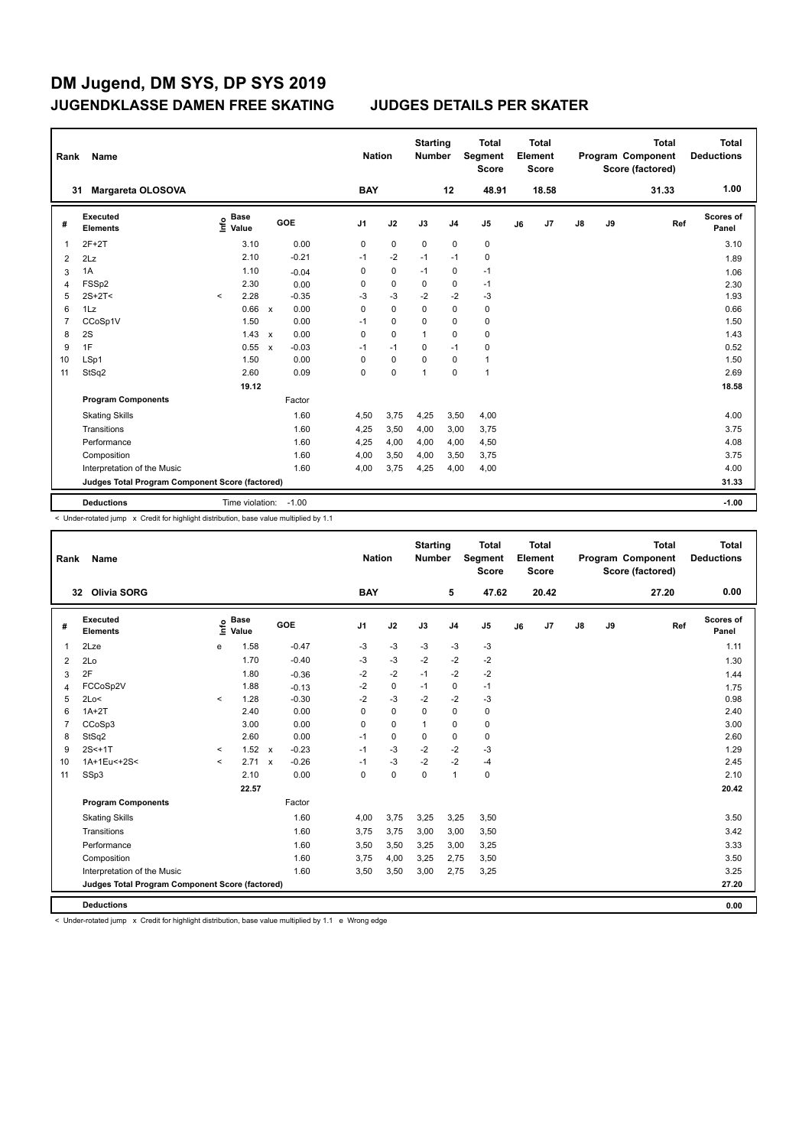| Rank           | Name                                            |                              |                         | <b>Nation</b>  |             | <b>Starting</b><br><b>Number</b> |                | <b>Total</b><br>Segment<br><b>Score</b> |    | <b>Total</b><br>Element<br><b>Score</b> |               |    | <b>Total</b><br>Program Component<br>Score (factored) | <b>Total</b><br><b>Deductions</b> |
|----------------|-------------------------------------------------|------------------------------|-------------------------|----------------|-------------|----------------------------------|----------------|-----------------------------------------|----|-----------------------------------------|---------------|----|-------------------------------------------------------|-----------------------------------|
|                | <b>Margareta OLOSOVA</b><br>31                  |                              |                         | <b>BAY</b>     |             |                                  | 12             | 48.91                                   |    | 18.58                                   |               |    | 31.33                                                 | 1.00                              |
| #              | <b>Executed</b><br><b>Elements</b>              | <b>Base</b><br>١nf٥<br>Value | GOE                     | J <sub>1</sub> | J2          | J3                               | J <sub>4</sub> | J5                                      | J6 | J7                                      | $\mathsf{J}8$ | J9 | Ref                                                   | <b>Scores of</b><br>Panel         |
| 1              | $2F+2T$                                         | 3.10                         | 0.00                    | 0              | $\mathbf 0$ | $\mathbf 0$                      | $\mathbf 0$    | $\pmb{0}$                               |    |                                         |               |    |                                                       | 3.10                              |
| $\overline{2}$ | 2Lz                                             | 2.10                         | $-0.21$                 | $-1$           | $-2$        | $-1$                             | $-1$           | 0                                       |    |                                         |               |    |                                                       | 1.89                              |
| 3              | 1A                                              | 1.10                         | $-0.04$                 | 0              | $\pmb{0}$   | $-1$                             | $\pmb{0}$      | $-1$                                    |    |                                         |               |    |                                                       | 1.06                              |
| 4              | FSSp2                                           | 2.30                         | 0.00                    | 0              | $\pmb{0}$   | 0                                | $\pmb{0}$      | $-1$                                    |    |                                         |               |    |                                                       | 2.30                              |
| 5              | $2S+2T<$                                        | 2.28<br>$\prec$              | $-0.35$                 | $-3$           | $-3$        | $-2$                             | $-2$           | $-3$                                    |    |                                         |               |    |                                                       | 1.93                              |
| 6              | 1Lz                                             | 0.66                         | 0.00<br>$\mathbf{x}$    | 0              | $\Omega$    | $\Omega$                         | $\Omega$       | $\mathbf 0$                             |    |                                         |               |    |                                                       | 0.66                              |
| 7              | CCoSp1V                                         | 1.50                         | 0.00                    | $-1$           | $\mathbf 0$ | 0                                | $\mathbf 0$    | $\pmb{0}$                               |    |                                         |               |    |                                                       | 1.50                              |
| 8              | 2S                                              | $1.43 \times$                | 0.00                    | 0              | $\Omega$    | 1                                | $\mathbf 0$    | $\pmb{0}$                               |    |                                         |               |    |                                                       | 1.43                              |
| 9              | 1F                                              | 0.55                         | $-0.03$<br>$\mathbf{x}$ | $-1$           | $-1$        | 0                                | $-1$           | 0                                       |    |                                         |               |    |                                                       | 0.52                              |
| 10             | LSp1                                            | 1.50                         | 0.00                    | 0              | 0           | 0                                | 0              | $\mathbf{1}$                            |    |                                         |               |    |                                                       | 1.50                              |
| 11             | StSq2                                           | 2.60                         | 0.09                    | 0              | 0           | 1                                | $\mathbf 0$    | $\mathbf{1}$                            |    |                                         |               |    |                                                       | 2.69                              |
|                |                                                 | 19.12                        |                         |                |             |                                  |                |                                         |    |                                         |               |    |                                                       | 18.58                             |
|                | <b>Program Components</b>                       |                              | Factor                  |                |             |                                  |                |                                         |    |                                         |               |    |                                                       |                                   |
|                | <b>Skating Skills</b>                           |                              | 1.60                    | 4,50           | 3,75        | 4,25                             | 3,50           | 4,00                                    |    |                                         |               |    |                                                       | 4.00                              |
|                | Transitions                                     |                              | 1.60                    | 4,25           | 3,50        | 4,00                             | 3,00           | 3,75                                    |    |                                         |               |    |                                                       | 3.75                              |
|                | Performance                                     |                              | 1.60                    | 4,25           | 4,00        | 4,00                             | 4,00           | 4,50                                    |    |                                         |               |    |                                                       | 4.08                              |
|                | Composition                                     |                              | 1.60                    | 4,00           | 3,50        | 4,00                             | 3,50           | 3,75                                    |    |                                         |               |    |                                                       | 3.75                              |
|                | Interpretation of the Music                     |                              | 1.60                    | 4,00           | 3,75        | 4,25                             | 4,00           | 4,00                                    |    |                                         |               |    |                                                       | 4.00                              |
|                | Judges Total Program Component Score (factored) |                              |                         |                |             |                                  |                |                                         |    |                                         |               |    |                                                       | 31.33                             |
|                | <b>Deductions</b>                               | Time violation:              | $-1.00$                 |                |             |                                  |                |                                         |    |                                         |               |    |                                                       | $-1.00$                           |

< Under-rotated jump x Credit for highlight distribution, base value multiplied by 1.1

| Rank           | Name                                            |         |                      |              |            | <b>Nation</b>  |             | <b>Starting</b><br><b>Number</b> |                | <b>Total</b><br>Segment<br><b>Score</b> |    | <b>Total</b><br>Element<br><b>Score</b> |    |    | <b>Total</b><br>Program Component<br>Score (factored) | <b>Total</b><br><b>Deductions</b> |
|----------------|-------------------------------------------------|---------|----------------------|--------------|------------|----------------|-------------|----------------------------------|----------------|-----------------------------------------|----|-----------------------------------------|----|----|-------------------------------------------------------|-----------------------------------|
|                | 32 Olivia SORG                                  |         |                      |              |            | <b>BAY</b>     |             |                                  | 5              | 47.62                                   |    | 20.42                                   |    |    | 27.20                                                 | 0.00                              |
| #              | <b>Executed</b><br><b>Elements</b>              | ١nf٥    | <b>Base</b><br>Value |              | <b>GOE</b> | J <sub>1</sub> | J2          | J3                               | J <sub>4</sub> | J <sub>5</sub>                          | J6 | J7                                      | J8 | J9 | Ref                                                   | Scores of<br>Panel                |
| 1              | 2Lze                                            | e       | 1.58                 |              | $-0.47$    | -3             | $-3$        | -3                               | $-3$           | -3                                      |    |                                         |    |    |                                                       | 1.11                              |
| 2              | 2Lo                                             |         | 1.70                 |              | $-0.40$    | $-3$           | $-3$        | $-2$                             | $-2$           | $-2$                                    |    |                                         |    |    |                                                       | 1.30                              |
| 3              | 2F                                              |         | 1.80                 |              | $-0.36$    | $-2$           | $-2$        | $-1$                             | $-2$           | $-2$                                    |    |                                         |    |    |                                                       | 1.44                              |
| 4              | FCCoSp2V                                        |         | 1.88                 |              | $-0.13$    | $-2$           | $\pmb{0}$   | $-1$                             | $\pmb{0}$      | $-1$                                    |    |                                         |    |    |                                                       | 1.75                              |
| 5              | 2Lo<                                            | $\prec$ | 1.28                 |              | $-0.30$    | $-2$           | $-3$        | $-2$                             | $-2$           | $-3$                                    |    |                                         |    |    |                                                       | 0.98                              |
| 6              | $1A+2T$                                         |         | 2.40                 |              | 0.00       | 0              | $\mathbf 0$ | $\Omega$                         | $\mathbf 0$    | 0                                       |    |                                         |    |    |                                                       | 2.40                              |
| $\overline{7}$ | CCoSp3                                          |         | 3.00                 |              | 0.00       | $\mathbf 0$    | $\mathbf 0$ | 1                                | $\mathbf 0$    | 0                                       |    |                                         |    |    |                                                       | 3.00                              |
| 8              | StSq2                                           |         | 2.60                 |              | 0.00       | $-1$           | $\mathbf 0$ | $\mathbf 0$                      | $\mathbf 0$    | 0                                       |    |                                         |    |    |                                                       | 2.60                              |
| 9              | $2S < +1T$                                      | $\prec$ | 1.52                 | $\mathsf{x}$ | $-0.23$    | $-1$           | $-3$        | $-2$                             | $-2$           | $-3$                                    |    |                                         |    |    |                                                       | 1.29                              |
| 10             | 1A+1Eu<+2S<                                     | $\prec$ | $2.71 \times$        |              | $-0.26$    | $-1$           | $-3$        | $-2$                             | $-2$           | $-4$                                    |    |                                         |    |    |                                                       | 2.45                              |
| 11             | SSp3                                            |         | 2.10                 |              | 0.00       | $\mathbf 0$    | $\pmb{0}$   | $\mathbf 0$                      | $\mathbf{1}$   | 0                                       |    |                                         |    |    |                                                       | 2.10                              |
|                |                                                 |         | 22.57                |              |            |                |             |                                  |                |                                         |    |                                         |    |    |                                                       | 20.42                             |
|                | <b>Program Components</b>                       |         |                      |              | Factor     |                |             |                                  |                |                                         |    |                                         |    |    |                                                       |                                   |
|                | <b>Skating Skills</b>                           |         |                      |              | 1.60       | 4,00           | 3,75        | 3,25                             | 3,25           | 3,50                                    |    |                                         |    |    |                                                       | 3.50                              |
|                | Transitions                                     |         |                      |              | 1.60       | 3,75           | 3,75        | 3,00                             | 3,00           | 3,50                                    |    |                                         |    |    |                                                       | 3.42                              |
|                | Performance                                     |         |                      |              | 1.60       | 3,50           | 3,50        | 3,25                             | 3,00           | 3,25                                    |    |                                         |    |    |                                                       | 3.33                              |
|                | Composition                                     |         |                      |              | 1.60       | 3,75           | 4,00        | 3,25                             | 2,75           | 3,50                                    |    |                                         |    |    |                                                       | 3.50                              |
|                | Interpretation of the Music                     |         |                      |              | 1.60       | 3,50           | 3,50        | 3,00                             | 2,75           | 3,25                                    |    |                                         |    |    |                                                       | 3.25                              |
|                | Judges Total Program Component Score (factored) |         |                      |              |            |                |             |                                  |                |                                         |    |                                         |    |    |                                                       | 27.20                             |
|                | <b>Deductions</b>                               |         |                      |              |            |                |             |                                  |                |                                         |    |                                         |    |    |                                                       | 0.00                              |

< Under-rotated jump x Credit for highlight distribution, base value multiplied by 1.1 e Wrong edge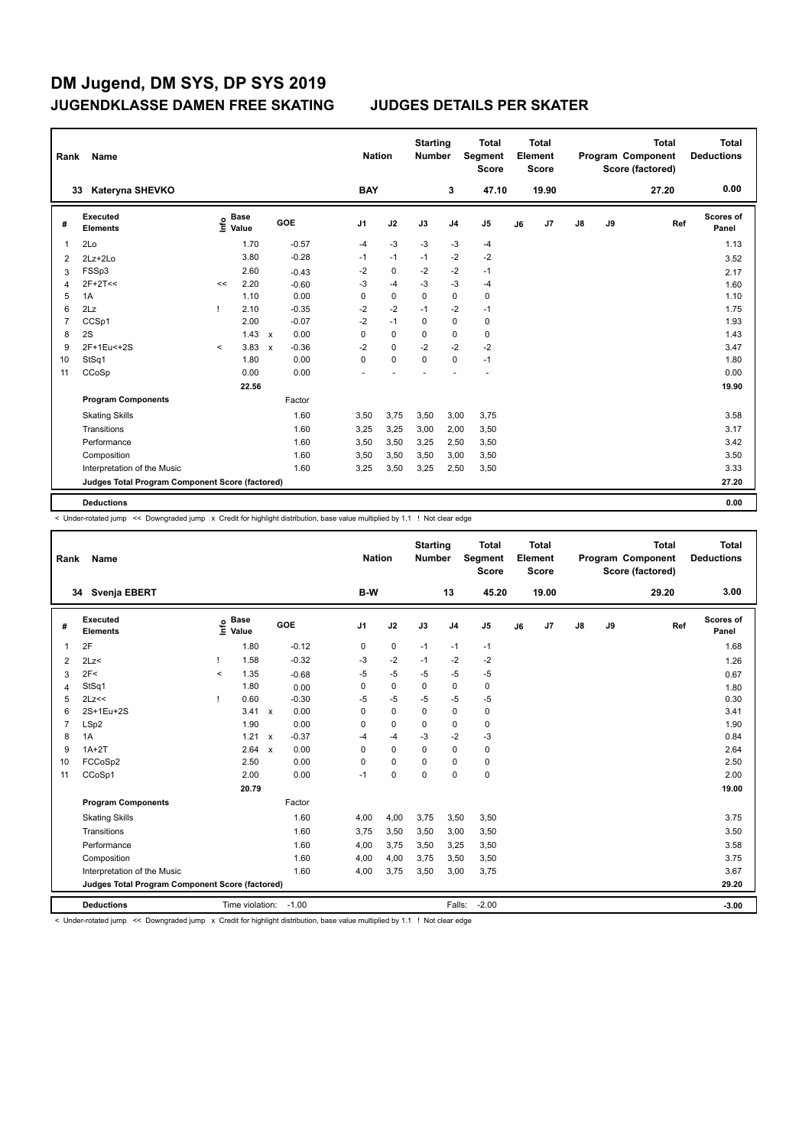| Rank           | Name                                            |         |                      |                           |         | <b>Nation</b>  |             | <b>Starting</b><br><b>Number</b> |                | <b>Total</b><br>Segment<br><b>Score</b> |    | <b>Total</b><br>Element<br><b>Score</b> |               |    | <b>Total</b><br>Program Component<br>Score (factored) | Total<br><b>Deductions</b> |
|----------------|-------------------------------------------------|---------|----------------------|---------------------------|---------|----------------|-------------|----------------------------------|----------------|-----------------------------------------|----|-----------------------------------------|---------------|----|-------------------------------------------------------|----------------------------|
| 33             | Kateryna SHEVKO                                 |         |                      |                           |         | <b>BAY</b>     |             |                                  | 3              | 47.10                                   |    | 19.90                                   |               |    | 27.20                                                 | 0.00                       |
| #              | Executed<br><b>Elements</b>                     | ۴       | <b>Base</b><br>Value |                           | GOE     | J <sub>1</sub> | J2          | J3                               | J <sub>4</sub> | J <sub>5</sub>                          | J6 | J7                                      | $\mathsf{J}8$ | J9 | Ref                                                   | <b>Scores of</b><br>Panel  |
| 1              | 2Lo                                             |         | 1.70                 |                           | $-0.57$ | $-4$           | $-3$        | $-3$                             | $-3$           | $-4$                                    |    |                                         |               |    |                                                       | 1.13                       |
| 2              | $2Lz+2Lo$                                       |         | 3.80                 |                           | $-0.28$ | $-1$           | $-1$        | $-1$                             | $-2$           | $-2$                                    |    |                                         |               |    |                                                       | 3.52                       |
| 3              | FSSp3                                           |         | 2.60                 |                           | $-0.43$ | $-2$           | $\mathbf 0$ | $-2$                             | $-2$           | $-1$                                    |    |                                         |               |    |                                                       | 2.17                       |
| 4              | $2F+2T<<$                                       | <<      | 2.20                 |                           | $-0.60$ | $-3$           | $-4$        | $-3$                             | $-3$           | $-4$                                    |    |                                         |               |    |                                                       | 1.60                       |
| 5              | 1A                                              |         | 1.10                 |                           | 0.00    | 0              | $\mathbf 0$ | $\mathbf 0$                      | $\pmb{0}$      | $\pmb{0}$                               |    |                                         |               |    |                                                       | 1.10                       |
| 6              | 2Lz                                             |         | 2.10                 |                           | $-0.35$ | $-2$           | $-2$        | $-1$                             | $-2$           | $-1$                                    |    |                                         |               |    |                                                       | 1.75                       |
| $\overline{7}$ | CCSp1                                           |         | 2.00                 |                           | $-0.07$ | $-2$           | $-1$        | $\Omega$                         | $\mathbf 0$    | $\pmb{0}$                               |    |                                         |               |    |                                                       | 1.93                       |
| 8              | 2S                                              |         | $1.43 \times$        |                           | 0.00    | $\Omega$       | $\mathbf 0$ | $\Omega$                         | $\mathbf 0$    | $\pmb{0}$                               |    |                                         |               |    |                                                       | 1.43                       |
| 9              | 2F+1Eu<+2S                                      | $\prec$ | 3.83                 | $\boldsymbol{\mathsf{x}}$ | $-0.36$ | $-2$           | $\mathbf 0$ | $-2$                             | $-2$           | $-2$                                    |    |                                         |               |    |                                                       | 3.47                       |
| 10             | StSq1                                           |         | 1.80                 |                           | 0.00    | 0              | $\mathbf 0$ | $\mathbf 0$                      | $\mathbf 0$    | $-1$                                    |    |                                         |               |    |                                                       | 1.80                       |
| 11             | CCoSp                                           |         | 0.00                 |                           | 0.00    |                |             |                                  |                |                                         |    |                                         |               |    |                                                       | 0.00                       |
|                |                                                 |         | 22.56                |                           |         |                |             |                                  |                |                                         |    |                                         |               |    |                                                       | 19.90                      |
|                | <b>Program Components</b>                       |         |                      |                           | Factor  |                |             |                                  |                |                                         |    |                                         |               |    |                                                       |                            |
|                | <b>Skating Skills</b>                           |         |                      |                           | 1.60    | 3,50           | 3,75        | 3,50                             | 3,00           | 3,75                                    |    |                                         |               |    |                                                       | 3.58                       |
|                | Transitions                                     |         |                      |                           | 1.60    | 3,25           | 3,25        | 3,00                             | 2,00           | 3,50                                    |    |                                         |               |    |                                                       | 3.17                       |
|                | Performance                                     |         |                      |                           | 1.60    | 3,50           | 3,50        | 3,25                             | 2,50           | 3,50                                    |    |                                         |               |    |                                                       | 3.42                       |
|                | Composition                                     |         |                      |                           | 1.60    | 3,50           | 3,50        | 3,50                             | 3,00           | 3,50                                    |    |                                         |               |    |                                                       | 3.50                       |
|                | Interpretation of the Music                     |         |                      |                           | 1.60    | 3,25           | 3,50        | 3,25                             | 2,50           | 3,50                                    |    |                                         |               |    |                                                       | 3.33                       |
|                | Judges Total Program Component Score (factored) |         |                      |                           |         |                |             |                                  |                |                                         |    |                                         |               |    |                                                       | 27.20                      |
|                | <b>Deductions</b>                               |         |                      |                           |         |                |             |                                  |                |                                         |    |                                         |               |    |                                                       | 0.00                       |

< Under-rotated jump << Downgraded jump x Credit for highlight distribution, base value multiplied by 1.1 ! Not clear edge

| Rank | Name                                            |          |                 |                           |         |                | <b>Nation</b> | <b>Starting</b><br><b>Number</b> |                | <b>Total</b><br>Segment<br><b>Score</b> |    | <b>Total</b><br>Element<br>Score |               |    | <b>Total</b><br>Program Component<br>Score (factored) | <b>Total</b><br><b>Deductions</b> |
|------|-------------------------------------------------|----------|-----------------|---------------------------|---------|----------------|---------------|----------------------------------|----------------|-----------------------------------------|----|----------------------------------|---------------|----|-------------------------------------------------------|-----------------------------------|
|      | Svenja EBERT<br>34                              |          |                 |                           |         | B-W            |               |                                  | 13             | 45.20                                   |    | 19.00                            |               |    | 29.20                                                 | 3.00                              |
| #    | Executed<br><b>Elements</b>                     | ۴        | Base<br>Value   |                           | GOE     | J <sub>1</sub> | J2            | J3                               | J <sub>4</sub> | J <sub>5</sub>                          | J6 | J7                               | $\mathsf{J}8$ | J9 | Ref                                                   | <b>Scores of</b><br>Panel         |
| 1    | 2F                                              |          | 1.80            |                           | $-0.12$ | 0              | $\mathbf 0$   | $-1$                             | $-1$           | $-1$                                    |    |                                  |               |    |                                                       | 1.68                              |
| 2    | 2Lz                                             |          | 1.58            |                           | $-0.32$ | -3             | $-2$          | $-1$                             | $-2$           | $-2$                                    |    |                                  |               |    |                                                       | 1.26                              |
| 3    | 2F<                                             | $\hat{}$ | 1.35            |                           | $-0.68$ | $-5$           | $-5$          | $-5$                             | $-5$           | -5                                      |    |                                  |               |    |                                                       | 0.67                              |
| 4    | StSq1                                           |          | 1.80            |                           | 0.00    | 0              | $\mathbf 0$   | $\mathbf 0$                      | $\mathbf 0$    | $\mathbf 0$                             |    |                                  |               |    |                                                       | 1.80                              |
| 5    | 2Lz<<                                           |          | 0.60            |                           | $-0.30$ | $-5$           | $-5$          | $-5$                             | $-5$           | $-5$                                    |    |                                  |               |    |                                                       | 0.30                              |
| 6    | 2S+1Eu+2S                                       |          | 3.41            | $\mathsf{x}$              | 0.00    | 0              | $\mathbf 0$   | $\mathbf 0$                      | $\mathbf 0$    | $\pmb{0}$                               |    |                                  |               |    |                                                       | 3.41                              |
| 7    | LSp2                                            |          | 1.90            |                           | 0.00    | $\Omega$       | $\mathbf 0$   | $\Omega$                         | $\mathbf 0$    | $\pmb{0}$                               |    |                                  |               |    |                                                       | 1.90                              |
| 8    | 1A                                              |          | 1.21            | $\boldsymbol{\mathsf{x}}$ | $-0.37$ | $-4$           | $-4$          | $-3$                             | $-2$           | -3                                      |    |                                  |               |    |                                                       | 0.84                              |
| 9    | $1A+2T$                                         |          | 2.64            | $\boldsymbol{\mathsf{x}}$ | 0.00    | $\Omega$       | $\mathbf 0$   | $\Omega$                         | $\mathbf 0$    | 0                                       |    |                                  |               |    |                                                       | 2.64                              |
| 10   | FCCoSp2                                         |          | 2.50            |                           | 0.00    | $\Omega$       | $\mathbf 0$   | $\Omega$                         | $\mathbf 0$    | $\pmb{0}$                               |    |                                  |               |    |                                                       | 2.50                              |
| 11   | CCoSp1                                          |          | 2.00            |                           | 0.00    | $-1$           | $\mathbf 0$   | $\mathbf 0$                      | $\mathbf 0$    | $\mathbf 0$                             |    |                                  |               |    |                                                       | 2.00                              |
|      |                                                 |          | 20.79           |                           |         |                |               |                                  |                |                                         |    |                                  |               |    |                                                       | 19.00                             |
|      | <b>Program Components</b>                       |          |                 |                           | Factor  |                |               |                                  |                |                                         |    |                                  |               |    |                                                       |                                   |
|      | <b>Skating Skills</b>                           |          |                 |                           | 1.60    | 4,00           | 4,00          | 3,75                             | 3,50           | 3,50                                    |    |                                  |               |    |                                                       | 3.75                              |
|      | Transitions                                     |          |                 |                           | 1.60    | 3.75           | 3,50          | 3,50                             | 3,00           | 3,50                                    |    |                                  |               |    |                                                       | 3.50                              |
|      | Performance                                     |          |                 |                           | 1.60    | 4,00           | 3,75          | 3,50                             | 3,25           | 3,50                                    |    |                                  |               |    |                                                       | 3.58                              |
|      | Composition                                     |          |                 |                           | 1.60    | 4,00           | 4,00          | 3,75                             | 3,50           | 3,50                                    |    |                                  |               |    |                                                       | 3.75                              |
|      | Interpretation of the Music                     |          |                 |                           | 1.60    | 4,00           | 3,75          | 3,50                             | 3,00           | 3,75                                    |    |                                  |               |    |                                                       | 3.67                              |
|      | Judges Total Program Component Score (factored) |          |                 |                           |         |                |               |                                  |                |                                         |    |                                  |               |    |                                                       | 29.20                             |
|      | <b>Deductions</b>                               |          | Time violation: |                           | $-1.00$ |                |               |                                  | Falls:         | $-2.00$                                 |    |                                  |               |    |                                                       | $-3.00$                           |

< Under-rotated jump << Downgraded jump x Credit for highlight distribution, base value multiplied by 1.1 ! Not clear edge